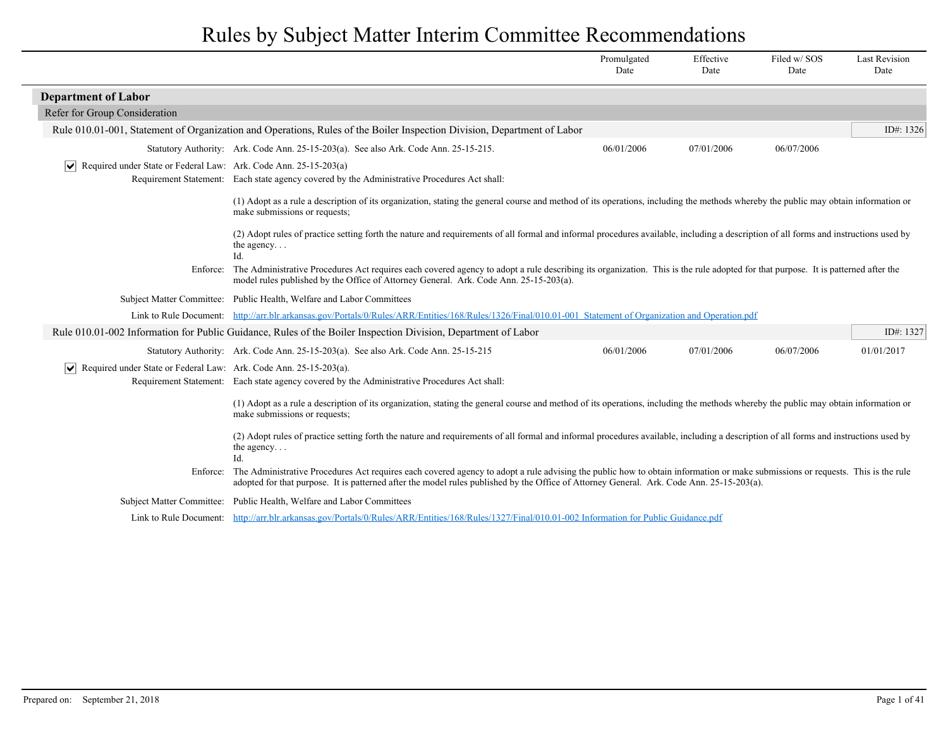|                                                                                 |                                                                                                                                                                                                                                                                                                                                      | Promulgated<br>Date | Effective<br>Date | Filed w/SOS<br>Date | <b>Last Revision</b><br>Date |
|---------------------------------------------------------------------------------|--------------------------------------------------------------------------------------------------------------------------------------------------------------------------------------------------------------------------------------------------------------------------------------------------------------------------------------|---------------------|-------------------|---------------------|------------------------------|
| <b>Department of Labor</b>                                                      |                                                                                                                                                                                                                                                                                                                                      |                     |                   |                     |                              |
| Refer for Group Consideration                                                   |                                                                                                                                                                                                                                                                                                                                      |                     |                   |                     |                              |
|                                                                                 | Rule 010.01-001, Statement of Organization and Operations, Rules of the Boiler Inspection Division, Department of Labor                                                                                                                                                                                                              |                     |                   |                     | ID#: 1326                    |
|                                                                                 | Statutory Authority: Ark. Code Ann. 25-15-203(a). See also Ark. Code Ann. 25-15-215.                                                                                                                                                                                                                                                 | 06/01/2006          | 07/01/2006        | 06/07/2006          |                              |
| $ \mathbf{v} $ Required under State or Federal Law: Ark. Code Ann. 25-15-203(a) |                                                                                                                                                                                                                                                                                                                                      |                     |                   |                     |                              |
|                                                                                 | Requirement Statement: Each state agency covered by the Administrative Procedures Act shall:                                                                                                                                                                                                                                         |                     |                   |                     |                              |
|                                                                                 | (1) Adopt as a rule a description of its organization, stating the general course and method of its operations, including the methods whereby the public may obtain information or<br>make submissions or requests;                                                                                                                  |                     |                   |                     |                              |
|                                                                                 | (2) Adopt rules of practice setting forth the nature and requirements of all formal and informal procedures available, including a description of all forms and instructions used by<br>the agency<br>Id.                                                                                                                            |                     |                   |                     |                              |
|                                                                                 | Enforce: The Administrative Procedures Act requires each covered agency to adopt a rule describing its organization. This is the rule adopted for that purpose. It is patterned after the<br>model rules published by the Office of Attorney General. Ark. Code Ann. 25-15-203(a).                                                   |                     |                   |                     |                              |
|                                                                                 | Subject Matter Committee: Public Health, Welfare and Labor Committees                                                                                                                                                                                                                                                                |                     |                   |                     |                              |
|                                                                                 | Link to Rule Document: http://arr.blr.arkansas.gov/Portals/0/Rules/ARR/Entities/168/Rules/1326/Final/010.01-001 Statement of Organization and Operation.pdf                                                                                                                                                                          |                     |                   |                     |                              |
|                                                                                 | Rule 010.01-002 Information for Public Guidance, Rules of the Boiler Inspection Division, Department of Labor                                                                                                                                                                                                                        |                     |                   |                     | ID#: 1327                    |
|                                                                                 | Statutory Authority: Ark. Code Ann. 25-15-203(a). See also Ark. Code Ann. 25-15-215                                                                                                                                                                                                                                                  | 06/01/2006          | 07/01/2006        | 06/07/2006          | 01/01/2017                   |
| Required under State or Federal Law: Ark. Code Ann. 25-15-203(a).<br>$ \vee $   |                                                                                                                                                                                                                                                                                                                                      |                     |                   |                     |                              |
|                                                                                 | Requirement Statement: Each state agency covered by the Administrative Procedures Act shall:                                                                                                                                                                                                                                         |                     |                   |                     |                              |
|                                                                                 | (1) Adopt as a rule a description of its organization, stating the general course and method of its operations, including the methods whereby the public may obtain information or<br>make submissions or requests;                                                                                                                  |                     |                   |                     |                              |
|                                                                                 | (2) Adopt rules of practice setting forth the nature and requirements of all formal and informal procedures available, including a description of all forms and instructions used by<br>the agency<br>Id.                                                                                                                            |                     |                   |                     |                              |
|                                                                                 | Enforce: The Administrative Procedures Act requires each covered agency to adopt a rule advising the public how to obtain information or make submissions or requests. This is the rule<br>adopted for that purpose. It is patterned after the model rules published by the Office of Attorney General. Ark. Code Ann. 25-15-203(a). |                     |                   |                     |                              |
|                                                                                 | Subject Matter Committee: Public Health, Welfare and Labor Committees                                                                                                                                                                                                                                                                |                     |                   |                     |                              |
|                                                                                 | Link to Rule Document: http://arr.blr.arkansas.gov/Portals/0/Rules/ARR/Entities/168/Rules/1327/Final/010.01-002 Information for Public Guidance.pdf                                                                                                                                                                                  |                     |                   |                     |                              |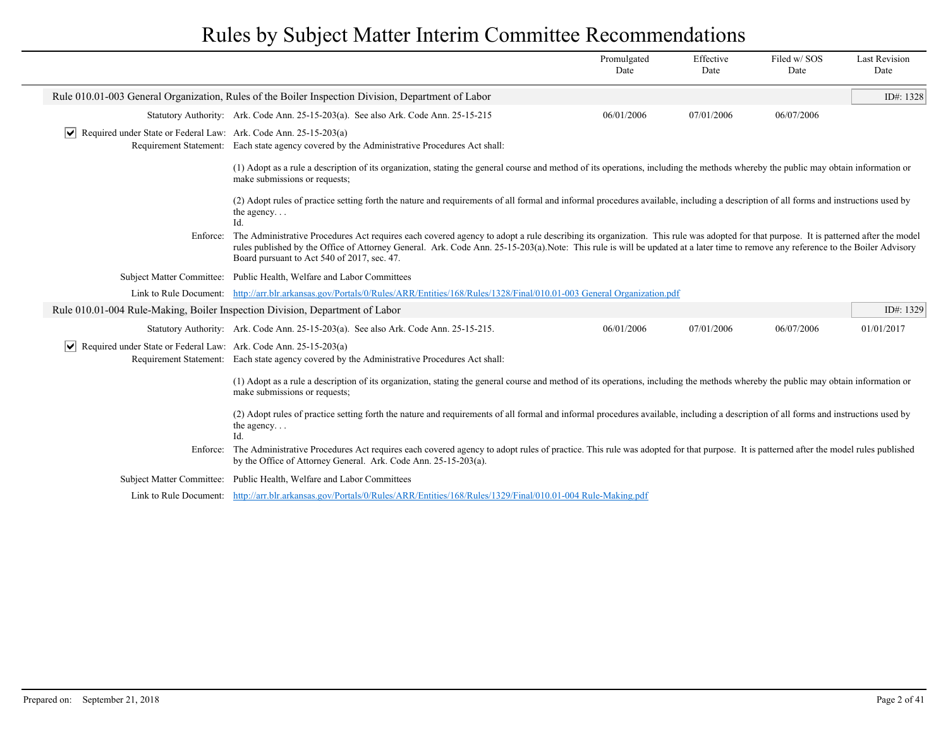|                                                                                 |                                                                                                                                                                                                                                                                                                                                                                                                                        | Promulgated<br>Date | Effective<br>Date | Filed w/SOS<br>Date | <b>Last Revision</b><br>Date |
|---------------------------------------------------------------------------------|------------------------------------------------------------------------------------------------------------------------------------------------------------------------------------------------------------------------------------------------------------------------------------------------------------------------------------------------------------------------------------------------------------------------|---------------------|-------------------|---------------------|------------------------------|
|                                                                                 | Rule 010.01-003 General Organization, Rules of the Boiler Inspection Division, Department of Labor                                                                                                                                                                                                                                                                                                                     |                     |                   |                     | ID#: 1328                    |
|                                                                                 | Statutory Authority: Ark. Code Ann. 25-15-203(a). See also Ark. Code Ann. 25-15-215                                                                                                                                                                                                                                                                                                                                    | 06/01/2006          | 07/01/2006        | 06/07/2006          |                              |
| $ \mathbf{v} $ Required under State or Federal Law: Ark. Code Ann. 25-15-203(a) | Requirement Statement: Each state agency covered by the Administrative Procedures Act shall:                                                                                                                                                                                                                                                                                                                           |                     |                   |                     |                              |
|                                                                                 | (1) Adopt as a rule a description of its organization, stating the general course and method of its operations, including the methods whereby the public may obtain information or<br>make submissions or requests;                                                                                                                                                                                                    |                     |                   |                     |                              |
|                                                                                 | (2) Adopt rules of practice setting forth the nature and requirements of all formal and informal procedures available, including a description of all forms and instructions used by<br>the agency. $\ldots$<br>$Id$ .                                                                                                                                                                                                 |                     |                   |                     |                              |
| Enforce:                                                                        | The Administrative Procedures Act requires each covered agency to adopt a rule describing its organization. This rule was adopted for that purpose. It is patterned after the model<br>rules published by the Office of Attorney General. Ark. Code Ann. 25-15-203(a).Note: This rule is will be updated at a later time to remove any reference to the Boiler Advisory<br>Board pursuant to Act 540 of 2017, sec. 47. |                     |                   |                     |                              |
| <b>Subject Matter Committee:</b>                                                | Public Health, Welfare and Labor Committees                                                                                                                                                                                                                                                                                                                                                                            |                     |                   |                     |                              |
| Link to Rule Document:                                                          | http://arr.blr.arkansas.gov/Portals/0/Rules/ARR/Entities/168/Rules/1328/Final/010.01-003 General Organization.pdf                                                                                                                                                                                                                                                                                                      |                     |                   |                     |                              |
| Rule 010.01-004 Rule-Making, Boiler Inspection Division, Department of Labor    |                                                                                                                                                                                                                                                                                                                                                                                                                        |                     |                   |                     | ID#: 1329                    |
|                                                                                 | Statutory Authority: Ark. Code Ann. 25-15-203(a). See also Ark. Code Ann. 25-15-215.                                                                                                                                                                                                                                                                                                                                   | 06/01/2006          | 07/01/2006        | 06/07/2006          | 01/01/2017                   |
| $ \mathbf{v} $ Required under State or Federal Law: Ark. Code Ann. 25-15-203(a) | Requirement Statement: Each state agency covered by the Administrative Procedures Act shall:                                                                                                                                                                                                                                                                                                                           |                     |                   |                     |                              |
|                                                                                 | (1) Adopt as a rule a description of its organization, stating the general course and method of its operations, including the methods whereby the public may obtain information or<br>make submissions or requests;                                                                                                                                                                                                    |                     |                   |                     |                              |
|                                                                                 | (2) Adopt rules of practice setting forth the nature and requirements of all formal and informal procedures available, including a description of all forms and instructions used by<br>the agency<br>Id.                                                                                                                                                                                                              |                     |                   |                     |                              |
| Enforce:                                                                        | The Administrative Procedures Act requires each covered agency to adopt rules of practice. This rule was adopted for that purpose. It is patterned after the model rules published<br>by the Office of Attorney General. Ark. Code Ann. 25-15-203(a).                                                                                                                                                                  |                     |                   |                     |                              |
|                                                                                 | Subject Matter Committee: Public Health, Welfare and Labor Committees                                                                                                                                                                                                                                                                                                                                                  |                     |                   |                     |                              |
|                                                                                 | Link to Rule Document: http://arr.blr.arkansas.gov/Portals/0/Rules/ARR/Entities/168/Rules/1329/Final/010.01-004 Rule-Making.pdf                                                                                                                                                                                                                                                                                        |                     |                   |                     |                              |
|                                                                                 |                                                                                                                                                                                                                                                                                                                                                                                                                        |                     |                   |                     |                              |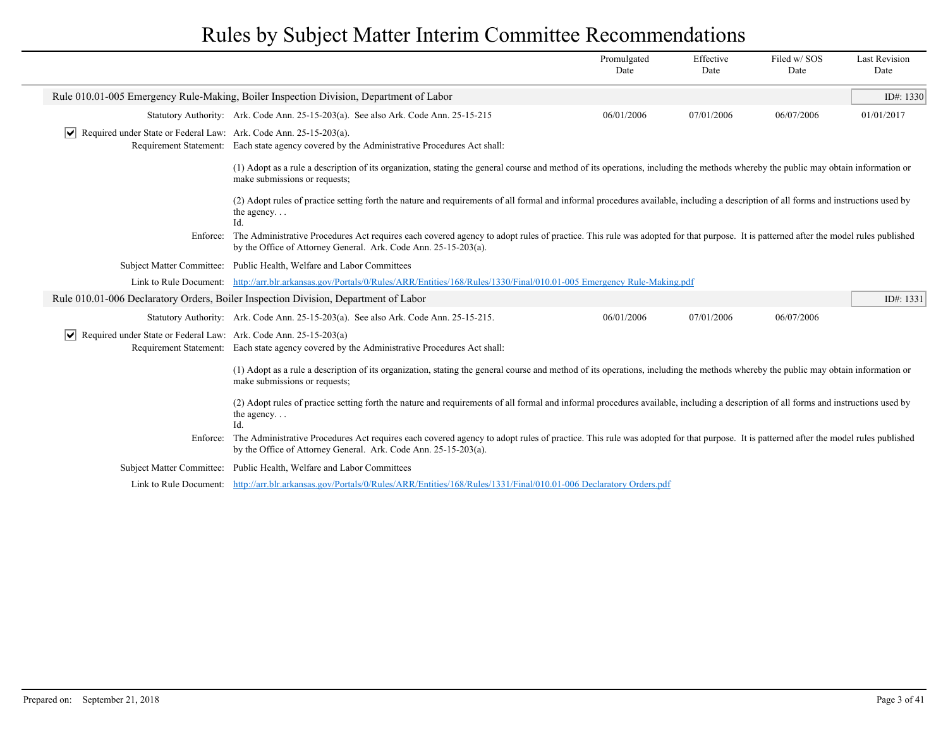|                                                                                                  |                                                                                                                                                                                                                                                                | Promulgated<br>Date | Effective<br>Date | Filed w/SOS<br>Date | <b>Last Revision</b><br>Date |
|--------------------------------------------------------------------------------------------------|----------------------------------------------------------------------------------------------------------------------------------------------------------------------------------------------------------------------------------------------------------------|---------------------|-------------------|---------------------|------------------------------|
|                                                                                                  | Rule 010.01-005 Emergency Rule-Making, Boiler Inspection Division, Department of Labor                                                                                                                                                                         |                     |                   |                     | ID#: 1330                    |
|                                                                                                  | Statutory Authority: Ark. Code Ann. 25-15-203(a). See also Ark. Code Ann. 25-15-215                                                                                                                                                                            | 06/01/2006          | 07/01/2006        | 06/07/2006          | 01/01/2017                   |
| Required under State or Federal Law: Ark. Code Ann. 25-15-203(a).<br>$\vert\bm{\mathsf{v}}\vert$ | Requirement Statement: Each state agency covered by the Administrative Procedures Act shall:                                                                                                                                                                   |                     |                   |                     |                              |
|                                                                                                  | (1) Adopt as a rule a description of its organization, stating the general course and method of its operations, including the methods whereby the public may obtain information or<br>make submissions or requests;                                            |                     |                   |                     |                              |
|                                                                                                  | (2) Adopt rules of practice setting forth the nature and requirements of all formal and informal procedures available, including a description of all forms and instructions used by<br>the agency. $\ldots$<br>Id.                                            |                     |                   |                     |                              |
| Enforce:                                                                                         | The Administrative Procedures Act requires each covered agency to adopt rules of practice. This rule was adopted for that purpose. It is patterned after the model rules published<br>by the Office of Attorney General. Ark. Code Ann. 25-15-203(a).          |                     |                   |                     |                              |
|                                                                                                  | Subject Matter Committee: Public Health, Welfare and Labor Committees                                                                                                                                                                                          |                     |                   |                     |                              |
|                                                                                                  | Link to Rule Document: http://arr.blr.arkansas.gov/Portals/0/Rules/ARR/Entities/168/Rules/1330/Final/010.01-005 Emergency Rule-Making.pdf                                                                                                                      |                     |                   |                     |                              |
|                                                                                                  | Rule 010.01-006 Declaratory Orders, Boiler Inspection Division, Department of Labor                                                                                                                                                                            |                     |                   |                     | ID#: 1331                    |
|                                                                                                  | Statutory Authority: Ark. Code Ann. 25-15-203(a). See also Ark. Code Ann. 25-15-215.                                                                                                                                                                           | 06/01/2006          | 07/01/2006        | 06/07/2006          |                              |
| M<br>Required under State or Federal Law: Ark. Code Ann. 25-15-203(a)                            | Requirement Statement: Each state agency covered by the Administrative Procedures Act shall:                                                                                                                                                                   |                     |                   |                     |                              |
|                                                                                                  | (1) Adopt as a rule a description of its organization, stating the general course and method of its operations, including the methods whereby the public may obtain information or<br>make submissions or requests;                                            |                     |                   |                     |                              |
|                                                                                                  | (2) Adopt rules of practice setting forth the nature and requirements of all formal and informal procedures available, including a description of all forms and instructions used by<br>the agency<br>Id.                                                      |                     |                   |                     |                              |
|                                                                                                  | Enforce: The Administrative Procedures Act requires each covered agency to adopt rules of practice. This rule was adopted for that purpose. It is patterned after the model rules published<br>by the Office of Attorney General. Ark. Code Ann. 25-15-203(a). |                     |                   |                     |                              |
| <b>Subject Matter Committee:</b>                                                                 | Public Health, Welfare and Labor Committees                                                                                                                                                                                                                    |                     |                   |                     |                              |
|                                                                                                  | Link to Rule Document: http://arr.blr.arkansas.gov/Portals/0/Rules/ARR/Entities/168/Rules/1331/Final/010.01-006 Declaratory Orders.pdf                                                                                                                         |                     |                   |                     |                              |
|                                                                                                  |                                                                                                                                                                                                                                                                |                     |                   |                     |                              |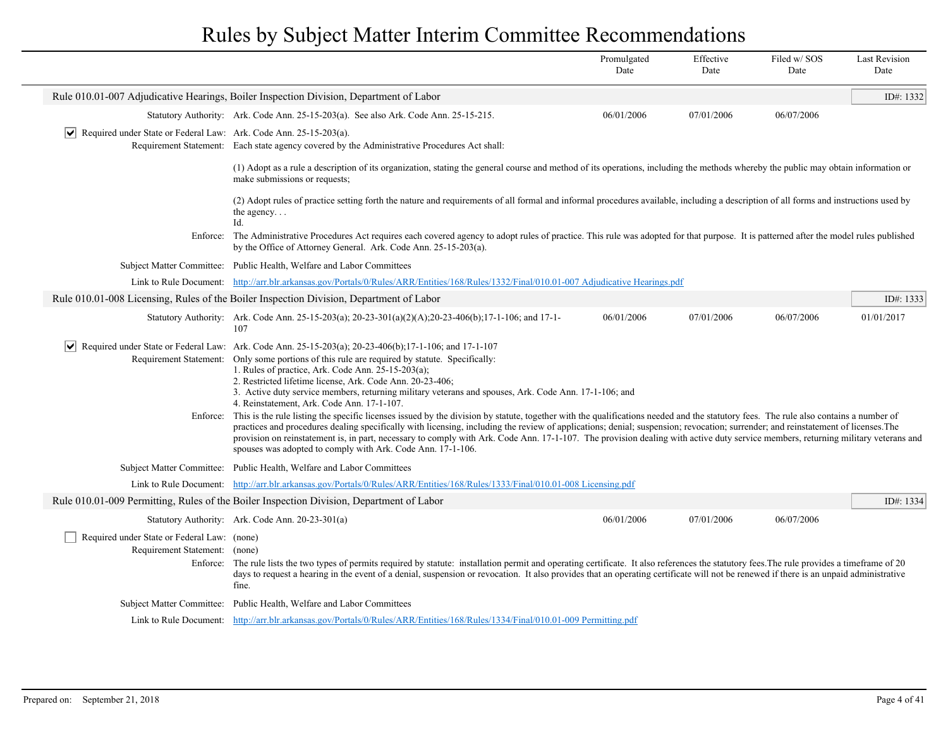|                                                                                  |                                                                                                                                                                                                                                                                                                                                                                                                                                                                                                                                                                                                                               | Promulgated<br>Date | Effective<br>Date | Filed w/SOS<br>Date | <b>Last Revision</b><br>Date |
|----------------------------------------------------------------------------------|-------------------------------------------------------------------------------------------------------------------------------------------------------------------------------------------------------------------------------------------------------------------------------------------------------------------------------------------------------------------------------------------------------------------------------------------------------------------------------------------------------------------------------------------------------------------------------------------------------------------------------|---------------------|-------------------|---------------------|------------------------------|
|                                                                                  | Rule 010.01-007 Adjudicative Hearings, Boiler Inspection Division, Department of Labor                                                                                                                                                                                                                                                                                                                                                                                                                                                                                                                                        |                     |                   |                     | ID#: 1332                    |
|                                                                                  | Statutory Authority: Ark. Code Ann. 25-15-203(a). See also Ark. Code Ann. 25-15-215.                                                                                                                                                                                                                                                                                                                                                                                                                                                                                                                                          | 06/01/2006          | 07/01/2006        | 06/07/2006          |                              |
| $ \mathbf{v} $ Required under State or Federal Law: Ark. Code Ann. 25-15-203(a). | Requirement Statement: Each state agency covered by the Administrative Procedures Act shall:                                                                                                                                                                                                                                                                                                                                                                                                                                                                                                                                  |                     |                   |                     |                              |
|                                                                                  | (1) Adopt as a rule a description of its organization, stating the general course and method of its operations, including the methods whereby the public may obtain information or<br>make submissions or requests;                                                                                                                                                                                                                                                                                                                                                                                                           |                     |                   |                     |                              |
|                                                                                  | (2) Adopt rules of practice setting forth the nature and requirements of all formal and informal procedures available, including a description of all forms and instructions used by<br>the agency<br>Id.                                                                                                                                                                                                                                                                                                                                                                                                                     |                     |                   |                     |                              |
|                                                                                  | Enforce: The Administrative Procedures Act requires each covered agency to adopt rules of practice. This rule was adopted for that purpose. It is patterned after the model rules published<br>by the Office of Attorney General. Ark. Code Ann. 25-15-203(a).                                                                                                                                                                                                                                                                                                                                                                |                     |                   |                     |                              |
|                                                                                  | Subject Matter Committee: Public Health, Welfare and Labor Committees                                                                                                                                                                                                                                                                                                                                                                                                                                                                                                                                                         |                     |                   |                     |                              |
|                                                                                  | Link to Rule Document: http://arr.blr.arkansas.gov/Portals/0/Rules/ARR/Entities/168/Rules/1332/Final/010.01-007 Adjudicative Hearings.pdf                                                                                                                                                                                                                                                                                                                                                                                                                                                                                     |                     |                   |                     |                              |
|                                                                                  | Rule 010.01-008 Licensing, Rules of the Boiler Inspection Division, Department of Labor                                                                                                                                                                                                                                                                                                                                                                                                                                                                                                                                       |                     |                   |                     | ID#: 1333                    |
|                                                                                  | Statutory Authority: Ark. Code Ann. 25-15-203(a); 20-23-301(a)(2)(A); 20-23-406(b); 17-1-106; and 17-1-<br>107                                                                                                                                                                                                                                                                                                                                                                                                                                                                                                                | 06/01/2006          | 07/01/2006        | 06/07/2006          | 01/01/2017                   |
| Requirement Statement:                                                           | $\blacktriangleright$ Required under State or Federal Law: Ark. Code Ann. 25-15-203(a); 20-23-406(b);17-1-106; and 17-1-107<br>Only some portions of this rule are required by statute. Specifically:<br>1. Rules of practice, Ark. Code Ann. $25-15-203(a)$ ;<br>2. Restricted lifetime license, Ark. Code Ann. 20-23-406;<br>3. Active duty service members, returning military veterans and spouses, Ark. Code Ann. 17-1-106; and<br>4. Reinstatement, Ark. Code Ann. 17-1-107.                                                                                                                                            |                     |                   |                     |                              |
| Enforce:                                                                         | This is the rule listing the specific licenses issued by the division by statute, together with the qualifications needed and the statutory fees. The rule also contains a number of<br>practices and procedures dealing specifically with licensing, including the review of applications; denial; suspension; revocation; surrender; and reinstatement of licenses. The<br>provision on reinstatement is, in part, necessary to comply with Ark. Code Ann. 17-1-107. The provision dealing with active duty service members, returning military veterans and<br>spouses was adopted to comply with Ark. Code Ann. 17-1-106. |                     |                   |                     |                              |
|                                                                                  | Subject Matter Committee: Public Health, Welfare and Labor Committees                                                                                                                                                                                                                                                                                                                                                                                                                                                                                                                                                         |                     |                   |                     |                              |
| Link to Rule Document:                                                           | http://arr.blr.arkansas.gov/Portals/0/Rules/ARR/Entities/168/Rules/1333/Final/010.01-008 Licensing.pdf                                                                                                                                                                                                                                                                                                                                                                                                                                                                                                                        |                     |                   |                     |                              |
|                                                                                  | Rule 010.01-009 Permitting, Rules of the Boiler Inspection Division, Department of Labor                                                                                                                                                                                                                                                                                                                                                                                                                                                                                                                                      |                     |                   |                     | ID#: 1334                    |
|                                                                                  | Statutory Authority: Ark. Code Ann. 20-23-301(a)                                                                                                                                                                                                                                                                                                                                                                                                                                                                                                                                                                              | 06/01/2006          | 07/01/2006        | 06/07/2006          |                              |
| Required under State or Federal Law: (none)<br>Requirement Statement:            | (none)<br>Enforce: The rule lists the two types of permits required by statute: installation permit and operating certificate. It also references the statutory fees. The rule provides a timeframe of 20<br>days to request a hearing in the event of a denial, suspension or revocation. It also provides that an operating certificate will not be renewed if there is an unpaid administrative<br>fine.                                                                                                                                                                                                                   |                     |                   |                     |                              |
| Subject Matter Committee:                                                        | Public Health, Welfare and Labor Committees                                                                                                                                                                                                                                                                                                                                                                                                                                                                                                                                                                                   |                     |                   |                     |                              |
|                                                                                  | Link to Rule Document: http://arr.blr.arkansas.gov/Portals/0/Rules/ARR/Entities/168/Rules/1334/Final/010.01-009 Permitting.pdf                                                                                                                                                                                                                                                                                                                                                                                                                                                                                                |                     |                   |                     |                              |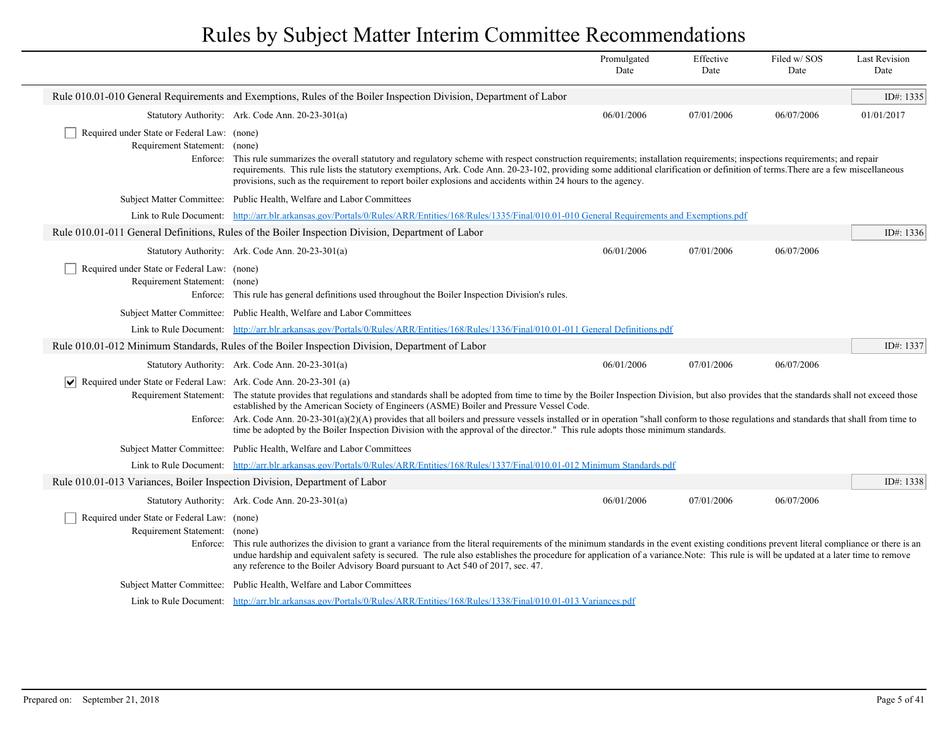|                                                                                          |                                                                                                                                                                                                                                                                                                                                                                                                                                                                                                                                                                                                                                              | Promulgated<br>Date | Effective<br>Date | Filed w/SOS<br>Date | <b>Last Revision</b><br>Date |
|------------------------------------------------------------------------------------------|----------------------------------------------------------------------------------------------------------------------------------------------------------------------------------------------------------------------------------------------------------------------------------------------------------------------------------------------------------------------------------------------------------------------------------------------------------------------------------------------------------------------------------------------------------------------------------------------------------------------------------------------|---------------------|-------------------|---------------------|------------------------------|
|                                                                                          | Rule 010.01-010 General Requirements and Exemptions, Rules of the Boiler Inspection Division, Department of Labor                                                                                                                                                                                                                                                                                                                                                                                                                                                                                                                            |                     |                   |                     | ID#: 1335                    |
|                                                                                          | Statutory Authority: Ark. Code Ann. 20-23-301(a)                                                                                                                                                                                                                                                                                                                                                                                                                                                                                                                                                                                             | 06/01/2006          | 07/01/2006        | 06/07/2006          | 01/01/2017                   |
| Required under State or Federal Law: (none)<br>Requirement Statement: (none)<br>Enforce: | This rule summarizes the overall statutory and regulatory scheme with respect construction requirements; installation requirements; inspections requirements; and repair<br>requirements. This rule lists the statutory exemptions, Ark. Code Ann. 20-23-102, providing some additional clarification or definition of terms. There are a few miscellaneous<br>provisions, such as the requirement to report boiler explosions and accidents within 24 hours to the agency.                                                                                                                                                                  |                     |                   |                     |                              |
|                                                                                          | Subject Matter Committee: Public Health, Welfare and Labor Committees                                                                                                                                                                                                                                                                                                                                                                                                                                                                                                                                                                        |                     |                   |                     |                              |
|                                                                                          | Link to Rule Document: http://arr.blr.arkansas.gov/Portals/0/Rules/ARR/Entities/168/Rules/1335/Final/010.01-010 General Requirements and Exemptions.pdf                                                                                                                                                                                                                                                                                                                                                                                                                                                                                      |                     |                   |                     |                              |
|                                                                                          | Rule 010.01-011 General Definitions, Rules of the Boiler Inspection Division, Department of Labor                                                                                                                                                                                                                                                                                                                                                                                                                                                                                                                                            |                     |                   |                     | ID#: $1336$                  |
|                                                                                          | Statutory Authority: Ark. Code Ann. 20-23-301(a)                                                                                                                                                                                                                                                                                                                                                                                                                                                                                                                                                                                             | 06/01/2006          | 07/01/2006        | 06/07/2006          |                              |
| Required under State or Federal Law: (none)<br>Requirement Statement: (none)<br>Enforce: | This rule has general definitions used throughout the Boiler Inspection Division's rules.                                                                                                                                                                                                                                                                                                                                                                                                                                                                                                                                                    |                     |                   |                     |                              |
|                                                                                          | Subject Matter Committee: Public Health, Welfare and Labor Committees                                                                                                                                                                                                                                                                                                                                                                                                                                                                                                                                                                        |                     |                   |                     |                              |
|                                                                                          | Link to Rule Document: http://arr.blr.arkansas.gov/Portals/0/Rules/ARR/Entities/168/Rules/1336/Final/010.01-011 General Definitions.pdf                                                                                                                                                                                                                                                                                                                                                                                                                                                                                                      |                     |                   |                     |                              |
|                                                                                          | Rule 010.01-012 Minimum Standards, Rules of the Boiler Inspection Division, Department of Labor                                                                                                                                                                                                                                                                                                                                                                                                                                                                                                                                              |                     |                   |                     | ID#: 1337                    |
|                                                                                          | Statutory Authority: Ark. Code Ann. 20-23-301(a)                                                                                                                                                                                                                                                                                                                                                                                                                                                                                                                                                                                             | 06/01/2006          | 07/01/2006        | 06/07/2006          |                              |
| $ \mathbf{v} $ Required under State or Federal Law: Ark. Code Ann. 20-23-301 (a)         | Requirement Statement: The statute provides that regulations and standards shall be adopted from time to time by the Boiler Inspection Division, but also provides that the standards shall not exceed those<br>established by the American Society of Engineers (ASME) Boiler and Pressure Vessel Code.<br>Enforce: Ark. Code Ann. 20-23-301(a)(2)(A) provides that all boilers and pressure vessels installed or in operation "shall conform to those regulations and standards that shall from time to<br>time be adopted by the Boiler Inspection Division with the approval of the director." This rule adopts those minimum standards. |                     |                   |                     |                              |
|                                                                                          | Subject Matter Committee: Public Health, Welfare and Labor Committees                                                                                                                                                                                                                                                                                                                                                                                                                                                                                                                                                                        |                     |                   |                     |                              |
|                                                                                          | Link to Rule Document: http://arr.blr.arkansas.gov/Portals/0/Rules/ARR/Entities/168/Rules/1337/Final/010.01-012 Minimum Standards.pdf                                                                                                                                                                                                                                                                                                                                                                                                                                                                                                        |                     |                   |                     |                              |
| Rule 010.01-013 Variances, Boiler Inspection Division, Department of Labor               |                                                                                                                                                                                                                                                                                                                                                                                                                                                                                                                                                                                                                                              |                     |                   |                     | ID#: $1338$                  |
|                                                                                          | Statutory Authority: Ark. Code Ann. 20-23-301(a)                                                                                                                                                                                                                                                                                                                                                                                                                                                                                                                                                                                             | 06/01/2006          | 07/01/2006        | 06/07/2006          |                              |
| Required under State or Federal Law: (none)<br>Requirement Statement: (none)<br>Enforce: | This rule authorizes the division to grant a variance from the literal requirements of the minimum standards in the event existing conditions prevent literal compliance or there is an<br>undue hardship and equivalent safety is secured. The rule also establishes the procedure for application of a variance. Note: This rule is will be updated at a later time to remove<br>any reference to the Boiler Advisory Board pursuant to Act 540 of 2017, sec. 47.                                                                                                                                                                          |                     |                   |                     |                              |
|                                                                                          | Subject Matter Committee: Public Health, Welfare and Labor Committees                                                                                                                                                                                                                                                                                                                                                                                                                                                                                                                                                                        |                     |                   |                     |                              |
|                                                                                          | Link to Rule Document: http://arr.blr.arkansas.gov/Portals/0/Rules/ARR/Entities/168/Rules/1338/Final/010.01-013 Variances.pdf                                                                                                                                                                                                                                                                                                                                                                                                                                                                                                                |                     |                   |                     |                              |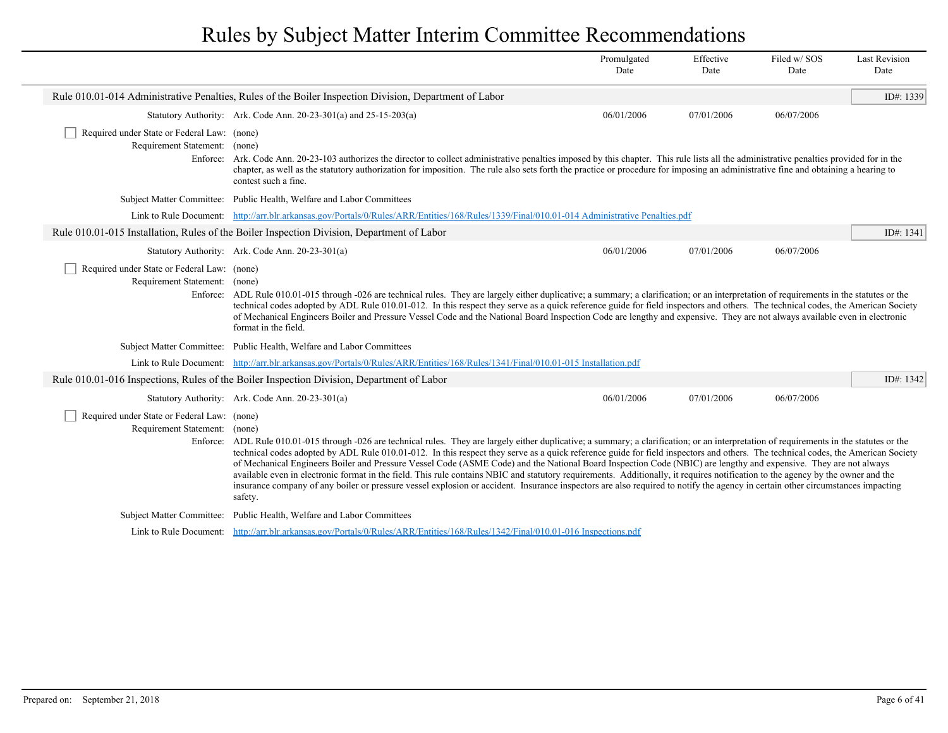|                                                                              |                                                                                                                                                                                                                                                                                                                                                                                                                                                                                                                                                                                                                                                                                                                                                                                                                                                                                                                                     | Promulgated<br>Date | Effective<br>Date | Filed w/SOS<br>Date | <b>Last Revision</b><br>Date |
|------------------------------------------------------------------------------|-------------------------------------------------------------------------------------------------------------------------------------------------------------------------------------------------------------------------------------------------------------------------------------------------------------------------------------------------------------------------------------------------------------------------------------------------------------------------------------------------------------------------------------------------------------------------------------------------------------------------------------------------------------------------------------------------------------------------------------------------------------------------------------------------------------------------------------------------------------------------------------------------------------------------------------|---------------------|-------------------|---------------------|------------------------------|
|                                                                              | Rule 010.01-014 Administrative Penalties, Rules of the Boiler Inspection Division, Department of Labor                                                                                                                                                                                                                                                                                                                                                                                                                                                                                                                                                                                                                                                                                                                                                                                                                              |                     |                   |                     | ID#: 1339                    |
|                                                                              | Statutory Authority: Ark. Code Ann. 20-23-301(a) and 25-15-203(a)                                                                                                                                                                                                                                                                                                                                                                                                                                                                                                                                                                                                                                                                                                                                                                                                                                                                   | 06/01/2006          | 07/01/2006        | 06/07/2006          |                              |
| Required under State or Federal Law: (none)<br>Requirement Statement: (none) | Enforce: Ark. Code Ann. 20-23-103 authorizes the director to collect administrative penalties imposed by this chapter. This rule lists all the administrative penalties provided for in the<br>chapter, as well as the statutory authorization for imposition. The rule also sets forth the practice or procedure for imposing an administrative fine and obtaining a hearing to<br>contest such a fine.                                                                                                                                                                                                                                                                                                                                                                                                                                                                                                                            |                     |                   |                     |                              |
|                                                                              | Subject Matter Committee: Public Health, Welfare and Labor Committees                                                                                                                                                                                                                                                                                                                                                                                                                                                                                                                                                                                                                                                                                                                                                                                                                                                               |                     |                   |                     |                              |
|                                                                              | Link to Rule Document: http://arr.blr.arkansas.gov/Portals/0/Rules/ARR/Entities/168/Rules/1339/Final/010.01-014 Administrative Penalties.pdf                                                                                                                                                                                                                                                                                                                                                                                                                                                                                                                                                                                                                                                                                                                                                                                        |                     |                   |                     |                              |
|                                                                              | Rule 010.01-015 Installation, Rules of the Boiler Inspection Division, Department of Labor                                                                                                                                                                                                                                                                                                                                                                                                                                                                                                                                                                                                                                                                                                                                                                                                                                          |                     |                   |                     | ID#: 1341                    |
|                                                                              | Statutory Authority: Ark. Code Ann. 20-23-301(a)                                                                                                                                                                                                                                                                                                                                                                                                                                                                                                                                                                                                                                                                                                                                                                                                                                                                                    | 06/01/2006          | 07/01/2006        | 06/07/2006          |                              |
| Required under State or Federal Law: (none)<br>Requirement Statement: (none) | Enforce: ADL Rule 010.01-015 through -026 are technical rules. They are largely either duplicative; a summary; a clarification; or an interpretation of requirements in the statutes or the<br>technical codes adopted by ADL Rule 010.01-012. In this respect they serve as a quick reference guide for field inspectors and others. The technical codes, the American Society<br>of Mechanical Engineers Boiler and Pressure Vessel Code and the National Board Inspection Code are lengthy and expensive. They are not always available even in electronic<br>format in the field.                                                                                                                                                                                                                                                                                                                                               |                     |                   |                     |                              |
|                                                                              | Subject Matter Committee: Public Health, Welfare and Labor Committees                                                                                                                                                                                                                                                                                                                                                                                                                                                                                                                                                                                                                                                                                                                                                                                                                                                               |                     |                   |                     |                              |
|                                                                              | Link to Rule Document: http://arr.blr.arkansas.gov/Portals/0/Rules/ARR/Entities/168/Rules/1341/Final/010.01-015 Installation.pdf                                                                                                                                                                                                                                                                                                                                                                                                                                                                                                                                                                                                                                                                                                                                                                                                    |                     |                   |                     |                              |
|                                                                              | Rule 010.01-016 Inspections, Rules of the Boiler Inspection Division, Department of Labor                                                                                                                                                                                                                                                                                                                                                                                                                                                                                                                                                                                                                                                                                                                                                                                                                                           |                     |                   |                     | ID#: 1342                    |
|                                                                              | Statutory Authority: Ark. Code Ann. 20-23-301(a)                                                                                                                                                                                                                                                                                                                                                                                                                                                                                                                                                                                                                                                                                                                                                                                                                                                                                    | 06/01/2006          | 07/01/2006        | 06/07/2006          |                              |
| Required under State or Federal Law: (none)<br>Requirement Statement: (none) | Enforce: ADL Rule 010.01-015 through -026 are technical rules. They are largely either duplicative; a summary; a clarification; or an interpretation of requirements in the statutes or the<br>technical codes adopted by ADL Rule 010.01-012. In this respect they serve as a quick reference guide for field inspectors and others. The technical codes, the American Society<br>of Mechanical Engineers Boiler and Pressure Vessel Code (ASME Code) and the National Board Inspection Code (NBIC) are lengthy and expensive. They are not always<br>available even in electronic format in the field. This rule contains NBIC and statutory requirements. Additionally, it requires notification to the agency by the owner and the<br>insurance company of any boiler or pressure vessel explosion or accident. Insurance inspectors are also required to notify the agency in certain other circumstances impacting<br>safety. |                     |                   |                     |                              |
|                                                                              | Subject Matter Committee: Public Health, Welfare and Labor Committees                                                                                                                                                                                                                                                                                                                                                                                                                                                                                                                                                                                                                                                                                                                                                                                                                                                               |                     |                   |                     |                              |
|                                                                              | Link to Rule Document: http://arr.blr.arkansas.gov/Portals/0/Rules/ARR/Entities/168/Rules/1342/Final/010.01-016 Inspections.pdf                                                                                                                                                                                                                                                                                                                                                                                                                                                                                                                                                                                                                                                                                                                                                                                                     |                     |                   |                     |                              |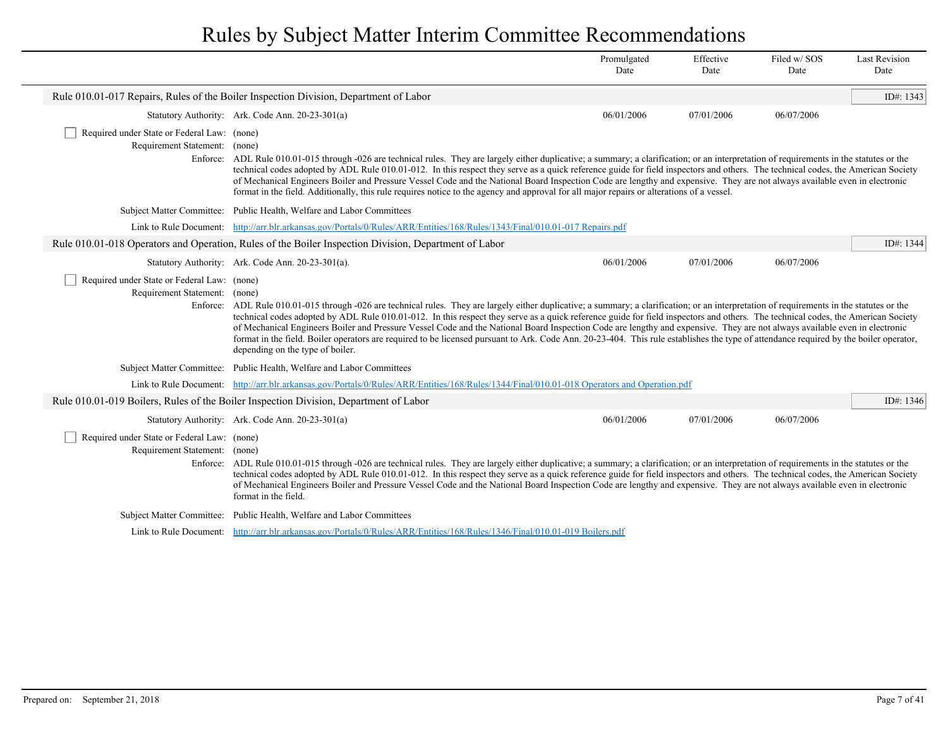|                                                                              |                                                                                                                                                                                                                                                                                                                                                                                                                                                                                                                                                                                                                                                                                                                                                                                            | Promulgated<br>Date | Effective<br>Date | Filed w/SOS<br>Date | <b>Last Revision</b><br>Date |
|------------------------------------------------------------------------------|--------------------------------------------------------------------------------------------------------------------------------------------------------------------------------------------------------------------------------------------------------------------------------------------------------------------------------------------------------------------------------------------------------------------------------------------------------------------------------------------------------------------------------------------------------------------------------------------------------------------------------------------------------------------------------------------------------------------------------------------------------------------------------------------|---------------------|-------------------|---------------------|------------------------------|
|                                                                              | Rule 010.01-017 Repairs, Rules of the Boiler Inspection Division, Department of Labor                                                                                                                                                                                                                                                                                                                                                                                                                                                                                                                                                                                                                                                                                                      |                     |                   |                     | ID#: 1343                    |
|                                                                              | Statutory Authority: Ark. Code Ann. 20-23-301(a)                                                                                                                                                                                                                                                                                                                                                                                                                                                                                                                                                                                                                                                                                                                                           | 06/01/2006          | 07/01/2006        | 06/07/2006          |                              |
| Required under State or Federal Law: (none)<br>Requirement Statement: (none) | Enforce: ADL Rule 010.01-015 through -026 are technical rules. They are largely either duplicative; a summary; a clarification; or an interpretation of requirements in the statutes or the<br>technical codes adopted by ADL Rule 010.01-012. In this respect they serve as a quick reference guide for field inspectors and others. The technical codes, the American Society<br>of Mechanical Engineers Boiler and Pressure Vessel Code and the National Board Inspection Code are lengthy and expensive. They are not always available even in electronic<br>format in the field. Additionally, this rule requires notice to the agency and approval for all major repairs or alterations of a vessel.                                                                                 |                     |                   |                     |                              |
|                                                                              | Subject Matter Committee: Public Health, Welfare and Labor Committees                                                                                                                                                                                                                                                                                                                                                                                                                                                                                                                                                                                                                                                                                                                      |                     |                   |                     |                              |
|                                                                              | Link to Rule Document: http://arr.blr.arkansas.gov/Portals/0/Rules/ARR/Entities/168/Rules/1343/Final/010.01-017 Repairs.pdf                                                                                                                                                                                                                                                                                                                                                                                                                                                                                                                                                                                                                                                                |                     |                   |                     |                              |
|                                                                              | Rule 010.01-018 Operators and Operation, Rules of the Boiler Inspection Division, Department of Labor                                                                                                                                                                                                                                                                                                                                                                                                                                                                                                                                                                                                                                                                                      |                     |                   |                     | ID#: 1344                    |
|                                                                              | Statutory Authority: Ark. Code Ann. 20-23-301(a).                                                                                                                                                                                                                                                                                                                                                                                                                                                                                                                                                                                                                                                                                                                                          | 06/01/2006          | 07/01/2006        | 06/07/2006          |                              |
| Required under State or Federal Law: (none)<br>Requirement Statement: (none) | Enforce: ADL Rule 010.01-015 through -026 are technical rules. They are largely either duplicative; a summary; a clarification; or an interpretation of requirements in the statutes or the<br>technical codes adopted by ADL Rule 010.01-012. In this respect they serve as a quick reference guide for field inspectors and others. The technical codes, the American Society<br>of Mechanical Engineers Boiler and Pressure Vessel Code and the National Board Inspection Code are lengthy and expensive. They are not always available even in electronic<br>format in the field. Boiler operators are required to be licensed pursuant to Ark. Code Ann. 20-23-404. This rule establishes the type of attendance required by the boiler operator,<br>depending on the type of boiler. |                     |                   |                     |                              |
|                                                                              | Subject Matter Committee: Public Health, Welfare and Labor Committees                                                                                                                                                                                                                                                                                                                                                                                                                                                                                                                                                                                                                                                                                                                      |                     |                   |                     |                              |
|                                                                              | Link to Rule Document: http://arr.blr.arkansas.gov/Portals/0/Rules/ARR/Entities/168/Rules/1344/Final/010.01-018 Operators and Operation.pdf                                                                                                                                                                                                                                                                                                                                                                                                                                                                                                                                                                                                                                                |                     |                   |                     |                              |
|                                                                              | Rule 010.01-019 Boilers, Rules of the Boiler Inspection Division, Department of Labor                                                                                                                                                                                                                                                                                                                                                                                                                                                                                                                                                                                                                                                                                                      |                     |                   |                     | ID#: 1346                    |
|                                                                              | Statutory Authority: Ark. Code Ann. 20-23-301(a)                                                                                                                                                                                                                                                                                                                                                                                                                                                                                                                                                                                                                                                                                                                                           | 06/01/2006          | 07/01/2006        | 06/07/2006          |                              |
| Required under State or Federal Law: (none)<br>Requirement Statement: (none) | Enforce: ADL Rule 010.01-015 through -026 are technical rules. They are largely either duplicative; a summary; a clarification; or an interpretation of requirements in the statutes or the<br>technical codes adopted by ADL Rule 010.01-012. In this respect they serve as a quick reference guide for field inspectors and others. The technical codes, the American Society<br>of Mechanical Engineers Boiler and Pressure Vessel Code and the National Board Inspection Code are lengthy and expensive. They are not always available even in electronic<br>format in the field.                                                                                                                                                                                                      |                     |                   |                     |                              |
|                                                                              | Subject Matter Committee: Public Health, Welfare and Labor Committees                                                                                                                                                                                                                                                                                                                                                                                                                                                                                                                                                                                                                                                                                                                      |                     |                   |                     |                              |
|                                                                              | Link to Rule Document: http://arr.blr.arkansas.gov/Portals/0/Rules/ARR/Entities/168/Rules/1346/Final/010.01-019 Boilers.pdf                                                                                                                                                                                                                                                                                                                                                                                                                                                                                                                                                                                                                                                                |                     |                   |                     |                              |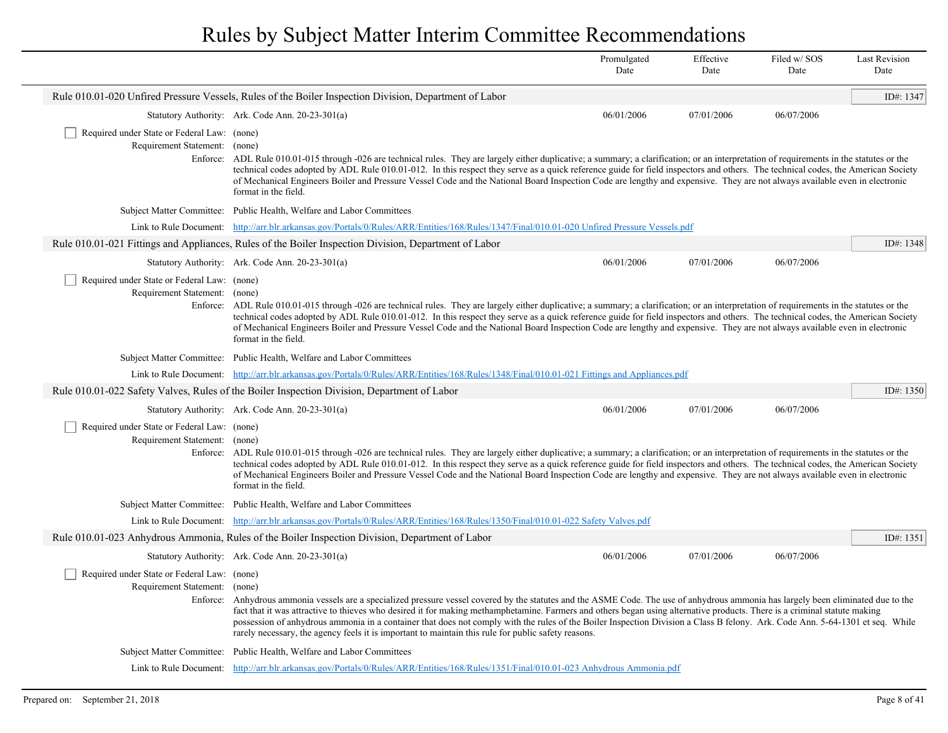|                                                                                          |                                                                                                                                                                                                                                                                                                                                                                                                                                                                                                                                                                                                                                                                    | Promulgated<br>Date | Effective<br>Date | Filed w/SOS<br>Date | <b>Last Revision</b><br>Date |
|------------------------------------------------------------------------------------------|--------------------------------------------------------------------------------------------------------------------------------------------------------------------------------------------------------------------------------------------------------------------------------------------------------------------------------------------------------------------------------------------------------------------------------------------------------------------------------------------------------------------------------------------------------------------------------------------------------------------------------------------------------------------|---------------------|-------------------|---------------------|------------------------------|
|                                                                                          | Rule 010.01-020 Unfired Pressure Vessels, Rules of the Boiler Inspection Division, Department of Labor                                                                                                                                                                                                                                                                                                                                                                                                                                                                                                                                                             |                     |                   |                     | ID#: 1347                    |
|                                                                                          | Statutory Authority: Ark. Code Ann. 20-23-301(a)                                                                                                                                                                                                                                                                                                                                                                                                                                                                                                                                                                                                                   | 06/01/2006          | 07/01/2006        | 06/07/2006          |                              |
| Required under State or Federal Law: (none)<br>Requirement Statement: (none)<br>Enforce: | ADL Rule 010.01-015 through -026 are technical rules. They are largely either duplicative; a summary; a clarification; or an interpretation of requirements in the statutes or the<br>technical codes adopted by ADL Rule 010.01-012. In this respect they serve as a quick reference guide for field inspectors and others. The technical codes, the American Society<br>of Mechanical Engineers Boiler and Pressure Vessel Code and the National Board Inspection Code are lengthy and expensive. They are not always available even in electronic<br>format in the field.                                                                                       |                     |                   |                     |                              |
|                                                                                          | Subject Matter Committee: Public Health, Welfare and Labor Committees                                                                                                                                                                                                                                                                                                                                                                                                                                                                                                                                                                                              |                     |                   |                     |                              |
|                                                                                          | Link to Rule Document: http://arr.blr.arkansas.gov/Portals/0/Rules/ARR/Entities/168/Rules/1347/Final/010.01-020 Unfired Pressure Vessels.pdf                                                                                                                                                                                                                                                                                                                                                                                                                                                                                                                       |                     |                   |                     |                              |
|                                                                                          | Rule 010.01-021 Fittings and Appliances, Rules of the Boiler Inspection Division, Department of Labor                                                                                                                                                                                                                                                                                                                                                                                                                                                                                                                                                              |                     |                   |                     | ID#: 1348                    |
|                                                                                          | Statutory Authority: Ark. Code Ann. 20-23-301(a)                                                                                                                                                                                                                                                                                                                                                                                                                                                                                                                                                                                                                   | 06/01/2006          | 07/01/2006        | 06/07/2006          |                              |
| Required under State or Federal Law: (none)<br>Requirement Statement: (none)             | Enforce: ADL Rule 010.01-015 through -026 are technical rules. They are largely either duplicative; a summary; a clarification; or an interpretation of requirements in the statutes or the<br>technical codes adopted by ADL Rule 010.01-012. In this respect they serve as a quick reference guide for field inspectors and others. The technical codes, the American Society<br>of Mechanical Engineers Boiler and Pressure Vessel Code and the National Board Inspection Code are lengthy and expensive. They are not always available even in electronic<br>format in the field.                                                                              |                     |                   |                     |                              |
|                                                                                          | Subject Matter Committee: Public Health, Welfare and Labor Committees                                                                                                                                                                                                                                                                                                                                                                                                                                                                                                                                                                                              |                     |                   |                     |                              |
|                                                                                          | Link to Rule Document: http://arr.blr.arkansas.gov/Portals/0/Rules/ARR/Entities/168/Rules/1348/Final/010.01-021 Fittings and Appliances.pdf                                                                                                                                                                                                                                                                                                                                                                                                                                                                                                                        |                     |                   |                     |                              |
|                                                                                          | Rule 010.01-022 Safety Valves, Rules of the Boiler Inspection Division, Department of Labor                                                                                                                                                                                                                                                                                                                                                                                                                                                                                                                                                                        |                     |                   |                     | ID#: 1350                    |
|                                                                                          | Statutory Authority: Ark. Code Ann. 20-23-301(a)                                                                                                                                                                                                                                                                                                                                                                                                                                                                                                                                                                                                                   | 06/01/2006          | 07/01/2006        | 06/07/2006          |                              |
| Required under State or Federal Law: (none)<br>Requirement Statement: (none)             | Enforce: ADL Rule 010.01-015 through -026 are technical rules. They are largely either duplicative; a summary; a clarification; or an interpretation of requirements in the statutes or the<br>technical codes adopted by ADL Rule 010.01-012. In this respect they serve as a quick reference guide for field inspectors and others. The technical codes, the American Society<br>of Mechanical Engineers Boiler and Pressure Vessel Code and the National Board Inspection Code are lengthy and expensive. They are not always available even in electronic<br>format in the field.                                                                              |                     |                   |                     |                              |
|                                                                                          | Subject Matter Committee: Public Health, Welfare and Labor Committees                                                                                                                                                                                                                                                                                                                                                                                                                                                                                                                                                                                              |                     |                   |                     |                              |
|                                                                                          | Link to Rule Document: http://arr.blr.arkansas.gov/Portals/0/Rules/ARR/Entities/168/Rules/1350/Final/010.01-022 Safety Valves.pdf                                                                                                                                                                                                                                                                                                                                                                                                                                                                                                                                  |                     |                   |                     |                              |
|                                                                                          | Rule 010.01-023 Anhydrous Ammonia, Rules of the Boiler Inspection Division, Department of Labor                                                                                                                                                                                                                                                                                                                                                                                                                                                                                                                                                                    |                     |                   |                     | ID#: 1351                    |
|                                                                                          | Statutory Authority: Ark. Code Ann. 20-23-301(a)                                                                                                                                                                                                                                                                                                                                                                                                                                                                                                                                                                                                                   | 06/01/2006          | 07/01/2006        | 06/07/2006          |                              |
| Required under State or Federal Law: (none)<br>Requirement Statement:                    | (none)<br>Enforce: Anhydrous ammonia vessels are a specialized pressure vessel covered by the statutes and the ASME Code. The use of anhydrous ammonia has largely been eliminated due to the<br>fact that it was attractive to thieves who desired it for making methamphetamine. Farmers and others began using alternative products. There is a criminal statute making<br>possession of anhydrous ammonia in a container that does not comply with the rules of the Boiler Inspection Division a Class B felony. Ark. Code Ann. 5-64-1301 et seq. While<br>rarely necessary, the agency feels it is important to maintain this rule for public safety reasons. |                     |                   |                     |                              |
|                                                                                          | Subject Matter Committee: Public Health, Welfare and Labor Committees                                                                                                                                                                                                                                                                                                                                                                                                                                                                                                                                                                                              |                     |                   |                     |                              |
|                                                                                          | Link to Rule Document: http://arr.blr.arkansas.gov/Portals/0/Rules/ARR/Entities/168/Rules/1351/Final/010.01-023 Anhydrous Ammonia.pdf                                                                                                                                                                                                                                                                                                                                                                                                                                                                                                                              |                     |                   |                     |                              |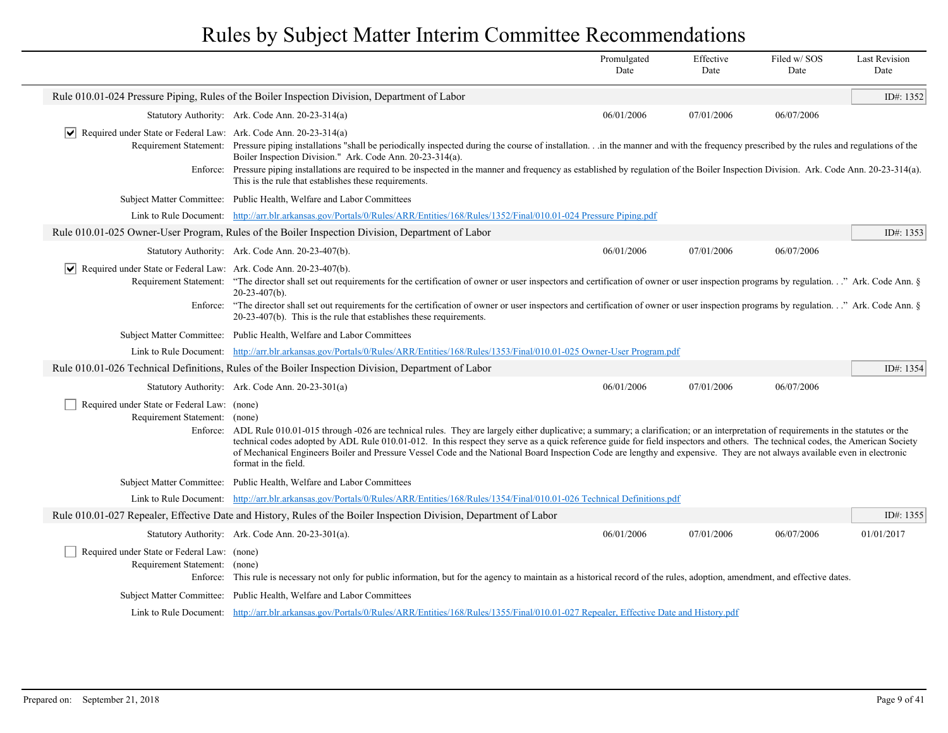|                                                                                       |                                                                                                                                                                                                                                                                                                                                                                                                                                                                                                                                                                                       | Promulgated<br>Date | Effective<br>Date | Filed w/SOS<br>Date | <b>Last Revision</b><br>Date |
|---------------------------------------------------------------------------------------|---------------------------------------------------------------------------------------------------------------------------------------------------------------------------------------------------------------------------------------------------------------------------------------------------------------------------------------------------------------------------------------------------------------------------------------------------------------------------------------------------------------------------------------------------------------------------------------|---------------------|-------------------|---------------------|------------------------------|
|                                                                                       | Rule 010.01-024 Pressure Piping, Rules of the Boiler Inspection Division, Department of Labor                                                                                                                                                                                                                                                                                                                                                                                                                                                                                         |                     |                   |                     | ID#: 1352                    |
|                                                                                       | Statutory Authority: Ark. Code Ann. 20-23-314(a)                                                                                                                                                                                                                                                                                                                                                                                                                                                                                                                                      | 06/01/2006          | 07/01/2006        | 06/07/2006          |                              |
| $\sqrt{\phantom{a}}$ Required under State or Federal Law: Ark. Code Ann. 20-23-314(a) | Requirement Statement: Pressure piping installations "shall be periodically inspected during the course of installation in the manner and with the frequency prescribed by the rules and regulations of the<br>Boiler Inspection Division." Ark. Code Ann. 20-23-314(a).                                                                                                                                                                                                                                                                                                              |                     |                   |                     |                              |
|                                                                                       | Enforce: Pressure piping installations are required to be inspected in the manner and frequency as established by regulation of the Boiler Inspection Division. Ark. Code Ann. 20-23-314(a).<br>This is the rule that establishes these requirements.                                                                                                                                                                                                                                                                                                                                 |                     |                   |                     |                              |
|                                                                                       | Subject Matter Committee: Public Health, Welfare and Labor Committees                                                                                                                                                                                                                                                                                                                                                                                                                                                                                                                 |                     |                   |                     |                              |
|                                                                                       | Link to Rule Document: http://arr.blr.arkansas.gov/Portals/0/Rules/ARR/Entities/168/Rules/1352/Final/010.01-024 Pressure Piping.pdf                                                                                                                                                                                                                                                                                                                                                                                                                                                   |                     |                   |                     |                              |
|                                                                                       | Rule 010.01-025 Owner-User Program, Rules of the Boiler Inspection Division, Department of Labor                                                                                                                                                                                                                                                                                                                                                                                                                                                                                      |                     |                   |                     | ID#: $1353$                  |
|                                                                                       | Statutory Authority: Ark. Code Ann. 20-23-407(b).                                                                                                                                                                                                                                                                                                                                                                                                                                                                                                                                     | 06/01/2006          | 07/01/2006        | 06/07/2006          |                              |
| $ \mathbf{v} $ Required under State or Federal Law: Ark. Code Ann. 20-23-407(b).      | Requirement Statement: "The director shall set out requirements for the certification of owner or user inspectors and certification of owner or user inspection programs by regulation" Ark. Code Ann. §<br>$20 - 23 - 407(b)$ .                                                                                                                                                                                                                                                                                                                                                      |                     |                   |                     |                              |
| Enforce:                                                                              | "The director shall set out requirements for the certification of owner or user inspectors and certification of owner or user inspection programs by regulation" Ark. Code Ann. §<br>20-23-407(b). This is the rule that establishes these requirements.                                                                                                                                                                                                                                                                                                                              |                     |                   |                     |                              |
|                                                                                       | Subject Matter Committee: Public Health, Welfare and Labor Committees                                                                                                                                                                                                                                                                                                                                                                                                                                                                                                                 |                     |                   |                     |                              |
|                                                                                       | Link to Rule Document: http://arr.blr.arkansas.gov/Portals/0/Rules/ARR/Entities/168/Rules/1353/Final/010.01-025 Owner-User Program.pdf                                                                                                                                                                                                                                                                                                                                                                                                                                                |                     |                   |                     |                              |
|                                                                                       | Rule 010.01-026 Technical Definitions, Rules of the Boiler Inspection Division, Department of Labor                                                                                                                                                                                                                                                                                                                                                                                                                                                                                   |                     |                   |                     | ID#: 1354                    |
|                                                                                       | Statutory Authority: Ark. Code Ann. 20-23-301(a)                                                                                                                                                                                                                                                                                                                                                                                                                                                                                                                                      | 06/01/2006          | 07/01/2006        | 06/07/2006          |                              |
| Required under State or Federal Law: (none)<br>Requirement Statement: (none)          | Enforce: ADL Rule 010.01-015 through -026 are technical rules. They are largely either duplicative; a summary; a clarification; or an interpretation of requirements in the statutes or the<br>technical codes adopted by ADL Rule 010.01-012. In this respect they serve as a quick reference guide for field inspectors and others. The technical codes, the American Society<br>of Mechanical Engineers Boiler and Pressure Vessel Code and the National Board Inspection Code are lengthy and expensive. They are not always available even in electronic<br>format in the field. |                     |                   |                     |                              |
|                                                                                       | Subject Matter Committee: Public Health, Welfare and Labor Committees                                                                                                                                                                                                                                                                                                                                                                                                                                                                                                                 |                     |                   |                     |                              |
|                                                                                       | Link to Rule Document: http://arr.blr.arkansas.gov/Portals/0/Rules/ARR/Entities/168/Rules/1354/Final/010.01-026 Technical Definitions.pdf                                                                                                                                                                                                                                                                                                                                                                                                                                             |                     |                   |                     |                              |
|                                                                                       | Rule 010.01-027 Repealer, Effective Date and History, Rules of the Boiler Inspection Division, Department of Labor                                                                                                                                                                                                                                                                                                                                                                                                                                                                    |                     |                   |                     | ID#: 1355                    |
|                                                                                       | Statutory Authority: Ark. Code Ann. 20-23-301(a).                                                                                                                                                                                                                                                                                                                                                                                                                                                                                                                                     | 06/01/2006          | 07/01/2006        | 06/07/2006          | 01/01/2017                   |
| Required under State or Federal Law: (none)<br>Requirement Statement: (none)          | Enforce: This rule is necessary not only for public information, but for the agency to maintain as a historical record of the rules, adoption, amendment, and effective dates.                                                                                                                                                                                                                                                                                                                                                                                                        |                     |                   |                     |                              |
|                                                                                       | Subject Matter Committee: Public Health, Welfare and Labor Committees                                                                                                                                                                                                                                                                                                                                                                                                                                                                                                                 |                     |                   |                     |                              |
|                                                                                       | Link to Rule Document: http://arr.blr.arkansas.gov/Portals/0/Rules/ARR/Entities/168/Rules/1355/Final/010.01-027 Repealer, Effective Date and History.pdf                                                                                                                                                                                                                                                                                                                                                                                                                              |                     |                   |                     |                              |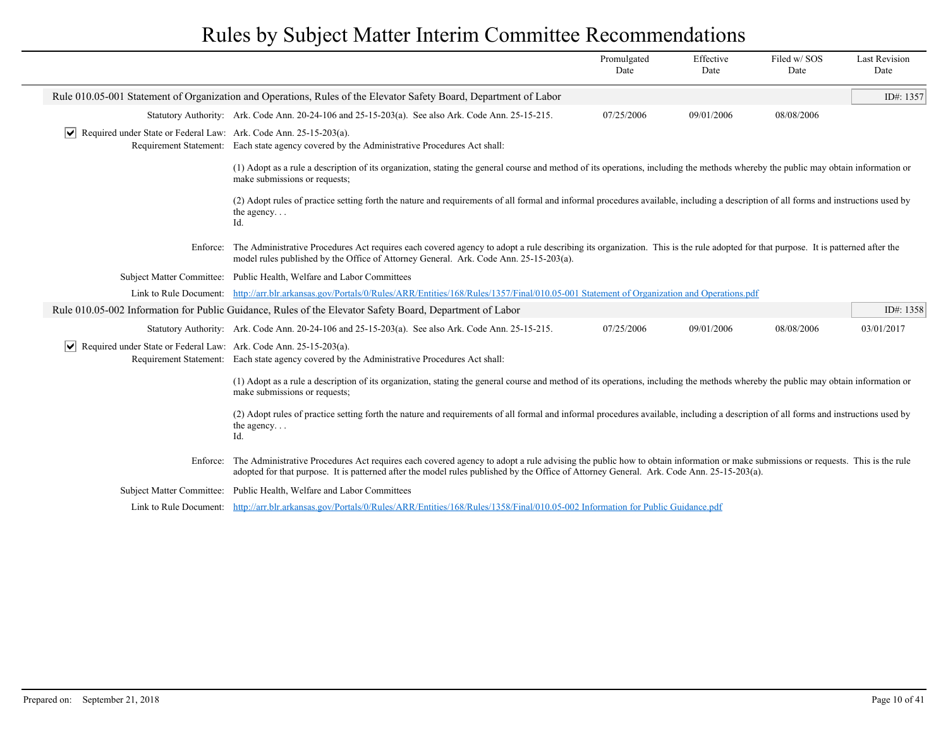|                                                                                  |                                                                                                                                                                                                                                                                                                                             | Promulgated<br>Date | Effective<br>Date | Filed w/SOS<br>Date | <b>Last Revision</b><br>Date |
|----------------------------------------------------------------------------------|-----------------------------------------------------------------------------------------------------------------------------------------------------------------------------------------------------------------------------------------------------------------------------------------------------------------------------|---------------------|-------------------|---------------------|------------------------------|
|                                                                                  | Rule 010.05-001 Statement of Organization and Operations, Rules of the Elevator Safety Board, Department of Labor                                                                                                                                                                                                           |                     |                   |                     | ID#: 1357                    |
|                                                                                  | Statutory Authority: Ark. Code Ann. 20-24-106 and 25-15-203(a). See also Ark. Code Ann. 25-15-215.                                                                                                                                                                                                                          | 07/25/2006          | 09/01/2006        | 08/08/2006          |                              |
| $ \mathbf{v} $ Required under State or Federal Law: Ark. Code Ann. 25-15-203(a). | Requirement Statement: Each state agency covered by the Administrative Procedures Act shall:                                                                                                                                                                                                                                |                     |                   |                     |                              |
|                                                                                  | (1) Adopt as a rule a description of its organization, stating the general course and method of its operations, including the methods whereby the public may obtain information or<br>make submissions or requests;                                                                                                         |                     |                   |                     |                              |
|                                                                                  | (2) Adopt rules of practice setting forth the nature and requirements of all formal and informal procedures available, including a description of all forms and instructions used by<br>the agency<br>Id.                                                                                                                   |                     |                   |                     |                              |
| Enforce:                                                                         | The Administrative Procedures Act requires each covered agency to adopt a rule describing its organization. This is the rule adopted for that purpose. It is patterned after the<br>model rules published by the Office of Attorney General. Ark. Code Ann. 25-15-203(a).                                                   |                     |                   |                     |                              |
|                                                                                  | Subject Matter Committee: Public Health, Welfare and Labor Committees                                                                                                                                                                                                                                                       |                     |                   |                     |                              |
|                                                                                  | Link to Rule Document: http://arr.blr.arkansas.gov/Portals/0/Rules/ARR/Entities/168/Rules/1357/Final/010.05-001 Statement of Organization and Operations.pdf                                                                                                                                                                |                     |                   |                     |                              |
|                                                                                  | Rule 010.05-002 Information for Public Guidance, Rules of the Elevator Safety Board, Department of Labor                                                                                                                                                                                                                    |                     |                   |                     | ID#: 1358                    |
|                                                                                  | Statutory Authority: Ark. Code Ann. 20-24-106 and 25-15-203(a). See also Ark. Code Ann. 25-15-215.                                                                                                                                                                                                                          | 07/25/2006          | 09/01/2006        | 08/08/2006          | 03/01/2017                   |
| $ \mathbf{v} $ Required under State or Federal Law: Ark. Code Ann. 25-15-203(a). | Requirement Statement: Each state agency covered by the Administrative Procedures Act shall:                                                                                                                                                                                                                                |                     |                   |                     |                              |
|                                                                                  | (1) Adopt as a rule a description of its organization, stating the general course and method of its operations, including the methods whereby the public may obtain information or<br>make submissions or requests;                                                                                                         |                     |                   |                     |                              |
|                                                                                  | (2) Adopt rules of practice setting forth the nature and requirements of all formal and informal procedures available, including a description of all forms and instructions used by<br>the agency<br>Id.                                                                                                                   |                     |                   |                     |                              |
| Enforce:                                                                         | The Administrative Procedures Act requires each covered agency to adopt a rule advising the public how to obtain information or make submissions or requests. This is the rule<br>adopted for that purpose. It is patterned after the model rules published by the Office of Attorney General. Ark. Code Ann. 25-15-203(a). |                     |                   |                     |                              |
| <b>Subject Matter Committee:</b>                                                 | Public Health, Welfare and Labor Committees                                                                                                                                                                                                                                                                                 |                     |                   |                     |                              |
|                                                                                  | Link to Rule Document: http://arr.blr.arkansas.gov/Portals/0/Rules/ARR/Entities/168/Rules/1358/Final/010.05-002 Information for Public Guidance.pdf                                                                                                                                                                         |                     |                   |                     |                              |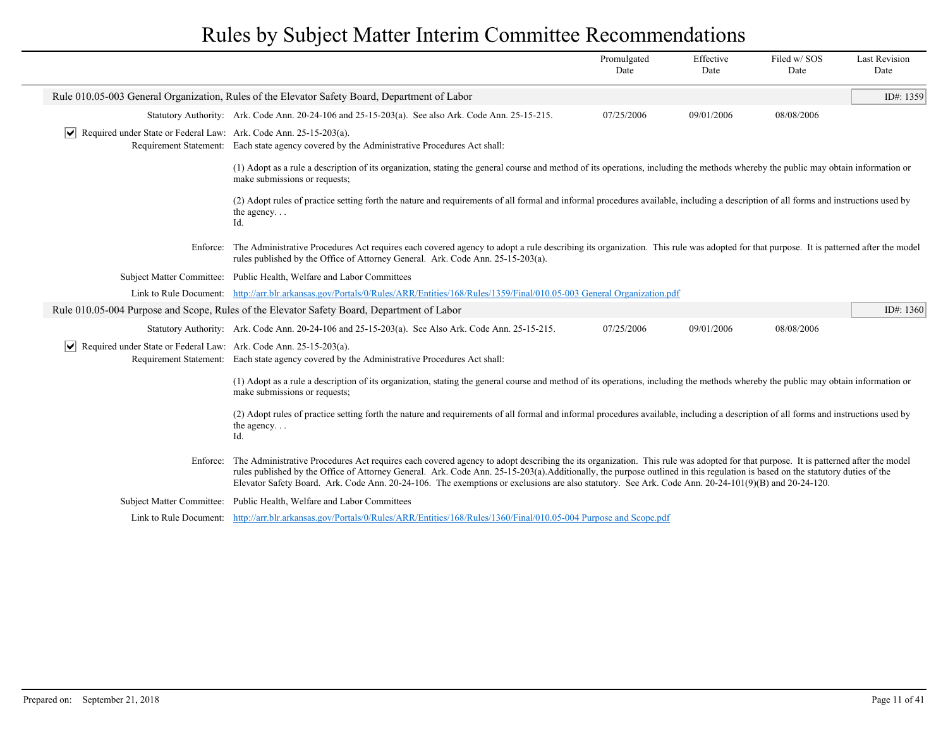|                                                                                  |                                                                                                                                                                                                                                                                                                                                                                                                                                                                                                                         | Promulgated<br>Date | Effective<br>Date | Filed w/SOS<br>Date | <b>Last Revision</b><br>Date |
|----------------------------------------------------------------------------------|-------------------------------------------------------------------------------------------------------------------------------------------------------------------------------------------------------------------------------------------------------------------------------------------------------------------------------------------------------------------------------------------------------------------------------------------------------------------------------------------------------------------------|---------------------|-------------------|---------------------|------------------------------|
|                                                                                  | Rule 010.05-003 General Organization, Rules of the Elevator Safety Board, Department of Labor                                                                                                                                                                                                                                                                                                                                                                                                                           |                     |                   |                     | ID#: 1359                    |
|                                                                                  | Statutory Authority: Ark. Code Ann. 20-24-106 and 25-15-203(a). See also Ark. Code Ann. 25-15-215.                                                                                                                                                                                                                                                                                                                                                                                                                      | 07/25/2006          | 09/01/2006        | 08/08/2006          |                              |
| $ \mathbf{v} $ Required under State or Federal Law: Ark. Code Ann. 25-15-203(a). | Requirement Statement: Each state agency covered by the Administrative Procedures Act shall:                                                                                                                                                                                                                                                                                                                                                                                                                            |                     |                   |                     |                              |
|                                                                                  | (1) Adopt as a rule a description of its organization, stating the general course and method of its operations, including the methods whereby the public may obtain information or<br>make submissions or requests;                                                                                                                                                                                                                                                                                                     |                     |                   |                     |                              |
|                                                                                  | (2) Adopt rules of practice setting forth the nature and requirements of all formal and informal procedures available, including a description of all forms and instructions used by<br>the agency<br>Id.                                                                                                                                                                                                                                                                                                               |                     |                   |                     |                              |
| Enforce:                                                                         | The Administrative Procedures Act requires each covered agency to adopt a rule describing its organization. This rule was adopted for that purpose. It is patterned after the model<br>rules published by the Office of Attorney General. Ark. Code Ann. 25-15-203(a).                                                                                                                                                                                                                                                  |                     |                   |                     |                              |
|                                                                                  | Subject Matter Committee: Public Health, Welfare and Labor Committees                                                                                                                                                                                                                                                                                                                                                                                                                                                   |                     |                   |                     |                              |
|                                                                                  | Link to Rule Document: http://arr.blr.arkansas.gov/Portals/0/Rules/ARR/Entities/168/Rules/1359/Final/010.05-003 General Organization.pdf                                                                                                                                                                                                                                                                                                                                                                                |                     |                   |                     |                              |
|                                                                                  | Rule 010.05-004 Purpose and Scope, Rules of the Elevator Safety Board, Department of Labor                                                                                                                                                                                                                                                                                                                                                                                                                              |                     |                   |                     | ID#: 1360                    |
|                                                                                  | Statutory Authority: Ark. Code Ann. 20-24-106 and 25-15-203(a). See Also Ark. Code Ann. 25-15-215.                                                                                                                                                                                                                                                                                                                                                                                                                      | 07/25/2006          | 09/01/2006        | 08/08/2006          |                              |
| $ \mathbf{v} $ Required under State or Federal Law: Ark. Code Ann. 25-15-203(a). | Requirement Statement: Each state agency covered by the Administrative Procedures Act shall:                                                                                                                                                                                                                                                                                                                                                                                                                            |                     |                   |                     |                              |
|                                                                                  | (1) Adopt as a rule a description of its organization, stating the general course and method of its operations, including the methods whereby the public may obtain information or<br>make submissions or requests;                                                                                                                                                                                                                                                                                                     |                     |                   |                     |                              |
|                                                                                  | (2) Adopt rules of practice setting forth the nature and requirements of all formal and informal procedures available, including a description of all forms and instructions used by<br>the agency<br>Id.                                                                                                                                                                                                                                                                                                               |                     |                   |                     |                              |
| Enforce:                                                                         | The Administrative Procedures Act requires each covered agency to adopt describing the its organization. This rule was adopted for that purpose. It is patterned after the model<br>rules published by the Office of Attorney General. Ark. Code Ann. 25-15-203(a).Additionally, the purpose outlined in this regulation is based on the statutory duties of the<br>Elevator Safety Board. Ark. Code Ann. 20-24-106. The exemptions or exclusions are also statutory. See Ark. Code Ann. 20-24-101(9)(B) and 20-24-120. |                     |                   |                     |                              |
|                                                                                  | Subject Matter Committee: Public Health, Welfare and Labor Committees                                                                                                                                                                                                                                                                                                                                                                                                                                                   |                     |                   |                     |                              |
|                                                                                  | Link to Rule Document: http://arr.blr.arkansas.gov/Portals/0/Rules/ARR/Entities/168/Rules/1360/Final/010.05-004 Purpose and Scope.pdf                                                                                                                                                                                                                                                                                                                                                                                   |                     |                   |                     |                              |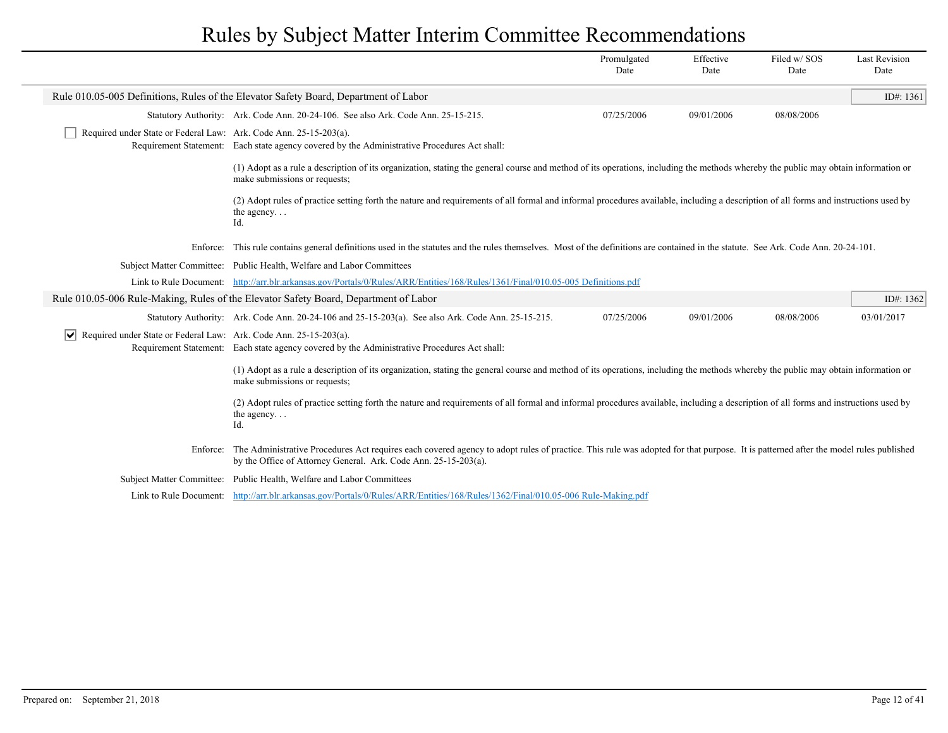|                                                                               |                                                                                                                                                                                                                                                                | Promulgated<br>Date | Effective<br>Date | Filed w/SOS<br>Date | <b>Last Revision</b><br>Date |
|-------------------------------------------------------------------------------|----------------------------------------------------------------------------------------------------------------------------------------------------------------------------------------------------------------------------------------------------------------|---------------------|-------------------|---------------------|------------------------------|
|                                                                               | Rule 010.05-005 Definitions, Rules of the Elevator Safety Board, Department of Labor                                                                                                                                                                           |                     |                   |                     | ID#: $1361$                  |
|                                                                               | Statutory Authority: Ark. Code Ann. 20-24-106. See also Ark. Code Ann. 25-15-215.                                                                                                                                                                              | 07/25/2006          | 09/01/2006        | 08/08/2006          |                              |
| Required under State or Federal Law: Ark. Code Ann. 25-15-203(a).             | Requirement Statement: Each state agency covered by the Administrative Procedures Act shall:                                                                                                                                                                   |                     |                   |                     |                              |
|                                                                               | (1) Adopt as a rule a description of its organization, stating the general course and method of its operations, including the methods whereby the public may obtain information or<br>make submissions or requests;                                            |                     |                   |                     |                              |
|                                                                               | (2) Adopt rules of practice setting forth the nature and requirements of all formal and informal procedures available, including a description of all forms and instructions used by<br>the agency<br>Id.                                                      |                     |                   |                     |                              |
|                                                                               | Enforce: This rule contains general definitions used in the statutes and the rules themselves. Most of the definitions are contained in the statute. See Ark. Code Ann. 20-24-101.                                                                             |                     |                   |                     |                              |
|                                                                               | Subject Matter Committee: Public Health, Welfare and Labor Committees                                                                                                                                                                                          |                     |                   |                     |                              |
|                                                                               | Link to Rule Document: http://arr.blr.arkansas.gov/Portals/0/Rules/ARR/Entities/168/Rules/1361/Final/010.05-005 Definitions.pdf                                                                                                                                |                     |                   |                     |                              |
|                                                                               | Rule 010.05-006 Rule-Making, Rules of the Elevator Safety Board, Department of Labor                                                                                                                                                                           |                     |                   |                     | ID#: 1362                    |
|                                                                               | Statutory Authority: Ark. Code Ann. 20-24-106 and 25-15-203(a). See also Ark. Code Ann. 25-15-215.                                                                                                                                                             | 07/25/2006          | 09/01/2006        | 08/08/2006          | 03/01/2017                   |
| Required under State or Federal Law: Ark. Code Ann. 25-15-203(a).<br>$ \vee $ | Requirement Statement: Each state agency covered by the Administrative Procedures Act shall:                                                                                                                                                                   |                     |                   |                     |                              |
|                                                                               | (1) Adopt as a rule a description of its organization, stating the general course and method of its operations, including the methods whereby the public may obtain information or<br>make submissions or requests;                                            |                     |                   |                     |                              |
|                                                                               | (2) Adopt rules of practice setting forth the nature and requirements of all formal and informal procedures available, including a description of all forms and instructions used by<br>the agency<br>Id.                                                      |                     |                   |                     |                              |
|                                                                               | Enforce: The Administrative Procedures Act requires each covered agency to adopt rules of practice. This rule was adopted for that purpose. It is patterned after the model rules published<br>by the Office of Attorney General. Ark. Code Ann. 25-15-203(a). |                     |                   |                     |                              |
|                                                                               | Subject Matter Committee: Public Health, Welfare and Labor Committees                                                                                                                                                                                          |                     |                   |                     |                              |
|                                                                               | Link to Rule Document: http://arr.blr.arkansas.gov/Portals/0/Rules/ARR/Entities/168/Rules/1362/Final/010.05-006 Rule-Making.pdf                                                                                                                                |                     |                   |                     |                              |
|                                                                               |                                                                                                                                                                                                                                                                |                     |                   |                     |                              |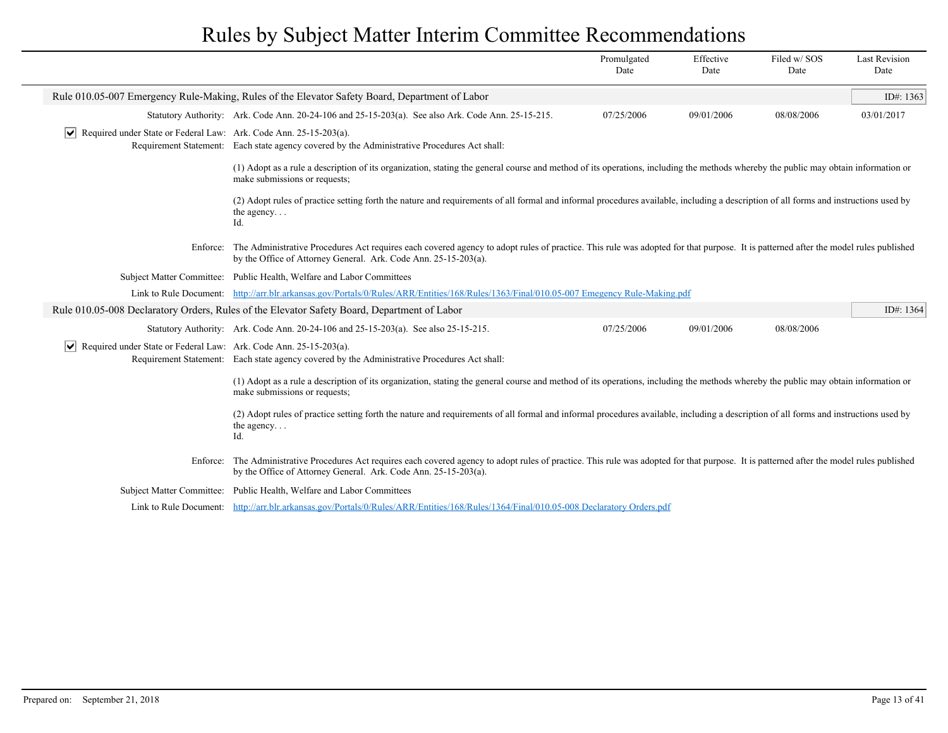|                                                                                  |                                                                                                                                                                                                                                                                | Promulgated<br>Date | Effective<br>Date | Filed w/SOS<br>Date | <b>Last Revision</b><br>Date |
|----------------------------------------------------------------------------------|----------------------------------------------------------------------------------------------------------------------------------------------------------------------------------------------------------------------------------------------------------------|---------------------|-------------------|---------------------|------------------------------|
|                                                                                  | Rule 010.05-007 Emergency Rule-Making, Rules of the Elevator Safety Board, Department of Labor                                                                                                                                                                 |                     |                   |                     | ID#: $1363$                  |
|                                                                                  | Statutory Authority: Ark. Code Ann. 20-24-106 and 25-15-203(a). See also Ark. Code Ann. 25-15-215.                                                                                                                                                             | 07/25/2006          | 09/01/2006        | 08/08/2006          | 03/01/2017                   |
| $ \mathbf{v} $ Required under State or Federal Law: Ark. Code Ann. 25-15-203(a). | Requirement Statement: Each state agency covered by the Administrative Procedures Act shall:                                                                                                                                                                   |                     |                   |                     |                              |
|                                                                                  | (1) Adopt as a rule a description of its organization, stating the general course and method of its operations, including the methods whereby the public may obtain information or<br>make submissions or requests;                                            |                     |                   |                     |                              |
|                                                                                  | (2) Adopt rules of practice setting forth the nature and requirements of all formal and informal procedures available, including a description of all forms and instructions used by<br>the agency<br>Id.                                                      |                     |                   |                     |                              |
|                                                                                  | Enforce: The Administrative Procedures Act requires each covered agency to adopt rules of practice. This rule was adopted for that purpose. It is patterned after the model rules published<br>by the Office of Attorney General. Ark. Code Ann. 25-15-203(a). |                     |                   |                     |                              |
|                                                                                  | Subject Matter Committee: Public Health, Welfare and Labor Committees                                                                                                                                                                                          |                     |                   |                     |                              |
|                                                                                  | Link to Rule Document: http://arr.blr.arkansas.gov/Portals/0/Rules/ARR/Entities/168/Rules/1363/Final/010.05-007 Emegency Rule-Making.pdf                                                                                                                       |                     |                   |                     |                              |
|                                                                                  | Rule 010.05-008 Declaratory Orders, Rules of the Elevator Safety Board, Department of Labor                                                                                                                                                                    |                     |                   |                     | ID#: 1364                    |
|                                                                                  | Statutory Authority: Ark. Code Ann. 20-24-106 and 25-15-203(a). See also 25-15-215.                                                                                                                                                                            | 07/25/2006          | 09/01/2006        | 08/08/2006          |                              |
| $ \mathbf{v} $ Required under State or Federal Law: Ark. Code Ann. 25-15-203(a). | Requirement Statement: Each state agency covered by the Administrative Procedures Act shall:                                                                                                                                                                   |                     |                   |                     |                              |
|                                                                                  | (1) Adopt as a rule a description of its organization, stating the general course and method of its operations, including the methods whereby the public may obtain information or<br>make submissions or requests;                                            |                     |                   |                     |                              |
|                                                                                  | (2) Adopt rules of practice setting forth the nature and requirements of all formal and informal procedures available, including a description of all forms and instructions used by<br>the agency<br>Id.                                                      |                     |                   |                     |                              |
|                                                                                  | Enforce: The Administrative Procedures Act requires each covered agency to adopt rules of practice. This rule was adopted for that purpose. It is patterned after the model rules published<br>by the Office of Attorney General. Ark. Code Ann. 25-15-203(a). |                     |                   |                     |                              |
|                                                                                  | Subject Matter Committee: Public Health, Welfare and Labor Committees                                                                                                                                                                                          |                     |                   |                     |                              |
|                                                                                  | Link to Rule Document: http://arr.blr.arkansas.gov/Portals/0/Rules/ARR/Entities/168/Rules/1364/Final/010.05-008 Declaratory Orders.pdf                                                                                                                         |                     |                   |                     |                              |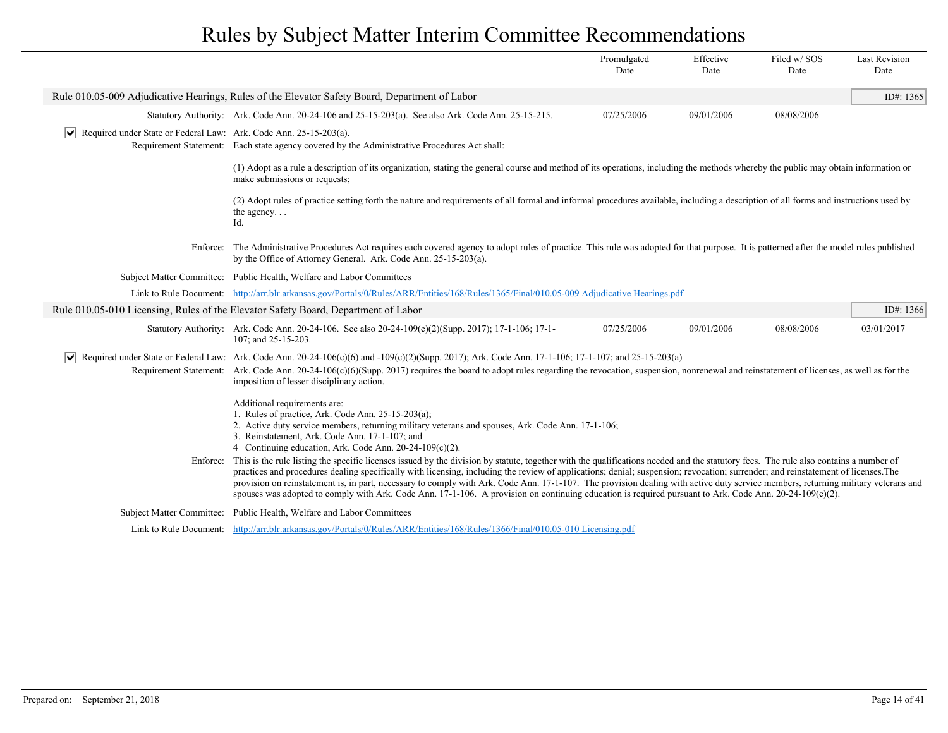|                                                                                  |                                                                                                                                                                                                                                                                                                                                                                                                                                                                                                                                                                                                                                                                                                                                    | Promulgated<br>Date | Effective<br>Date | Filed w/SOS<br>Date | <b>Last Revision</b><br>Date |
|----------------------------------------------------------------------------------|------------------------------------------------------------------------------------------------------------------------------------------------------------------------------------------------------------------------------------------------------------------------------------------------------------------------------------------------------------------------------------------------------------------------------------------------------------------------------------------------------------------------------------------------------------------------------------------------------------------------------------------------------------------------------------------------------------------------------------|---------------------|-------------------|---------------------|------------------------------|
|                                                                                  | Rule 010.05-009 Adjudicative Hearings, Rules of the Elevator Safety Board, Department of Labor                                                                                                                                                                                                                                                                                                                                                                                                                                                                                                                                                                                                                                     |                     |                   |                     | ID#: 1365                    |
|                                                                                  | Statutory Authority: Ark. Code Ann. 20-24-106 and 25-15-203(a). See also Ark. Code Ann. 25-15-215.                                                                                                                                                                                                                                                                                                                                                                                                                                                                                                                                                                                                                                 | 07/25/2006          | 09/01/2006        | 08/08/2006          |                              |
| $ \mathbf{v} $ Required under State or Federal Law: Ark. Code Ann. 25-15-203(a). | Requirement Statement: Each state agency covered by the Administrative Procedures Act shall:                                                                                                                                                                                                                                                                                                                                                                                                                                                                                                                                                                                                                                       |                     |                   |                     |                              |
|                                                                                  | (1) Adopt as a rule a description of its organization, stating the general course and method of its operations, including the methods whereby the public may obtain information or<br>make submissions or requests;                                                                                                                                                                                                                                                                                                                                                                                                                                                                                                                |                     |                   |                     |                              |
|                                                                                  | (2) Adopt rules of practice setting forth the nature and requirements of all formal and informal procedures available, including a description of all forms and instructions used by<br>the agency<br>Id.                                                                                                                                                                                                                                                                                                                                                                                                                                                                                                                          |                     |                   |                     |                              |
|                                                                                  | Enforce: The Administrative Procedures Act requires each covered agency to adopt rules of practice. This rule was adopted for that purpose. It is patterned after the model rules published<br>by the Office of Attorney General. Ark. Code Ann. 25-15-203(a).                                                                                                                                                                                                                                                                                                                                                                                                                                                                     |                     |                   |                     |                              |
|                                                                                  | Subject Matter Committee: Public Health, Welfare and Labor Committees                                                                                                                                                                                                                                                                                                                                                                                                                                                                                                                                                                                                                                                              |                     |                   |                     |                              |
|                                                                                  | Link to Rule Document: http://arr.blr.arkansas.gov/Portals/0/Rules/ARR/Entities/168/Rules/1365/Final/010.05-009 Adjudicative Hearings.pdf                                                                                                                                                                                                                                                                                                                                                                                                                                                                                                                                                                                          |                     |                   |                     |                              |
|                                                                                  | Rule 010.05-010 Licensing, Rules of the Elevator Safety Board, Department of Labor                                                                                                                                                                                                                                                                                                                                                                                                                                                                                                                                                                                                                                                 |                     |                   |                     | ID#: 1366                    |
|                                                                                  | Statutory Authority: Ark. Code Ann. 20-24-106. See also 20-24-109(c)(2)(Supp. 2017); 17-1-106; 17-1-<br>107; and 25-15-203.                                                                                                                                                                                                                                                                                                                                                                                                                                                                                                                                                                                                        | 07/25/2006          | 09/01/2006        | 08/08/2006          | 03/01/2017                   |
|                                                                                  | $\vert \triangledown \vert$ Required under State or Federal Law: Ark. Code Ann. 20-24-106(c)(6) and -109(c)(2)(Supp. 2017); Ark. Code Ann. 17-1-106; 17-1-107; and 25-15-203(a)<br>Requirement Statement: Ark. Code Ann. 20-24-106(c)(6)(Supp. 2017) requires the board to adopt rules regarding the revocation, suspension, nonrenewal and reinstatement of licenses, as well as for the<br>imposition of lesser disciplinary action.                                                                                                                                                                                                                                                                                             |                     |                   |                     |                              |
|                                                                                  | Additional requirements are:<br>1. Rules of practice, Ark. Code Ann. $25-15-203(a)$ ;<br>2. Active duty service members, returning military veterans and spouses, Ark. Code Ann. 17-1-106;<br>3. Reinstatement, Ark. Code Ann. 17-1-107; and<br>4 Continuing education, Ark. Code Ann. 20-24-109(c)(2).                                                                                                                                                                                                                                                                                                                                                                                                                            |                     |                   |                     |                              |
|                                                                                  | Enforce: This is the rule listing the specific licenses issued by the division by statute, together with the qualifications needed and the statutory fees. The rule also contains a number of<br>practices and procedures dealing specifically with licensing, including the review of applications; denial; suspension; revocation; surrender; and reinstatement of licenses. The<br>provision on reinstatement is, in part, necessary to comply with Ark. Code Ann. 17-1-107. The provision dealing with active duty service members, returning military veterans and<br>spouses was adopted to comply with Ark. Code Ann. 17-1-106. A provision on continuing education is required pursuant to Ark. Code Ann. 20-24-109(c)(2). |                     |                   |                     |                              |
|                                                                                  | Subject Matter Committee: Public Health, Welfare and Labor Committees                                                                                                                                                                                                                                                                                                                                                                                                                                                                                                                                                                                                                                                              |                     |                   |                     |                              |
|                                                                                  | Link to Rule Document: http://arr.blr.arkansas.gov/Portals/0/Rules/ARR/Entities/168/Rules/1366/Final/010.05-010 Licensing.pdf                                                                                                                                                                                                                                                                                                                                                                                                                                                                                                                                                                                                      |                     |                   |                     |                              |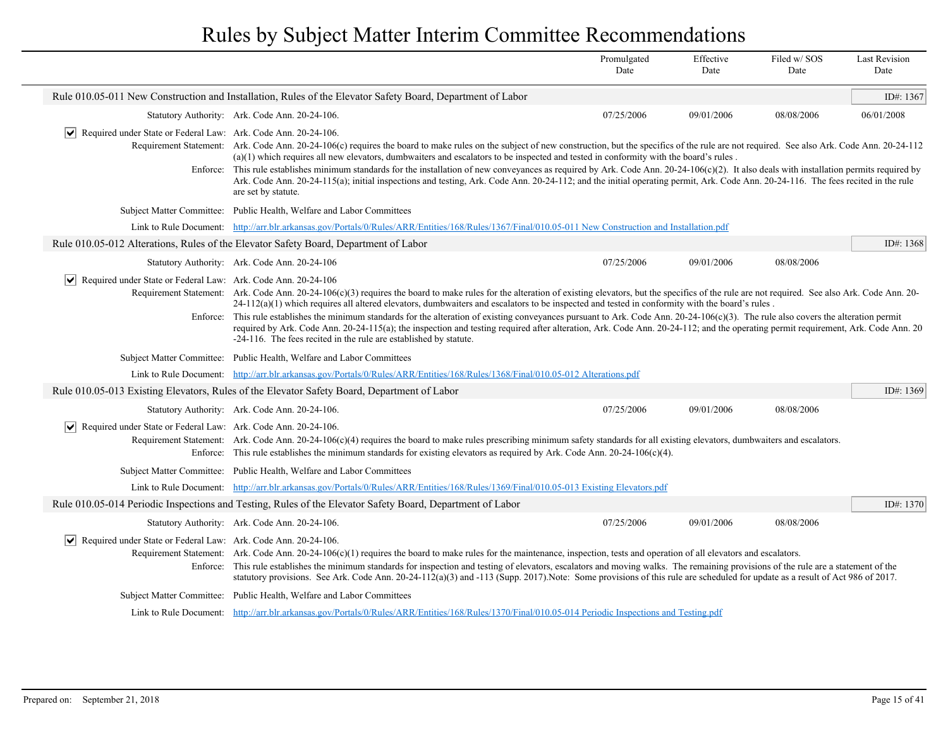|                                                                                      |                                                                                                                                                                                                                                                                                                                                                                                                                                                                                                                                                                                                                                                                                                                                                                                                                     | Promulgated<br>Date | Effective<br>Date | Filed w/SOS<br>Date | <b>Last Revision</b><br>Date |
|--------------------------------------------------------------------------------------|---------------------------------------------------------------------------------------------------------------------------------------------------------------------------------------------------------------------------------------------------------------------------------------------------------------------------------------------------------------------------------------------------------------------------------------------------------------------------------------------------------------------------------------------------------------------------------------------------------------------------------------------------------------------------------------------------------------------------------------------------------------------------------------------------------------------|---------------------|-------------------|---------------------|------------------------------|
|                                                                                      | Rule 010.05-011 New Construction and Installation, Rules of the Elevator Safety Board, Department of Labor                                                                                                                                                                                                                                                                                                                                                                                                                                                                                                                                                                                                                                                                                                          |                     |                   |                     | ID#: 1367                    |
|                                                                                      | Statutory Authority: Ark. Code Ann. 20-24-106.                                                                                                                                                                                                                                                                                                                                                                                                                                                                                                                                                                                                                                                                                                                                                                      | 07/25/2006          | 09/01/2006        | 08/08/2006          | 06/01/2008                   |
| $ \mathbf{v} $ Required under State or Federal Law: Ark. Code Ann. 20-24-106.        | Requirement Statement: Ark. Code Ann. 20-24-106(c) requires the board to make rules on the subject of new construction, but the specifics of the rule are not required. See also Ark. Code Ann. 20-24-112<br>$(a)(1)$ which requires all new elevators, dumbwaiters and escalators to be inspected and tested in conformity with the board's rules.<br>Enforce: This rule establishes minimum standards for the installation of new convevances as required by Ark. Code Ann. $20-24-106(c)(2)$ . It also deals with installation permits required by<br>Ark. Code Ann. 20-24-115(a); initial inspections and testing, Ark. Code Ann. 20-24-112; and the initial operating permit, Ark. Code Ann. 20-24-116. The fees recited in the rule<br>are set by statute.                                                    |                     |                   |                     |                              |
|                                                                                      | Subject Matter Committee: Public Health, Welfare and Labor Committees                                                                                                                                                                                                                                                                                                                                                                                                                                                                                                                                                                                                                                                                                                                                               |                     |                   |                     |                              |
| Link to Rule Document:                                                               | http://arr.blr.arkansas.gov/Portals/0/Rules/ARR/Entities/168/Rules/1367/Final/010.05-011 New Construction and Installation.pdf                                                                                                                                                                                                                                                                                                                                                                                                                                                                                                                                                                                                                                                                                      |                     |                   |                     |                              |
|                                                                                      | Rule 010.05-012 Alterations, Rules of the Elevator Safety Board, Department of Labor                                                                                                                                                                                                                                                                                                                                                                                                                                                                                                                                                                                                                                                                                                                                |                     |                   |                     | ID#: 1368                    |
|                                                                                      | Statutory Authority: Ark. Code Ann. 20-24-106                                                                                                                                                                                                                                                                                                                                                                                                                                                                                                                                                                                                                                                                                                                                                                       | 07/25/2006          | 09/01/2006        | 08/08/2006          |                              |
| $ \bm{\mathsf{v}} $<br>Required under State or Federal Law: Ark. Code Ann. 20-24-106 | Requirement Statement: Ark. Code Ann. 20-24-106(c)(3) requires the board to make rules for the alteration of existing elevators, but the specifics of the rule are not required. See also Ark. Code Ann. 20-<br>$24-112(a)(1)$ which requires all altered elevators, dumbwaiters and escalators to be inspected and tested in conformity with the board's rules.<br>Enforce: This rule establishes the minimum standards for the alteration of existing conveyances pursuant to Ark. Code Ann. 20-24-106(c)(3). The rule also covers the alteration permit<br>required by Ark. Code Ann. 20-24-115(a); the inspection and testing required after alteration, Ark. Code Ann. 20-24-112; and the operating permit requirement, Ark. Code Ann. 20<br>-24-116. The fees recited in the rule are established by statute. |                     |                   |                     |                              |
|                                                                                      | Subject Matter Committee: Public Health, Welfare and Labor Committees                                                                                                                                                                                                                                                                                                                                                                                                                                                                                                                                                                                                                                                                                                                                               |                     |                   |                     |                              |
|                                                                                      | Link to Rule Document: http://arr.blr.arkansas.gov/Portals/0/Rules/ARR/Entities/168/Rules/1368/Final/010.05-012 Alterations.pdf                                                                                                                                                                                                                                                                                                                                                                                                                                                                                                                                                                                                                                                                                     |                     |                   |                     |                              |
|                                                                                      | Rule 010.05-013 Existing Elevators, Rules of the Elevator Safety Board, Department of Labor                                                                                                                                                                                                                                                                                                                                                                                                                                                                                                                                                                                                                                                                                                                         |                     |                   |                     | ID#: $1369$                  |
|                                                                                      | Statutory Authority: Ark. Code Ann. 20-24-106.                                                                                                                                                                                                                                                                                                                                                                                                                                                                                                                                                                                                                                                                                                                                                                      | 07/25/2006          | 09/01/2006        | 08/08/2006          |                              |
| $ \mathbf{v} $ Required under State or Federal Law: Ark. Code Ann. 20-24-106.        | Requirement Statement: Ark. Code Ann. 20-24-106(c)(4) requires the board to make rules prescribing minimum safety standards for all existing elevators, dumbwaiters and escalators.<br>Enforce: This rule establishes the minimum standards for existing elevators as required by Ark. Code Ann. $20-24-106(c)(4)$ .                                                                                                                                                                                                                                                                                                                                                                                                                                                                                                |                     |                   |                     |                              |
|                                                                                      | Subject Matter Committee: Public Health, Welfare and Labor Committees                                                                                                                                                                                                                                                                                                                                                                                                                                                                                                                                                                                                                                                                                                                                               |                     |                   |                     |                              |
|                                                                                      | Link to Rule Document: http://arr.blr.arkansas.gov/Portals/0/Rules/ARR/Entities/168/Rules/1369/Final/010.05-013 Existing Elevators.pdf                                                                                                                                                                                                                                                                                                                                                                                                                                                                                                                                                                                                                                                                              |                     |                   |                     |                              |
|                                                                                      | Rule 010.05-014 Periodic Inspections and Testing, Rules of the Elevator Safety Board, Department of Labor                                                                                                                                                                                                                                                                                                                                                                                                                                                                                                                                                                                                                                                                                                           |                     |                   |                     | ID#: 1370                    |
|                                                                                      | Statutory Authority: Ark. Code Ann. 20-24-106.                                                                                                                                                                                                                                                                                                                                                                                                                                                                                                                                                                                                                                                                                                                                                                      | 07/25/2006          | 09/01/2006        | 08/08/2006          |                              |
| $ \mathbf{v} $ Required under State or Federal Law: Ark. Code Ann. 20-24-106.        | Requirement Statement: Ark. Code Ann. $20-24-106(c)(1)$ requires the board to make rules for the maintenance, inspection, tests and operation of all elevators and escalators.<br>Enforce: This rule establishes the minimum standards for inspection and testing of elevators, escalators and moving walks. The remaining provisions of the rule are a statement of the<br>statutory provisions. See Ark. Code Ann. 20-24-112(a)(3) and -113 (Supp. 2017). Note: Some provisions of this rule are scheduled for update as a result of Act 986 of 2017.                                                                                                                                                                                                                                                             |                     |                   |                     |                              |
|                                                                                      | Subject Matter Committee: Public Health, Welfare and Labor Committees                                                                                                                                                                                                                                                                                                                                                                                                                                                                                                                                                                                                                                                                                                                                               |                     |                   |                     |                              |
|                                                                                      | Link to Rule Document: http://arr.blr.arkansas.gov/Portals/0/Rules/ARR/Entities/168/Rules/1370/Final/010.05-014 Periodic Inspections and Testing.pdf                                                                                                                                                                                                                                                                                                                                                                                                                                                                                                                                                                                                                                                                |                     |                   |                     |                              |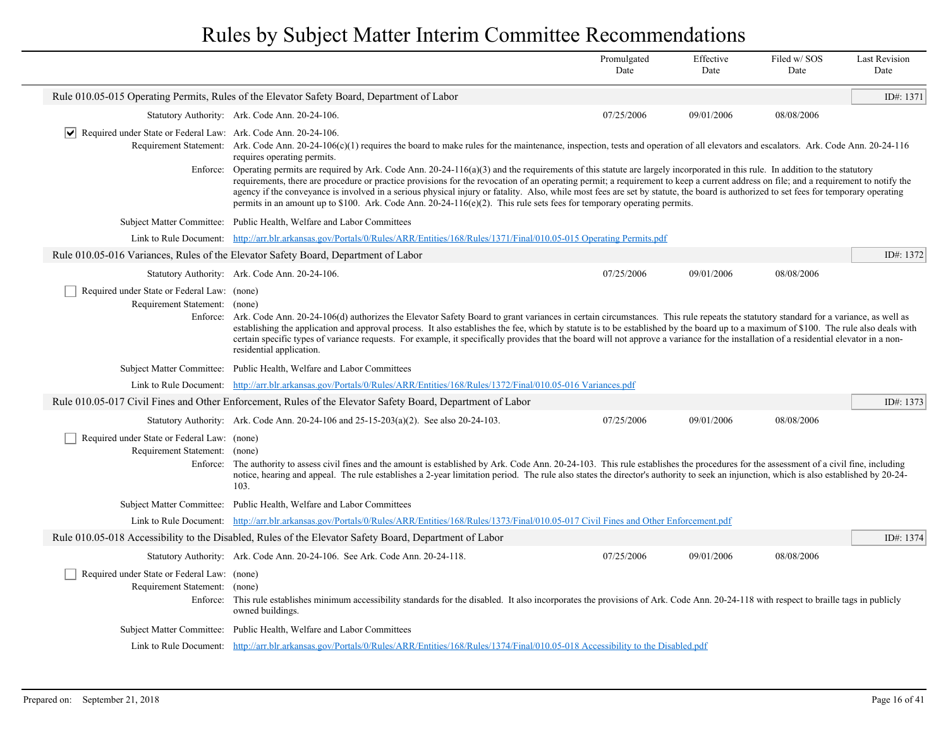|                                                                                               |                                                                                                                                                                                                                                                                                                                                                                                                                                                                                                                                                                                                                                                                                                                                                                                                                                                                                                                                         | Promulgated<br>Date | Effective<br>Date | Filed w/SOS<br>Date | <b>Last Revision</b><br>Date |  |
|-----------------------------------------------------------------------------------------------|-----------------------------------------------------------------------------------------------------------------------------------------------------------------------------------------------------------------------------------------------------------------------------------------------------------------------------------------------------------------------------------------------------------------------------------------------------------------------------------------------------------------------------------------------------------------------------------------------------------------------------------------------------------------------------------------------------------------------------------------------------------------------------------------------------------------------------------------------------------------------------------------------------------------------------------------|---------------------|-------------------|---------------------|------------------------------|--|
|                                                                                               | Rule 010.05-015 Operating Permits, Rules of the Elevator Safety Board, Department of Labor                                                                                                                                                                                                                                                                                                                                                                                                                                                                                                                                                                                                                                                                                                                                                                                                                                              |                     |                   |                     | ID#: 1371                    |  |
|                                                                                               | Statutory Authority: Ark. Code Ann. 20-24-106.                                                                                                                                                                                                                                                                                                                                                                                                                                                                                                                                                                                                                                                                                                                                                                                                                                                                                          | 07/25/2006          | 09/01/2006        | 08/08/2006          |                              |  |
| $\vert\bm{\mathsf{v}}\vert$<br>Required under State or Federal Law: Ark. Code Ann. 20-24-106. | Requirement Statement: Ark. Code Ann. 20-24-106(c)(1) requires the board to make rules for the maintenance, inspection, tests and operation of all elevators and escalators. Ark. Code Ann. 20-24-116<br>requires operating permits.<br>Enforce: Operating permits are required by Ark. Code Ann. 20-24-116(a)(3) and the requirements of this statute are largely incorporated in this rule. In addition to the statutory<br>requirements, there are procedure or practice provisions for the revocation of an operating permit; a requirement to keep a current address on file; and a requirement to notify the<br>agency if the conveyance is involved in a serious physical injury or fatality. Also, while most fees are set by statute, the board is authorized to set fees for temporary operating<br>permits in an amount up to \$100. Ark. Code Ann. $20-24-116(e)(2)$ . This rule sets fees for temporary operating permits. |                     |                   |                     |                              |  |
|                                                                                               | Subject Matter Committee: Public Health, Welfare and Labor Committees                                                                                                                                                                                                                                                                                                                                                                                                                                                                                                                                                                                                                                                                                                                                                                                                                                                                   |                     |                   |                     |                              |  |
|                                                                                               | Link to Rule Document: http://arr.blr.arkansas.gov/Portals/0/Rules/ARR/Entities/168/Rules/1371/Final/010.05-015 Operating Permits.pdf                                                                                                                                                                                                                                                                                                                                                                                                                                                                                                                                                                                                                                                                                                                                                                                                   |                     |                   |                     |                              |  |
|                                                                                               | Rule 010.05-016 Variances, Rules of the Elevator Safety Board, Department of Labor                                                                                                                                                                                                                                                                                                                                                                                                                                                                                                                                                                                                                                                                                                                                                                                                                                                      |                     |                   |                     | ID#: 1372                    |  |
|                                                                                               | Statutory Authority: Ark. Code Ann. 20-24-106.                                                                                                                                                                                                                                                                                                                                                                                                                                                                                                                                                                                                                                                                                                                                                                                                                                                                                          | 07/25/2006          | 09/01/2006        | 08/08/2006          |                              |  |
| Required under State or Federal Law: (none)<br>Requirement Statement: (none)<br>Enforce:      | Ark. Code Ann. 20-24-106(d) authorizes the Elevator Safety Board to grant variances in certain circumstances. This rule repeats the statutory standard for a variance, as well as<br>establishing the application and approval process. It also establishes the fee, which by statute is to be established by the board up to a maximum of \$100. The rule also deals with<br>certain specific types of variance requests. For example, it specifically provides that the board will not approve a variance for the installation of a residential elevator in a non-<br>residential application.                                                                                                                                                                                                                                                                                                                                        |                     |                   |                     |                              |  |
|                                                                                               | Subject Matter Committee: Public Health, Welfare and Labor Committees                                                                                                                                                                                                                                                                                                                                                                                                                                                                                                                                                                                                                                                                                                                                                                                                                                                                   |                     |                   |                     |                              |  |
|                                                                                               | Link to Rule Document: http://arr.blr.arkansas.gov/Portals/0/Rules/ARR/Entities/168/Rules/1372/Final/010.05-016 Variances.pdf                                                                                                                                                                                                                                                                                                                                                                                                                                                                                                                                                                                                                                                                                                                                                                                                           |                     |                   |                     |                              |  |
|                                                                                               | Rule 010.05-017 Civil Fines and Other Enforcement, Rules of the Elevator Safety Board, Department of Labor                                                                                                                                                                                                                                                                                                                                                                                                                                                                                                                                                                                                                                                                                                                                                                                                                              |                     |                   |                     | ID#: 1373                    |  |
|                                                                                               | Statutory Authority: Ark. Code Ann. 20-24-106 and 25-15-203(a)(2). See also 20-24-103.                                                                                                                                                                                                                                                                                                                                                                                                                                                                                                                                                                                                                                                                                                                                                                                                                                                  | 07/25/2006          | 09/01/2006        | 08/08/2006          |                              |  |
| Required under State or Federal Law: (none)<br>Requirement Statement:                         | (none)<br>Enforce: The authority to assess civil fines and the amount is established by Ark. Code Ann. 20-24-103. This rule establishes the procedures for the assessment of a civil fine, including<br>notice, hearing and appeal. The rule establishes a 2-year limitation period. The rule also states the director's authority to seek an injunction, which is also established by 20-24-<br>103.                                                                                                                                                                                                                                                                                                                                                                                                                                                                                                                                   |                     |                   |                     |                              |  |
|                                                                                               | Subject Matter Committee: Public Health, Welfare and Labor Committees                                                                                                                                                                                                                                                                                                                                                                                                                                                                                                                                                                                                                                                                                                                                                                                                                                                                   |                     |                   |                     |                              |  |
|                                                                                               | Link to Rule Document: http://arr.blr.arkansas.gov/Portals/0/Rules/ARR/Entities/168/Rules/1373/Final/010.05-017 Civil Fines and Other Enforcement.pdf                                                                                                                                                                                                                                                                                                                                                                                                                                                                                                                                                                                                                                                                                                                                                                                   |                     |                   |                     |                              |  |
|                                                                                               | Rule 010.05-018 Accessibility to the Disabled, Rules of the Elevator Safety Board, Department of Labor                                                                                                                                                                                                                                                                                                                                                                                                                                                                                                                                                                                                                                                                                                                                                                                                                                  |                     |                   |                     | ID#: 1374                    |  |
|                                                                                               | Statutory Authority: Ark. Code Ann. 20-24-106. See Ark. Code Ann. 20-24-118.                                                                                                                                                                                                                                                                                                                                                                                                                                                                                                                                                                                                                                                                                                                                                                                                                                                            | 07/25/2006          | 09/01/2006        | 08/08/2006          |                              |  |
| Required under State or Federal Law: (none)<br>Requirement Statement:                         | (none)<br>Enforce: This rule establishes minimum accessibility standards for the disabled. It also incorporates the provisions of Ark. Code Ann. 20-24-118 with respect to braille tags in publicly<br>owned buildings.                                                                                                                                                                                                                                                                                                                                                                                                                                                                                                                                                                                                                                                                                                                 |                     |                   |                     |                              |  |
|                                                                                               | Subject Matter Committee: Public Health, Welfare and Labor Committees                                                                                                                                                                                                                                                                                                                                                                                                                                                                                                                                                                                                                                                                                                                                                                                                                                                                   |                     |                   |                     |                              |  |
|                                                                                               | Link to Rule Document: http://arr.blr.arkansas.gov/Portals/0/Rules/ARR/Entities/168/Rules/1374/Final/010.05-018 Accessibility to the Disabled.pdf                                                                                                                                                                                                                                                                                                                                                                                                                                                                                                                                                                                                                                                                                                                                                                                       |                     |                   |                     |                              |  |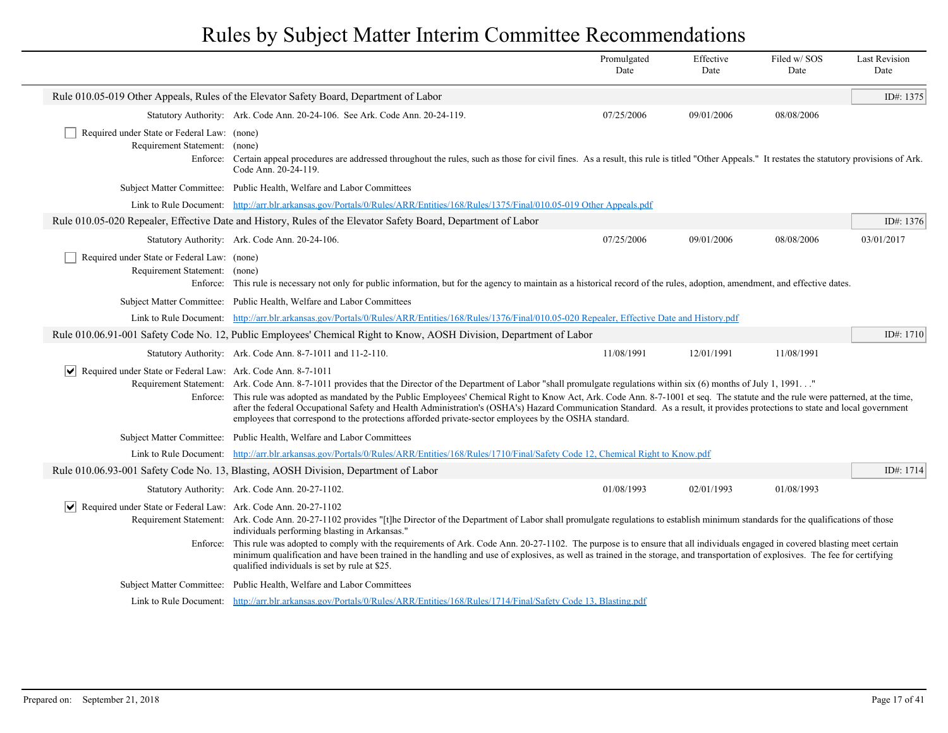|                                                                                          |                                                                                                                                                                                                                                                                                                                                                                                                                                                                                                                                                                                                                                                                    | Promulgated<br>Date | Effective<br>Date | Filed w/SOS<br>Date | <b>Last Revision</b><br>Date |
|------------------------------------------------------------------------------------------|--------------------------------------------------------------------------------------------------------------------------------------------------------------------------------------------------------------------------------------------------------------------------------------------------------------------------------------------------------------------------------------------------------------------------------------------------------------------------------------------------------------------------------------------------------------------------------------------------------------------------------------------------------------------|---------------------|-------------------|---------------------|------------------------------|
|                                                                                          | Rule 010.05-019 Other Appeals, Rules of the Elevator Safety Board, Department of Labor                                                                                                                                                                                                                                                                                                                                                                                                                                                                                                                                                                             |                     |                   |                     | ID#: 1375                    |
|                                                                                          | Statutory Authority: Ark. Code Ann. 20-24-106. See Ark. Code Ann. 20-24-119.                                                                                                                                                                                                                                                                                                                                                                                                                                                                                                                                                                                       | 07/25/2006          | 09/01/2006        | 08/08/2006          |                              |
| Required under State or Federal Law: (none)<br>Requirement Statement: (none)<br>Enforce: | Certain appeal procedures are addressed throughout the rules, such as those for civil fines. As a result, this rule is titled "Other Appeals." It restates the statutory provisions of Ark.<br>Code Ann. 20-24-119.                                                                                                                                                                                                                                                                                                                                                                                                                                                |                     |                   |                     |                              |
|                                                                                          | Subject Matter Committee: Public Health, Welfare and Labor Committees                                                                                                                                                                                                                                                                                                                                                                                                                                                                                                                                                                                              |                     |                   |                     |                              |
|                                                                                          | Link to Rule Document: http://arr.blr.arkansas.gov/Portals/0/Rules/ARR/Entities/168/Rules/1375/Final/010.05-019 Other Appeals.pdf                                                                                                                                                                                                                                                                                                                                                                                                                                                                                                                                  |                     |                   |                     |                              |
|                                                                                          | Rule 010.05-020 Repealer, Effective Date and History, Rules of the Elevator Safety Board, Department of Labor                                                                                                                                                                                                                                                                                                                                                                                                                                                                                                                                                      |                     |                   |                     | ID#: 1376                    |
|                                                                                          | Statutory Authority: Ark. Code Ann. 20-24-106.                                                                                                                                                                                                                                                                                                                                                                                                                                                                                                                                                                                                                     | 07/25/2006          | 09/01/2006        | 08/08/2006          | 03/01/2017                   |
| Required under State or Federal Law: (none)<br>Requirement Statement: (none)             | Enforce: This rule is necessary not only for public information, but for the agency to maintain as a historical record of the rules, adoption, amendment, and effective dates.                                                                                                                                                                                                                                                                                                                                                                                                                                                                                     |                     |                   |                     |                              |
|                                                                                          | Subject Matter Committee: Public Health, Welfare and Labor Committees                                                                                                                                                                                                                                                                                                                                                                                                                                                                                                                                                                                              |                     |                   |                     |                              |
|                                                                                          | Link to Rule Document: http://arr.blr.arkansas.gov/Portals/0/Rules/ARR/Entities/168/Rules/1376/Final/010.05-020 Repealer, Effective Date and History.pdf                                                                                                                                                                                                                                                                                                                                                                                                                                                                                                           |                     |                   |                     |                              |
|                                                                                          | Rule 010.06.91-001 Safety Code No. 12, Public Employees' Chemical Right to Know, AOSH Division, Department of Labor                                                                                                                                                                                                                                                                                                                                                                                                                                                                                                                                                |                     |                   |                     | ID#: $1710$                  |
|                                                                                          | Statutory Authority: Ark. Code Ann. 8-7-1011 and 11-2-110.                                                                                                                                                                                                                                                                                                                                                                                                                                                                                                                                                                                                         | 11/08/1991          | 12/01/1991        | 11/08/1991          |                              |
| Required under State or Federal Law: Ark. Code Ann. 8-7-1011                             | Requirement Statement: Ark. Code Ann. 8-7-1011 provides that the Director of the Department of Labor "shall promulgate regulations within six (6) months of July 1, 1991"<br>Enforce: This rule was adopted as mandated by the Public Employees' Chemical Right to Know Act, Ark. Code Ann. 8-7-1001 et seq. The statute and the rule were patterned, at the time,<br>after the federal Occupational Safety and Health Administration's (OSHA's) Hazard Communication Standard. As a result, it provides protections to state and local government<br>employees that correspond to the protections afforded private-sector employees by the OSHA standard.         |                     |                   |                     |                              |
|                                                                                          | Subject Matter Committee: Public Health, Welfare and Labor Committees                                                                                                                                                                                                                                                                                                                                                                                                                                                                                                                                                                                              |                     |                   |                     |                              |
|                                                                                          | Link to Rule Document: http://arr.blr.arkansas.gov/Portals/0/Rules/ARR/Entities/168/Rules/1710/Final/Safety Code 12, Chemical Right to Know.pdf                                                                                                                                                                                                                                                                                                                                                                                                                                                                                                                    |                     |                   |                     |                              |
|                                                                                          | Rule 010.06.93-001 Safety Code No. 13, Blasting, AOSH Division, Department of Labor                                                                                                                                                                                                                                                                                                                                                                                                                                                                                                                                                                                |                     |                   |                     | ID#: 1714                    |
|                                                                                          | Statutory Authority: Ark. Code Ann. 20-27-1102.                                                                                                                                                                                                                                                                                                                                                                                                                                                                                                                                                                                                                    | 01/08/1993          | 02/01/1993        | 01/08/1993          |                              |
| Required under State or Federal Law: Ark. Code Ann. 20-27-1102<br>Enforce:               | Requirement Statement: Ark. Code Ann. 20-27-1102 provides "[t]he Director of the Department of Labor shall promulgate regulations to establish minimum standards for the qualifications of those<br>individuals performing blasting in Arkansas."<br>This rule was adopted to comply with the requirements of Ark. Code Ann. 20-27-1102. The purpose is to ensure that all individuals engaged in covered blasting meet certain<br>minimum qualification and have been trained in the handling and use of explosives, as well as trained in the storage, and transportation of explosives. The fee for certifying<br>qualified individuals is set by rule at \$25. |                     |                   |                     |                              |
|                                                                                          | Subject Matter Committee: Public Health, Welfare and Labor Committees                                                                                                                                                                                                                                                                                                                                                                                                                                                                                                                                                                                              |                     |                   |                     |                              |
|                                                                                          | Link to Rule Document: http://arr.blr.arkansas.gov/Portals/0/Rules/ARR/Entities/168/Rules/1714/Final/Safety Code 13, Blasting.pdf                                                                                                                                                                                                                                                                                                                                                                                                                                                                                                                                  |                     |                   |                     |                              |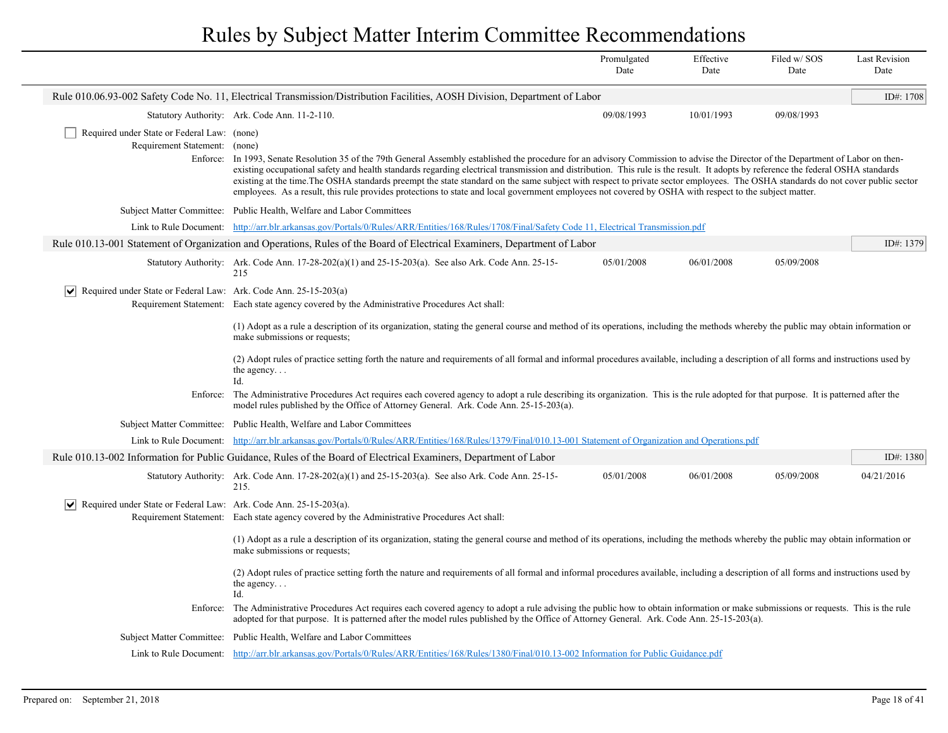|                                                                                  |                                                                                                                                                                                                                                                                                                                                                                                                                                                                                                                                                                                                                                                                                                                      | Promulgated<br>Date | Effective<br>Date | Filed w/SOS<br>Date | <b>Last Revision</b><br>Date |
|----------------------------------------------------------------------------------|----------------------------------------------------------------------------------------------------------------------------------------------------------------------------------------------------------------------------------------------------------------------------------------------------------------------------------------------------------------------------------------------------------------------------------------------------------------------------------------------------------------------------------------------------------------------------------------------------------------------------------------------------------------------------------------------------------------------|---------------------|-------------------|---------------------|------------------------------|
|                                                                                  | Rule 010.06.93-002 Safety Code No. 11, Electrical Transmission/Distribution Facilities, AOSH Division, Department of Labor                                                                                                                                                                                                                                                                                                                                                                                                                                                                                                                                                                                           |                     |                   |                     | ID#: 1708                    |
|                                                                                  | Statutory Authority: Ark. Code Ann. 11-2-110.                                                                                                                                                                                                                                                                                                                                                                                                                                                                                                                                                                                                                                                                        | 09/08/1993          | 10/01/1993        | 09/08/1993          |                              |
| Required under State or Federal Law: (none)<br>Requirement Statement: (none)     | Enforce: In 1993, Senate Resolution 35 of the 79th General Assembly established the procedure for an advisory Commission to advise the Director of the Department of Labor on then-<br>existing occupational safety and health standards regarding electrical transmission and distribution. This rule is the result. It adopts by reference the federal OSHA standards<br>existing at the time. The OSHA standards preempt the state standard on the same subject with respect to private sector employees. The OSHA standards do not cover public sector<br>employees. As a result, this rule provides protections to state and local government employees not covered by OSHA with respect to the subject matter. |                     |                   |                     |                              |
|                                                                                  | Subject Matter Committee: Public Health, Welfare and Labor Committees                                                                                                                                                                                                                                                                                                                                                                                                                                                                                                                                                                                                                                                |                     |                   |                     |                              |
|                                                                                  | Link to Rule Document: http://arr.blr.arkansas.gov/Portals/0/Rules/ARR/Entities/168/Rules/1708/Final/Safety Code 11, Electrical Transmission.pdf                                                                                                                                                                                                                                                                                                                                                                                                                                                                                                                                                                     |                     |                   |                     |                              |
|                                                                                  | Rule 010.13-001 Statement of Organization and Operations, Rules of the Board of Electrical Examiners, Department of Labor                                                                                                                                                                                                                                                                                                                                                                                                                                                                                                                                                                                            |                     |                   |                     | ID#: 1379                    |
|                                                                                  | Statutory Authority: Ark. Code Ann. 17-28-202(a)(1) and 25-15-203(a). See also Ark. Code Ann. 25-15-<br>215                                                                                                                                                                                                                                                                                                                                                                                                                                                                                                                                                                                                          | 05/01/2008          | 06/01/2008        | 05/09/2008          |                              |
| $ \mathbf{v} $ Required under State or Federal Law: Ark. Code Ann. 25-15-203(a)  | Requirement Statement: Each state agency covered by the Administrative Procedures Act shall:                                                                                                                                                                                                                                                                                                                                                                                                                                                                                                                                                                                                                         |                     |                   |                     |                              |
|                                                                                  | (1) Adopt as a rule a description of its organization, stating the general course and method of its operations, including the methods whereby the public may obtain information or<br>make submissions or requests;                                                                                                                                                                                                                                                                                                                                                                                                                                                                                                  |                     |                   |                     |                              |
|                                                                                  | (2) Adopt rules of practice setting forth the nature and requirements of all formal and informal procedures available, including a description of all forms and instructions used by<br>the agency<br>Id.                                                                                                                                                                                                                                                                                                                                                                                                                                                                                                            |                     |                   |                     |                              |
|                                                                                  | Enforce: The Administrative Procedures Act requires each covered agency to adopt a rule describing its organization. This is the rule adopted for that purpose. It is patterned after the<br>model rules published by the Office of Attorney General. Ark. Code Ann. 25-15-203(a).                                                                                                                                                                                                                                                                                                                                                                                                                                   |                     |                   |                     |                              |
|                                                                                  | Subject Matter Committee: Public Health, Welfare and Labor Committees                                                                                                                                                                                                                                                                                                                                                                                                                                                                                                                                                                                                                                                |                     |                   |                     |                              |
| Link to Rule Document:                                                           | http://arr.blr.arkansas.gov/Portals/0/Rules/ARR/Entities/168/Rules/1379/Final/010.13-001 Statement of Organization and Operations.pdf                                                                                                                                                                                                                                                                                                                                                                                                                                                                                                                                                                                |                     |                   |                     |                              |
|                                                                                  | Rule 010.13-002 Information for Public Guidance, Rules of the Board of Electrical Examiners, Department of Labor                                                                                                                                                                                                                                                                                                                                                                                                                                                                                                                                                                                                     |                     |                   |                     | ID#: 1380                    |
|                                                                                  | Statutory Authority: Ark. Code Ann. $17-28-202(a)(1)$ and $25-15-203(a)$ . See also Ark. Code Ann. $25-15-203(a)$<br>215.                                                                                                                                                                                                                                                                                                                                                                                                                                                                                                                                                                                            | 05/01/2008          | 06/01/2008        | 05/09/2008          | 04/21/2016                   |
| $ \mathbf{v} $ Required under State or Federal Law: Ark. Code Ann. 25-15-203(a). | Requirement Statement: Each state agency covered by the Administrative Procedures Act shall:                                                                                                                                                                                                                                                                                                                                                                                                                                                                                                                                                                                                                         |                     |                   |                     |                              |
|                                                                                  | (1) Adopt as a rule a description of its organization, stating the general course and method of its operations, including the methods whereby the public may obtain information or<br>make submissions or requests;                                                                                                                                                                                                                                                                                                                                                                                                                                                                                                  |                     |                   |                     |                              |
|                                                                                  | (2) Adopt rules of practice setting forth the nature and requirements of all formal and informal procedures available, including a description of all forms and instructions used by<br>the agency<br>Id.                                                                                                                                                                                                                                                                                                                                                                                                                                                                                                            |                     |                   |                     |                              |
|                                                                                  | Enforce: The Administrative Procedures Act requires each covered agency to adopt a rule advising the public how to obtain information or make submissions or requests. This is the rule<br>adopted for that purpose. It is patterned after the model rules published by the Office of Attorney General. Ark. Code Ann. 25-15-203(a).                                                                                                                                                                                                                                                                                                                                                                                 |                     |                   |                     |                              |
|                                                                                  | Subject Matter Committee: Public Health, Welfare and Labor Committees                                                                                                                                                                                                                                                                                                                                                                                                                                                                                                                                                                                                                                                |                     |                   |                     |                              |
|                                                                                  | Link to Rule Document: http://arr.blr.arkansas.gov/Portals/0/Rules/ARR/Entities/168/Rules/1380/Final/010.13-002 Information for Public Guidance.pdf                                                                                                                                                                                                                                                                                                                                                                                                                                                                                                                                                                  |                     |                   |                     |                              |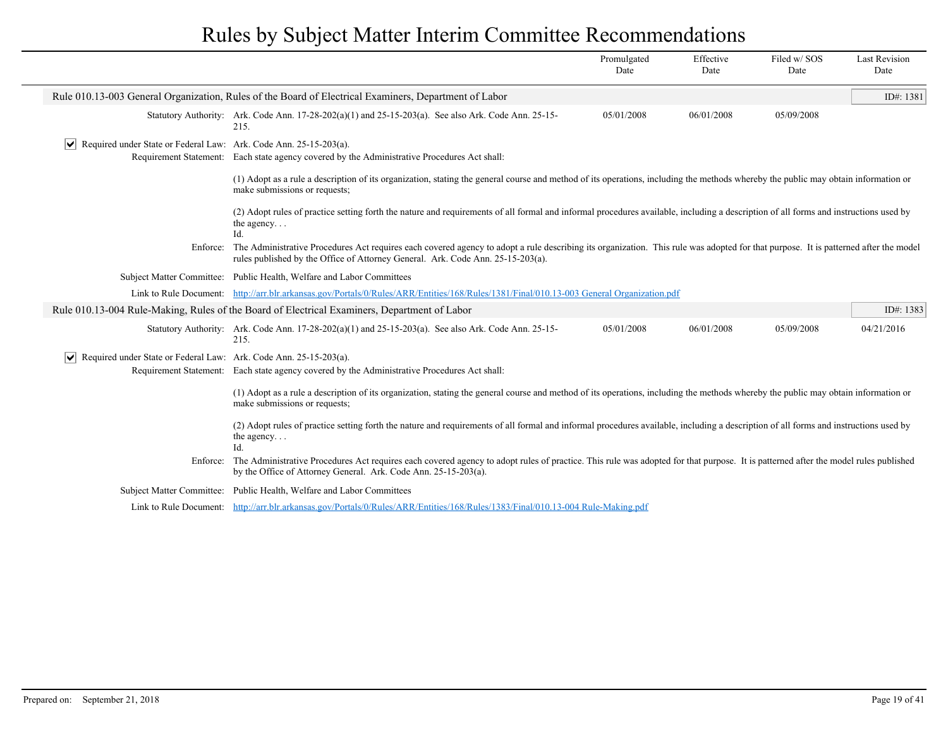|                                                                                  |                                                                                                                                                                                                                                                                        | Promulgated<br>Date | Effective<br>Date | Filed w/SOS<br>Date | <b>Last Revision</b><br>Date |
|----------------------------------------------------------------------------------|------------------------------------------------------------------------------------------------------------------------------------------------------------------------------------------------------------------------------------------------------------------------|---------------------|-------------------|---------------------|------------------------------|
|                                                                                  | Rule 010.13-003 General Organization, Rules of the Board of Electrical Examiners, Department of Labor                                                                                                                                                                  |                     |                   |                     | ID#: 1381                    |
|                                                                                  | Statutory Authority: Ark. Code Ann. $17-28-202(a)(1)$ and $25-15-203(a)$ . See also Ark. Code Ann. $25-15-203(a)$<br>215.                                                                                                                                              | 05/01/2008          | 06/01/2008        | 05/09/2008          |                              |
| $ \mathbf{v} $ Required under State or Federal Law: Ark. Code Ann. 25-15-203(a). | Requirement Statement: Each state agency covered by the Administrative Procedures Act shall:                                                                                                                                                                           |                     |                   |                     |                              |
|                                                                                  | (1) Adopt as a rule a description of its organization, stating the general course and method of its operations, including the methods whereby the public may obtain information or<br>make submissions or requests;                                                    |                     |                   |                     |                              |
|                                                                                  | (2) Adopt rules of practice setting forth the nature and requirements of all formal and informal procedures available, including a description of all forms and instructions used by<br>the agency<br>Id.                                                              |                     |                   |                     |                              |
| Enforce:                                                                         | The Administrative Procedures Act requires each covered agency to adopt a rule describing its organization. This rule was adopted for that purpose. It is patterned after the model<br>rules published by the Office of Attorney General. Ark. Code Ann. 25-15-203(a). |                     |                   |                     |                              |
|                                                                                  | Subject Matter Committee: Public Health, Welfare and Labor Committees                                                                                                                                                                                                  |                     |                   |                     |                              |
|                                                                                  | Link to Rule Document: http://arr.blr.arkansas.gov/Portals/0/Rules/ARR/Entities/168/Rules/1381/Final/010.13-003 General Organization.pdf                                                                                                                               |                     |                   |                     |                              |
|                                                                                  | Rule 010.13-004 Rule-Making, Rules of the Board of Electrical Examiners, Department of Labor                                                                                                                                                                           |                     |                   |                     | ID#: 1383                    |
|                                                                                  | Statutory Authority: Ark. Code Ann. $17-28-202(a)(1)$ and $25-15-203(a)$ . See also Ark. Code Ann. $25-15-203(a)$<br>215.                                                                                                                                              | 05/01/2008          | 06/01/2008        | 05/09/2008          | 04/21/2016                   |
| $ \mathbf{v} $ Required under State or Federal Law: Ark. Code Ann. 25-15-203(a). | Requirement Statement: Each state agency covered by the Administrative Procedures Act shall:                                                                                                                                                                           |                     |                   |                     |                              |
|                                                                                  | (1) Adopt as a rule a description of its organization, stating the general course and method of its operations, including the methods whereby the public may obtain information or<br>make submissions or requests;                                                    |                     |                   |                     |                              |
|                                                                                  | (2) Adopt rules of practice setting forth the nature and requirements of all formal and informal procedures available, including a description of all forms and instructions used by<br>the agency<br>Id.                                                              |                     |                   |                     |                              |
| Enforce:                                                                         | The Administrative Procedures Act requires each covered agency to adopt rules of practice. This rule was adopted for that purpose. It is patterned after the model rules published<br>by the Office of Attorney General. Ark. Code Ann. 25-15-203(a).                  |                     |                   |                     |                              |
| <b>Subject Matter Committee:</b>                                                 | Public Health, Welfare and Labor Committees                                                                                                                                                                                                                            |                     |                   |                     |                              |
|                                                                                  | Link to Rule Document: http://arr.blr.arkansas.gov/Portals/0/Rules/ARR/Entities/168/Rules/1383/Final/010.13-004 Rule-Making.pdf                                                                                                                                        |                     |                   |                     |                              |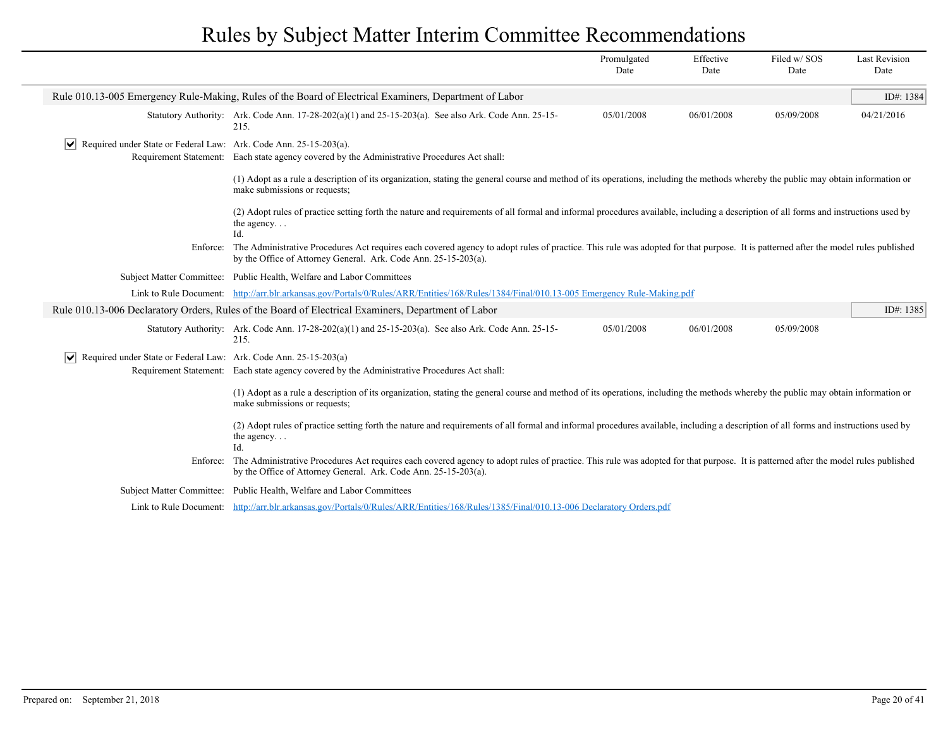|                                                                                  |                                                                                                                                                                                                                                                                | Promulgated<br>Date                                                                                                                    | Effective<br>Date | Filed w/SOS<br>Date | <b>Last Revision</b><br>Date |  |
|----------------------------------------------------------------------------------|----------------------------------------------------------------------------------------------------------------------------------------------------------------------------------------------------------------------------------------------------------------|----------------------------------------------------------------------------------------------------------------------------------------|-------------------|---------------------|------------------------------|--|
|                                                                                  | Rule 010.13-005 Emergency Rule-Making, Rules of the Board of Electrical Examiners, Department of Labor                                                                                                                                                         |                                                                                                                                        |                   |                     | ID#: 1384                    |  |
|                                                                                  | Statutory Authority: Ark. Code Ann. $17-28-202(a)(1)$ and $25-15-203(a)$ . See also Ark. Code Ann. $25-15-203(a)$<br>215.                                                                                                                                      | 05/01/2008                                                                                                                             | 06/01/2008        | 05/09/2008          | 04/21/2016                   |  |
| $ \mathbf{v} $ Required under State or Federal Law: Ark. Code Ann. 25-15-203(a). | Requirement Statement: Each state agency covered by the Administrative Procedures Act shall:                                                                                                                                                                   |                                                                                                                                        |                   |                     |                              |  |
|                                                                                  | (1) Adopt as a rule a description of its organization, stating the general course and method of its operations, including the methods whereby the public may obtain information or<br>make submissions or requests;                                            |                                                                                                                                        |                   |                     |                              |  |
|                                                                                  | (2) Adopt rules of practice setting forth the nature and requirements of all formal and informal procedures available, including a description of all forms and instructions used by<br>the agency<br>$Id$ .                                                   |                                                                                                                                        |                   |                     |                              |  |
|                                                                                  | Enforce: The Administrative Procedures Act requires each covered agency to adopt rules of practice. This rule was adopted for that purpose. It is patterned after the model rules published<br>by the Office of Attorney General. Ark. Code Ann. 25-15-203(a). |                                                                                                                                        |                   |                     |                              |  |
|                                                                                  | Subject Matter Committee: Public Health, Welfare and Labor Committees                                                                                                                                                                                          |                                                                                                                                        |                   |                     |                              |  |
|                                                                                  | Link to Rule Document: http://arr.blr.arkansas.gov/Portals/0/Rules/ARR/Entities/168/Rules/1384/Final/010.13-005 Emergency Rule-Making.pdf                                                                                                                      |                                                                                                                                        |                   |                     |                              |  |
|                                                                                  | Rule 010.13-006 Declaratory Orders, Rules of the Board of Electrical Examiners, Department of Labor                                                                                                                                                            |                                                                                                                                        |                   |                     | ID#: 1385                    |  |
|                                                                                  | Statutory Authority: Ark. Code Ann. $17-28-202(a)(1)$ and $25-15-203(a)$ . See also Ark. Code Ann. $25-15-203(a)$<br>215.                                                                                                                                      | 05/01/2008                                                                                                                             | 06/01/2008        | 05/09/2008          |                              |  |
| $ \mathbf{v} $ Required under State or Federal Law: Ark. Code Ann. 25-15-203(a)  | Requirement Statement: Each state agency covered by the Administrative Procedures Act shall:                                                                                                                                                                   |                                                                                                                                        |                   |                     |                              |  |
|                                                                                  | (1) Adopt as a rule a description of its organization, stating the general course and method of its operations, including the methods whereby the public may obtain information or<br>make submissions or requests;                                            |                                                                                                                                        |                   |                     |                              |  |
|                                                                                  | (2) Adopt rules of practice setting forth the nature and requirements of all formal and informal procedures available, including a description of all forms and instructions used by<br>the agency<br>Id.                                                      |                                                                                                                                        |                   |                     |                              |  |
| Enforce:                                                                         | The Administrative Procedures Act requires each covered agency to adopt rules of practice. This rule was adopted for that purpose. It is patterned after the model rules published<br>by the Office of Attorney General. Ark. Code Ann. 25-15-203(a).          |                                                                                                                                        |                   |                     |                              |  |
|                                                                                  | Subject Matter Committee: Public Health, Welfare and Labor Committees                                                                                                                                                                                          |                                                                                                                                        |                   |                     |                              |  |
|                                                                                  |                                                                                                                                                                                                                                                                | Link to Rule Document: http://arr.blr.arkansas.gov/Portals/0/Rules/ARR/Entities/168/Rules/1385/Final/010.13-006 Declaratory Orders.pdf |                   |                     |                              |  |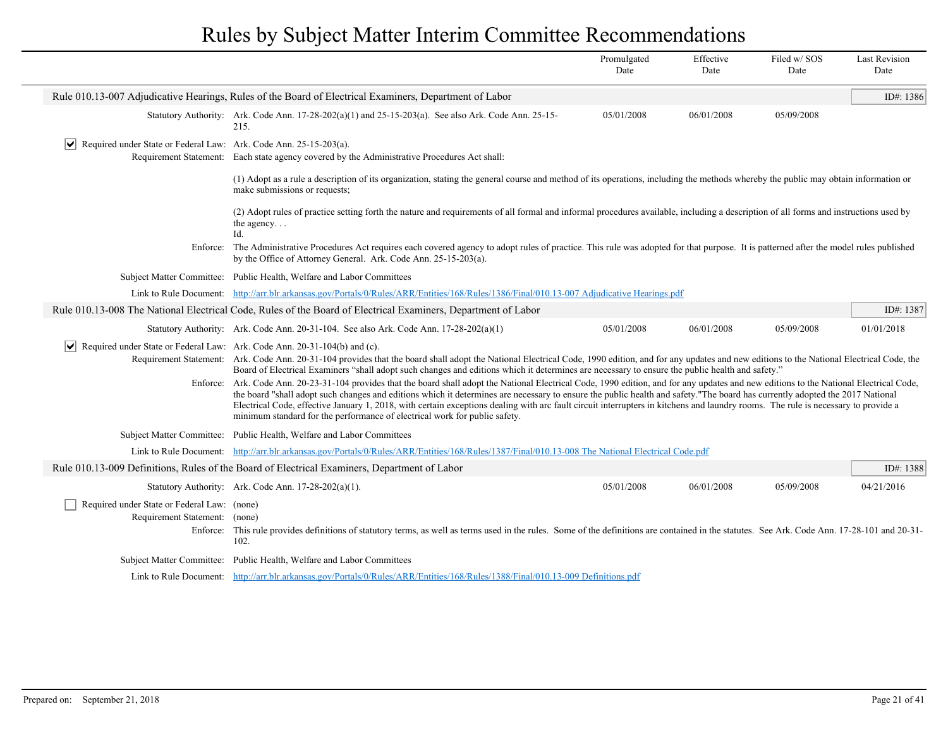|                                                                                            |                                                                                                                                                                                                                                                                                                                                                                                                                                                                                                                                                                                                                                                                                                                                                                                                                                                                                                                                                                                                               | Promulgated<br>Date | Effective<br>Date | Filed w/SOS<br>Date | <b>Last Revision</b><br>Date |  |
|--------------------------------------------------------------------------------------------|---------------------------------------------------------------------------------------------------------------------------------------------------------------------------------------------------------------------------------------------------------------------------------------------------------------------------------------------------------------------------------------------------------------------------------------------------------------------------------------------------------------------------------------------------------------------------------------------------------------------------------------------------------------------------------------------------------------------------------------------------------------------------------------------------------------------------------------------------------------------------------------------------------------------------------------------------------------------------------------------------------------|---------------------|-------------------|---------------------|------------------------------|--|
|                                                                                            | Rule 010.13-007 Adjudicative Hearings, Rules of the Board of Electrical Examiners, Department of Labor                                                                                                                                                                                                                                                                                                                                                                                                                                                                                                                                                                                                                                                                                                                                                                                                                                                                                                        |                     |                   |                     | ID#: 1386                    |  |
|                                                                                            | Statutory Authority: Ark. Code Ann. $17-28-202(a)(1)$ and $25-15-203(a)$ . See also Ark. Code Ann. $25-15-203(a)$<br>215.                                                                                                                                                                                                                                                                                                                                                                                                                                                                                                                                                                                                                                                                                                                                                                                                                                                                                     | 05/01/2008          | 06/01/2008        | 05/09/2008          |                              |  |
| Required under State or Federal Law: Ark. Code Ann. $25-15-203(a)$ .                       | Requirement Statement: Each state agency covered by the Administrative Procedures Act shall:                                                                                                                                                                                                                                                                                                                                                                                                                                                                                                                                                                                                                                                                                                                                                                                                                                                                                                                  |                     |                   |                     |                              |  |
|                                                                                            | (1) Adopt as a rule a description of its organization, stating the general course and method of its operations, including the methods whereby the public may obtain information or<br>make submissions or requests;                                                                                                                                                                                                                                                                                                                                                                                                                                                                                                                                                                                                                                                                                                                                                                                           |                     |                   |                     |                              |  |
|                                                                                            | (2) Adopt rules of practice setting forth the nature and requirements of all formal and informal procedures available, including a description of all forms and instructions used by<br>the agency<br>Id.                                                                                                                                                                                                                                                                                                                                                                                                                                                                                                                                                                                                                                                                                                                                                                                                     |                     |                   |                     |                              |  |
|                                                                                            | Enforce: The Administrative Procedures Act requires each covered agency to adopt rules of practice. This rule was adopted for that purpose. It is patterned after the model rules published<br>by the Office of Attorney General. Ark. Code Ann. 25-15-203(a).                                                                                                                                                                                                                                                                                                                                                                                                                                                                                                                                                                                                                                                                                                                                                |                     |                   |                     |                              |  |
|                                                                                            | Subject Matter Committee: Public Health, Welfare and Labor Committees                                                                                                                                                                                                                                                                                                                                                                                                                                                                                                                                                                                                                                                                                                                                                                                                                                                                                                                                         |                     |                   |                     |                              |  |
|                                                                                            | Link to Rule Document: http://arr.blr.arkansas.gov/Portals/0/Rules/ARR/Entities/168/Rules/1386/Final/010.13-007 Adjudicative Hearings.pdf                                                                                                                                                                                                                                                                                                                                                                                                                                                                                                                                                                                                                                                                                                                                                                                                                                                                     |                     |                   |                     |                              |  |
|                                                                                            | Rule 010.13-008 The National Electrical Code, Rules of the Board of Electrical Examiners, Department of Labor                                                                                                                                                                                                                                                                                                                                                                                                                                                                                                                                                                                                                                                                                                                                                                                                                                                                                                 |                     |                   |                     | ID#: $1387$                  |  |
|                                                                                            | Statutory Authority: Ark. Code Ann. 20-31-104. See also Ark. Code Ann. 17-28-202(a)(1)                                                                                                                                                                                                                                                                                                                                                                                                                                                                                                                                                                                                                                                                                                                                                                                                                                                                                                                        | 05/01/2008          | 06/01/2008        | 05/09/2008          | 01/01/2018                   |  |
| $\triangleright$ Required under State or Federal Law: Ark. Code Ann. 20-31-104(b) and (c). | Requirement Statement: Ark. Code Ann. 20-31-104 provides that the board shall adopt the National Electrical Code, 1990 edition, and for any updates and new editions to the National Electrical Code, the<br>Board of Electrical Examiners "shall adopt such changes and editions which it determines are necessary to ensure the public health and safety."<br>Enforce: Ark. Code Ann. 20-23-31-104 provides that the board shall adopt the National Electrical Code, 1990 edition, and for any updates and new editions to the National Electrical Code,<br>the board "shall adopt such changes and editions which it determines are necessary to ensure the public health and safety."The board has currently adopted the 2017 National<br>Electrical Code, effective January 1, 2018, with certain exceptions dealing with arc fault circuit interrupters in kitchens and laundry rooms. The rule is necessary to provide a<br>minimum standard for the performance of electrical work for public safety. |                     |                   |                     |                              |  |
|                                                                                            | Subject Matter Committee: Public Health, Welfare and Labor Committees                                                                                                                                                                                                                                                                                                                                                                                                                                                                                                                                                                                                                                                                                                                                                                                                                                                                                                                                         |                     |                   |                     |                              |  |
|                                                                                            | Link to Rule Document: http://arr.blr.arkansas.gov/Portals/0/Rules/ARR/Entities/168/Rules/1387/Final/010.13-008 The National Electrical Code.pdf                                                                                                                                                                                                                                                                                                                                                                                                                                                                                                                                                                                                                                                                                                                                                                                                                                                              |                     |                   |                     |                              |  |
|                                                                                            | Rule 010.13-009 Definitions, Rules of the Board of Electrical Examiners, Department of Labor                                                                                                                                                                                                                                                                                                                                                                                                                                                                                                                                                                                                                                                                                                                                                                                                                                                                                                                  |                     |                   |                     | ID#: 1388                    |  |
|                                                                                            | Statutory Authority: Ark. Code Ann. 17-28-202(a)(1).                                                                                                                                                                                                                                                                                                                                                                                                                                                                                                                                                                                                                                                                                                                                                                                                                                                                                                                                                          | 05/01/2008          | 06/01/2008        | 05/09/2008          | 04/21/2016                   |  |
| Required under State or Federal Law: (none)<br>Requirement Statement: (none)<br>Enforce:   | This rule provides definitions of statutory terms, as well as terms used in the rules. Some of the definitions are contained in the statutes. See Ark. Code Ann. 17-28-101 and 20-31-<br>102.                                                                                                                                                                                                                                                                                                                                                                                                                                                                                                                                                                                                                                                                                                                                                                                                                 |                     |                   |                     |                              |  |
|                                                                                            | Subject Matter Committee: Public Health, Welfare and Labor Committees                                                                                                                                                                                                                                                                                                                                                                                                                                                                                                                                                                                                                                                                                                                                                                                                                                                                                                                                         |                     |                   |                     |                              |  |
|                                                                                            | Link to Rule Document: http://arr.blr.arkansas.gov/Portals/0/Rules/ARR/Entities/168/Rules/1388/Final/010.13-009 Definitions.pdf                                                                                                                                                                                                                                                                                                                                                                                                                                                                                                                                                                                                                                                                                                                                                                                                                                                                               |                     |                   |                     |                              |  |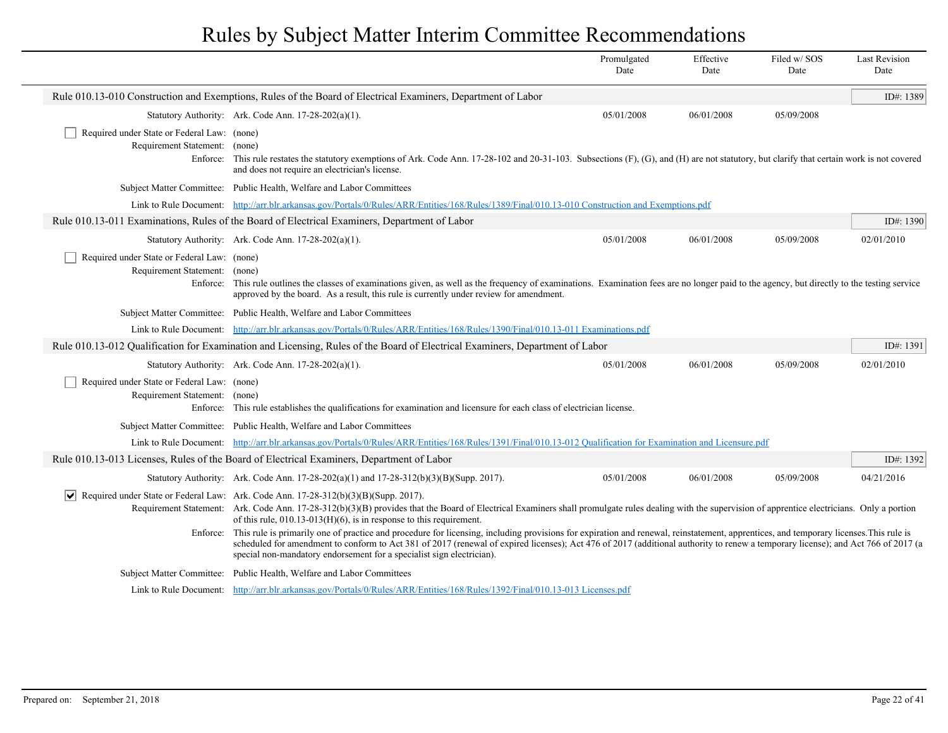|                                                                                          |                                                                                                                                                                                                                                                                                                                                                                                                                                                             | Promulgated<br>Date | Effective<br>Date | Filed w/SOS<br>Date | <b>Last Revision</b><br>Date |
|------------------------------------------------------------------------------------------|-------------------------------------------------------------------------------------------------------------------------------------------------------------------------------------------------------------------------------------------------------------------------------------------------------------------------------------------------------------------------------------------------------------------------------------------------------------|---------------------|-------------------|---------------------|------------------------------|
|                                                                                          | Rule 010.13-010 Construction and Exemptions, Rules of the Board of Electrical Examiners, Department of Labor                                                                                                                                                                                                                                                                                                                                                |                     |                   |                     | ID#: 1389                    |
|                                                                                          | Statutory Authority: Ark. Code Ann. 17-28-202(a)(1).                                                                                                                                                                                                                                                                                                                                                                                                        | 05/01/2008          | 06/01/2008        | 05/09/2008          |                              |
| Required under State or Federal Law: (none)<br>Requirement Statement:<br>Enforce:        | (none)<br>This rule restates the statutory exemptions of Ark. Code Ann. 17-28-102 and 20-31-103. Subsections (F), (G), and (H) are not statutory, but clarify that certain work is not covered<br>and does not require an electrician's license.                                                                                                                                                                                                            |                     |                   |                     |                              |
|                                                                                          | Subject Matter Committee: Public Health, Welfare and Labor Committees                                                                                                                                                                                                                                                                                                                                                                                       |                     |                   |                     |                              |
|                                                                                          | Link to Rule Document: http://arr.blr.arkansas.gov/Portals/0/Rules/ARR/Entities/168/Rules/1389/Final/010.13-010 Construction and Exemptions.pdf                                                                                                                                                                                                                                                                                                             |                     |                   |                     |                              |
|                                                                                          | Rule 010.13-011 Examinations, Rules of the Board of Electrical Examiners, Department of Labor                                                                                                                                                                                                                                                                                                                                                               |                     |                   |                     | ID#: $1390$                  |
|                                                                                          | Statutory Authority: Ark. Code Ann. 17-28-202(a)(1).                                                                                                                                                                                                                                                                                                                                                                                                        | 05/01/2008          | 06/01/2008        | 05/09/2008          | 02/01/2010                   |
| Required under State or Federal Law: (none)<br>Requirement Statement: (none)<br>Enforce: | This rule outlines the classes of examinations given, as well as the frequency of examinations. Examination fees are no longer paid to the agency, but directly to the testing service<br>approved by the board. As a result, this rule is currently under review for amendment.                                                                                                                                                                            |                     |                   |                     |                              |
|                                                                                          | Subject Matter Committee: Public Health, Welfare and Labor Committees                                                                                                                                                                                                                                                                                                                                                                                       |                     |                   |                     |                              |
|                                                                                          | Link to Rule Document: http://arr.blr.arkansas.gov/Portals/0/Rules/ARR/Entities/168/Rules/1390/Final/010.13-011 Examinations.pdf                                                                                                                                                                                                                                                                                                                            |                     |                   |                     |                              |
|                                                                                          | Rule 010.13-012 Qualification for Examination and Licensing, Rules of the Board of Electrical Examiners, Department of Labor                                                                                                                                                                                                                                                                                                                                |                     |                   |                     | ID#: 1391                    |
|                                                                                          | Statutory Authority: Ark. Code Ann. 17-28-202(a)(1).                                                                                                                                                                                                                                                                                                                                                                                                        | 05/01/2008          | 06/01/2008        | 05/09/2008          | 02/01/2010                   |
| Required under State or Federal Law: (none)<br>Requirement Statement: (none)             | Enforce: This rule establishes the qualifications for examination and licensure for each class of electrician license.                                                                                                                                                                                                                                                                                                                                      |                     |                   |                     |                              |
|                                                                                          | Subject Matter Committee: Public Health, Welfare and Labor Committees                                                                                                                                                                                                                                                                                                                                                                                       |                     |                   |                     |                              |
|                                                                                          | Link to Rule Document: http://arr.blr.arkansas.gov/Portals/0/Rules/ARR/Entities/168/Rules/1391/Final/010.13-012 Qualification for Examination and Licensure.pdf                                                                                                                                                                                                                                                                                             |                     |                   |                     |                              |
|                                                                                          | Rule 010.13-013 Licenses, Rules of the Board of Electrical Examiners, Department of Labor                                                                                                                                                                                                                                                                                                                                                                   |                     |                   |                     | ID#: 1392                    |
|                                                                                          | Statutory Authority: Ark. Code Ann. $17-28-202(a)(1)$ and $17-28-312(b)(3)(B)(Supp. 2017)$ .                                                                                                                                                                                                                                                                                                                                                                | 05/01/2008          | 06/01/2008        | 05/09/2008          | 04/21/2016                   |
|                                                                                          | $\sqrt{\phantom{a}}$ Required under State or Federal Law: Ark. Code Ann. 17-28-312(b)(3)(B)(Supp. 2017).<br>Requirement Statement: Ark. Code Ann. 17-28-312(b)(3)(B) provides that the Board of Electrical Examiners shall promulgate rules dealing with the supervision of apprentice electricians. Only a portion<br>of this rule, $010.13-013$ (H)(6), is in response to this requirement.                                                               |                     |                   |                     |                              |
|                                                                                          | Enforce: This rule is primarily one of practice and procedure for licensing, including provisions for expiration and renewal, reinstatement, apprentices, and temporary licenses. This rule is<br>scheduled for amendment to conform to Act 381 of 2017 (renewal of expired licenses); Act 476 of 2017 (additional authority to renew a temporary license); and Act 766 of 2017 (a<br>special non-mandatory endorsement for a specialist sign electrician). |                     |                   |                     |                              |
|                                                                                          | Subject Matter Committee: Public Health, Welfare and Labor Committees                                                                                                                                                                                                                                                                                                                                                                                       |                     |                   |                     |                              |
|                                                                                          | Link to Rule Document: http://arr.blr.arkansas.gov/Portals/0/Rules/ARR/Entities/168/Rules/1392/Final/010.13-013 Licenses.pdf                                                                                                                                                                                                                                                                                                                                |                     |                   |                     |                              |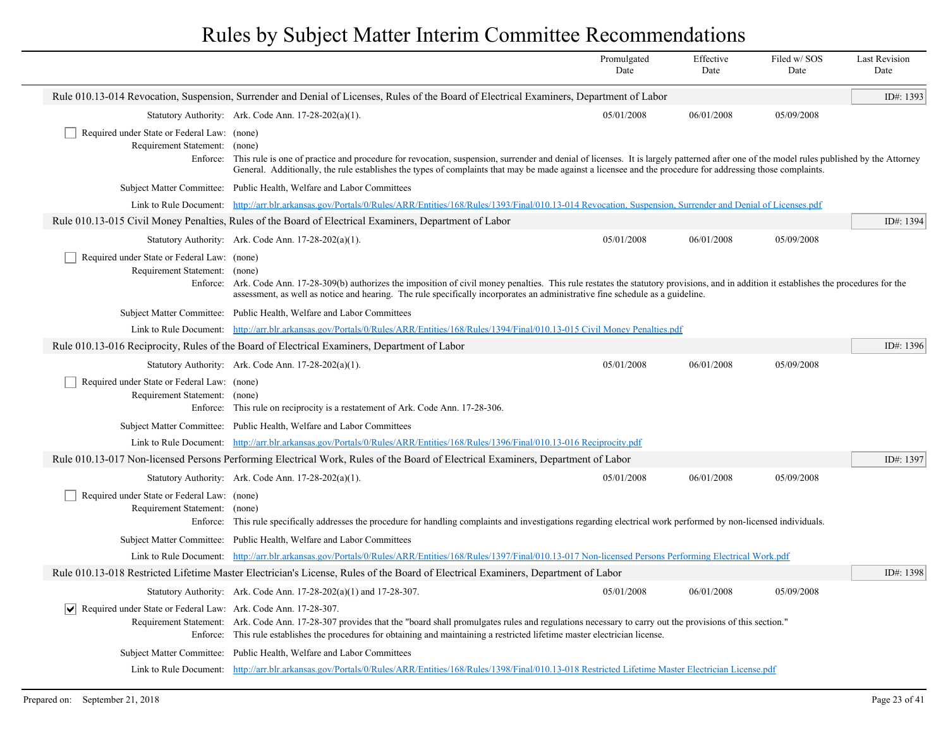|                                                                                   |                                                                                                                                                                                                                                                                                                                                                                 | Promulgated<br>Date | Effective<br>Date | Filed w/SOS<br>Date | <b>Last Revision</b><br>Date |
|-----------------------------------------------------------------------------------|-----------------------------------------------------------------------------------------------------------------------------------------------------------------------------------------------------------------------------------------------------------------------------------------------------------------------------------------------------------------|---------------------|-------------------|---------------------|------------------------------|
|                                                                                   | Rule 010.13-014 Revocation, Suspension, Surrender and Denial of Licenses, Rules of the Board of Electrical Examiners, Department of Labor                                                                                                                                                                                                                       |                     |                   |                     | ID#: 1393                    |
|                                                                                   | Statutory Authority: Ark. Code Ann. 17-28-202(a)(1).                                                                                                                                                                                                                                                                                                            | 05/01/2008          | 06/01/2008        | 05/09/2008          |                              |
| Required under State or Federal Law: (none)<br>Requirement Statement:<br>Enforce: | (none)<br>This rule is one of practice and procedure for revocation, suspension, surrender and denial of licenses. It is largely patterned after one of the model rules published by the Attorney<br>General. Additionally, the rule establishes the types of complaints that may be made against a licensee and the procedure for addressing those complaints. |                     |                   |                     |                              |
|                                                                                   | Subject Matter Committee: Public Health, Welfare and Labor Committees                                                                                                                                                                                                                                                                                           |                     |                   |                     |                              |
|                                                                                   | Link to Rule Document: http://arr.blr.arkansas.gov/Portals/0/Rules/ARR/Entities/168/Rules/1393/Final/010.13-014 Revocation, Suspension, Surrender and Denial of Licenses.pdf                                                                                                                                                                                    |                     |                   |                     |                              |
|                                                                                   | Rule 010.13-015 Civil Money Penalties, Rules of the Board of Electrical Examiners, Department of Labor                                                                                                                                                                                                                                                          |                     |                   |                     | ID#: 1394                    |
|                                                                                   | Statutory Authority: Ark. Code Ann. 17-28-202(a)(1).                                                                                                                                                                                                                                                                                                            | 05/01/2008          | 06/01/2008        | 05/09/2008          |                              |
| Required under State or Federal Law: (none)<br>Requirement Statement: (none)      | Enforce: Ark. Code Ann. 17-28-309(b) authorizes the imposition of civil money penalties. This rule restates the statutory provisions, and in addition it establishes the procedures for the<br>assessment, as well as notice and hearing. The rule specifically incorporates an administrative fine schedule as a guideline.                                    |                     |                   |                     |                              |
|                                                                                   | Subject Matter Committee: Public Health, Welfare and Labor Committees                                                                                                                                                                                                                                                                                           |                     |                   |                     |                              |
|                                                                                   | Link to Rule Document: http://arr.blr.arkansas.gov/Portals/0/Rules/ARR/Entities/168/Rules/1394/Final/010.13-015 Civil Money Penalties.pdf                                                                                                                                                                                                                       |                     |                   |                     |                              |
|                                                                                   | Rule 010.13-016 Reciprocity, Rules of the Board of Electrical Examiners, Department of Labor                                                                                                                                                                                                                                                                    |                     |                   |                     | ID#: 1396                    |
|                                                                                   | Statutory Authority: Ark. Code Ann. 17-28-202(a)(1).                                                                                                                                                                                                                                                                                                            | 05/01/2008          | 06/01/2008        | 05/09/2008          |                              |
| Required under State or Federal Law: (none)<br>Requirement Statement: (none)      | Enforce: This rule on reciprocity is a restatement of Ark. Code Ann. 17-28-306.                                                                                                                                                                                                                                                                                 |                     |                   |                     |                              |
|                                                                                   | Subject Matter Committee: Public Health, Welfare and Labor Committees                                                                                                                                                                                                                                                                                           |                     |                   |                     |                              |
| Link to Rule Document:                                                            | http://arr.blr.arkansas.gov/Portals/0/Rules/ARR/Entities/168/Rules/1396/Final/010.13-016 Reciprocity.pdf                                                                                                                                                                                                                                                        |                     |                   |                     |                              |
|                                                                                   | Rule 010.13-017 Non-licensed Persons Performing Electrical Work, Rules of the Board of Electrical Examiners, Department of Labor                                                                                                                                                                                                                                |                     |                   |                     | ID#: 1397                    |
|                                                                                   | Statutory Authority: Ark. Code Ann. 17-28-202(a)(1).                                                                                                                                                                                                                                                                                                            | 05/01/2008          | 06/01/2008        | 05/09/2008          |                              |
| Required under State or Federal Law: (none)<br>Requirement Statement: (none)      | Enforce: This rule specifically addresses the procedure for handling complaints and investigations regarding electrical work performed by non-licensed individuals.                                                                                                                                                                                             |                     |                   |                     |                              |
|                                                                                   | Subject Matter Committee: Public Health, Welfare and Labor Committees                                                                                                                                                                                                                                                                                           |                     |                   |                     |                              |
|                                                                                   | Link to Rule Document: http://arr.blr.arkansas.gov/Portals/0/Rules/ARR/Entities/168/Rules/1397/Final/010.13-017 Non-licensed Persons Performing Electrical Work.pdf                                                                                                                                                                                             |                     |                   |                     |                              |
|                                                                                   | Rule 010.13-018 Restricted Lifetime Master Electrician's License, Rules of the Board of Electrical Examiners, Department of Labor                                                                                                                                                                                                                               |                     |                   |                     | ID#: 1398                    |
|                                                                                   | Statutory Authority: Ark. Code Ann. $17-28-202(a)(1)$ and $17-28-307$ .                                                                                                                                                                                                                                                                                         | 05/01/2008          | 06/01/2008        | 05/09/2008          |                              |
| $ \mathbf{v} $ Required under State or Federal Law: Ark. Code Ann. 17-28-307.     | Requirement Statement: Ark. Code Ann. 17-28-307 provides that the "board shall promulgates rules and regulations necessary to carry out the provisions of this section."<br>Enforce: This rule establishes the procedures for obtaining and maintaining a restricted lifetime master electrician license.                                                       |                     |                   |                     |                              |
|                                                                                   | Subject Matter Committee: Public Health, Welfare and Labor Committees                                                                                                                                                                                                                                                                                           |                     |                   |                     |                              |
|                                                                                   | Link to Rule Document: http://arr.blr.arkansas.gov/Portals/0/Rules/ARR/Entities/168/Rules/1398/Final/010.13-018 Restricted Lifetime Master Electrician License.pdf                                                                                                                                                                                              |                     |                   |                     |                              |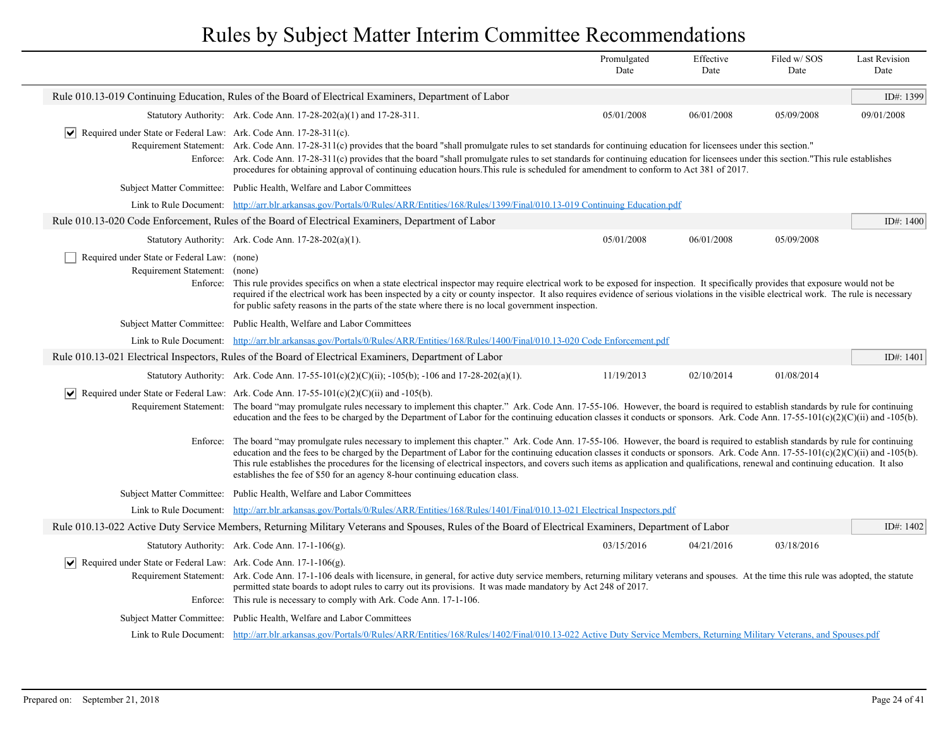|                                                                                          |                                                                                                                                                                                                                                                                                                                                                                                                                                                                                                                                                                                                                                                  | Promulgated<br>Date | Effective<br>Date | Filed w/SOS<br>Date | <b>Last Revision</b><br>Date |
|------------------------------------------------------------------------------------------|--------------------------------------------------------------------------------------------------------------------------------------------------------------------------------------------------------------------------------------------------------------------------------------------------------------------------------------------------------------------------------------------------------------------------------------------------------------------------------------------------------------------------------------------------------------------------------------------------------------------------------------------------|---------------------|-------------------|---------------------|------------------------------|
|                                                                                          | Rule 010.13-019 Continuing Education, Rules of the Board of Electrical Examiners, Department of Labor                                                                                                                                                                                                                                                                                                                                                                                                                                                                                                                                            |                     |                   |                     | ID#: 1399                    |
|                                                                                          | Statutory Authority: Ark. Code Ann. $17-28-202(a)(1)$ and $17-28-311$ .                                                                                                                                                                                                                                                                                                                                                                                                                                                                                                                                                                          | 05/01/2008          | 06/01/2008        | 05/09/2008          | 09/01/2008                   |
| $ \mathbf{v} $ Required under State or Federal Law: Ark. Code Ann. 17-28-311(c).         | Requirement Statement: Ark. Code Ann. 17-28-311(c) provides that the board "shall promulgate rules to set standards for continuing education for licensees under this section."<br>Enforce: Ark. Code Ann. 17-28-311(c) provides that the board "shall promulgate rules to set standards for continuing education for licensees under this section."This rule establishes<br>procedures for obtaining approval of continuing education hours. This rule is scheduled for amendment to conform to Act 381 of 2017.                                                                                                                                |                     |                   |                     |                              |
|                                                                                          | Subject Matter Committee: Public Health, Welfare and Labor Committees                                                                                                                                                                                                                                                                                                                                                                                                                                                                                                                                                                            |                     |                   |                     |                              |
|                                                                                          | Link to Rule Document: http://arr.blr.arkansas.gov/Portals/0/Rules/ARR/Entities/168/Rules/1399/Final/010.13-019 Continuing Education.pdf                                                                                                                                                                                                                                                                                                                                                                                                                                                                                                         |                     |                   |                     |                              |
|                                                                                          | Rule 010.13-020 Code Enforcement, Rules of the Board of Electrical Examiners, Department of Labor                                                                                                                                                                                                                                                                                                                                                                                                                                                                                                                                                |                     |                   |                     | ID#: $1400$                  |
|                                                                                          | Statutory Authority: Ark. Code Ann. 17-28-202(a)(1).                                                                                                                                                                                                                                                                                                                                                                                                                                                                                                                                                                                             | 05/01/2008          | 06/01/2008        | 05/09/2008          |                              |
| Required under State or Federal Law: (none)<br>Requirement Statement: (none)<br>Enforce: | This rule provides specifics on when a state electrical inspector may require electrical work to be exposed for inspection. It specifically provides that exposure would not be<br>required if the electrical work has been inspected by a city or county inspector. It also requires evidence of serious violations in the visible electrical work. The rule is necessary<br>for public safety reasons in the parts of the state where there is no local government inspection.                                                                                                                                                                 |                     |                   |                     |                              |
|                                                                                          | Subject Matter Committee: Public Health, Welfare and Labor Committees                                                                                                                                                                                                                                                                                                                                                                                                                                                                                                                                                                            |                     |                   |                     |                              |
|                                                                                          | Link to Rule Document: http://arr.blr.arkansas.gov/Portals/0/Rules/ARR/Entities/168/Rules/1400/Final/010.13-020 Code Enforcement.pdf                                                                                                                                                                                                                                                                                                                                                                                                                                                                                                             |                     |                   |                     |                              |
|                                                                                          | Rule 010.13-021 Electrical Inspectors, Rules of the Board of Electrical Examiners, Department of Labor                                                                                                                                                                                                                                                                                                                                                                                                                                                                                                                                           |                     |                   |                     | ID#: 1401                    |
|                                                                                          | Statutory Authority: Ark. Code Ann. 17-55-101(c)(2)(C)(ii); -105(b); -106 and 17-28-202(a)(1).                                                                                                                                                                                                                                                                                                                                                                                                                                                                                                                                                   | 11/19/2013          | 02/10/2014        | 01/08/2014          |                              |
|                                                                                          | $\blacktriangleright$ Required under State or Federal Law: Ark. Code Ann. 17-55-101(c)(2)(C)(ii) and -105(b).<br>Requirement Statement: The board "may promulgate rules necessary to implement this chapter." Ark. Code Ann. 17-55-106. However, the board is required to establish standards by rule for continuing<br>education and the fees to be charged by the Department of Labor for the continuing education classes it conducts or sponsors. Ark. Code Ann. $17-55-101(c)(2)(C)(ii)$ and $-105(b)$ .                                                                                                                                    |                     |                   |                     |                              |
|                                                                                          | Enforce: The board "may promulgate rules necessary to implement this chapter." Ark. Code Ann. 17-55-106. However, the board is required to establish standards by rule for continuing<br>education and the fees to be charged by the Department of Labor for the continuing education classes it conducts or sponsors. Ark. Code Ann. 17-55-101(c)(2)(C)(ii) and -105(b).<br>This rule establishes the procedures for the licensing of electrical inspectors, and covers such items as application and qualifications, renewal and continuing education. It also<br>establishes the fee of \$50 for an agency 8-hour continuing education class. |                     |                   |                     |                              |
|                                                                                          | Subject Matter Committee: Public Health, Welfare and Labor Committees                                                                                                                                                                                                                                                                                                                                                                                                                                                                                                                                                                            |                     |                   |                     |                              |
|                                                                                          | Link to Rule Document: http://arr.blr.arkansas.gov/Portals/0/Rules/ARR/Entities/168/Rules/1401/Final/010.13-021 Electrical Inspectors.pdf                                                                                                                                                                                                                                                                                                                                                                                                                                                                                                        |                     |                   |                     |                              |
|                                                                                          | Rule 010.13-022 Active Duty Service Members, Returning Military Veterans and Spouses, Rules of the Board of Electrical Examiners, Department of Labor                                                                                                                                                                                                                                                                                                                                                                                                                                                                                            |                     |                   |                     | ID#: 1402                    |
|                                                                                          | Statutory Authority: Ark. Code Ann. 17-1-106(g).                                                                                                                                                                                                                                                                                                                                                                                                                                                                                                                                                                                                 | 03/15/2016          | 04/21/2016        | 03/18/2016          |                              |
| Required under State or Federal Law: Ark. Code Ann. 17-1-106(g).<br>∣V∣                  | Requirement Statement: Ark. Code Ann. 17-1-106 deals with licensure, in general, for active duty service members, returning military veterans and spouses. At the time this rule was adopted, the statute<br>permitted state boards to adopt rules to carry out its provisions. It was made mandatory by Act 248 of 2017.<br>Enforce: This rule is necessary to comply with Ark. Code Ann. 17-1-106.                                                                                                                                                                                                                                             |                     |                   |                     |                              |
|                                                                                          | Subject Matter Committee: Public Health, Welfare and Labor Committees                                                                                                                                                                                                                                                                                                                                                                                                                                                                                                                                                                            |                     |                   |                     |                              |
|                                                                                          | Link to Rule Document: http://arr.blr.arkansas.gov/Portals/0/Rules/ARR/Entities/168/Rules/1402/Final/010.13-022 Active Duty Service Members, Returning Military Veterans, and Spouses.pdf                                                                                                                                                                                                                                                                                                                                                                                                                                                        |                     |                   |                     |                              |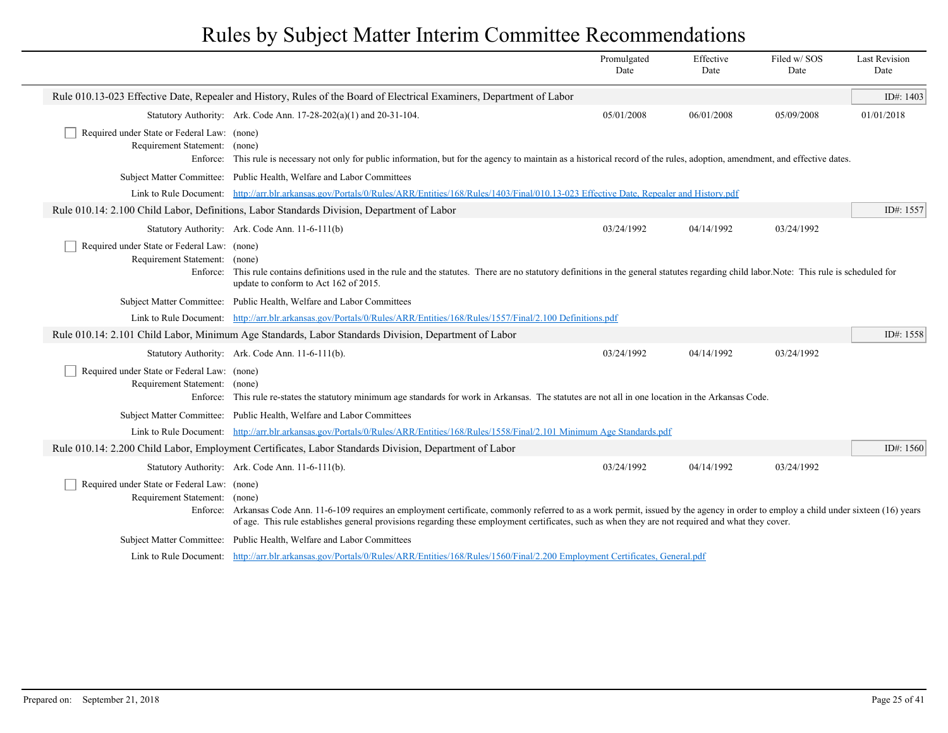|                                                                                          |                                                                                                                                                                                                                                                                                                                                               | Promulgated<br>Date | Effective<br>Date | Filed w/SOS<br>Date | <b>Last Revision</b><br>Date |
|------------------------------------------------------------------------------------------|-----------------------------------------------------------------------------------------------------------------------------------------------------------------------------------------------------------------------------------------------------------------------------------------------------------------------------------------------|---------------------|-------------------|---------------------|------------------------------|
|                                                                                          | Rule 010.13-023 Effective Date, Repealer and History, Rules of the Board of Electrical Examiners, Department of Labor                                                                                                                                                                                                                         |                     |                   |                     | ID#: 1403                    |
|                                                                                          | Statutory Authority: Ark. Code Ann. 17-28-202(a)(1) and 20-31-104.                                                                                                                                                                                                                                                                            | 05/01/2008          | 06/01/2008        | 05/09/2008          | 01/01/2018                   |
| Required under State or Federal Law: (none)<br>Requirement Statement: (none)<br>Enforce: | This rule is necessary not only for public information, but for the agency to maintain as a historical record of the rules, adoption, amendment, and effective dates.                                                                                                                                                                         |                     |                   |                     |                              |
|                                                                                          | Subject Matter Committee: Public Health, Welfare and Labor Committees                                                                                                                                                                                                                                                                         |                     |                   |                     |                              |
|                                                                                          | Link to Rule Document: http://arr.blr.arkansas.gov/Portals/0/Rules/ARR/Entities/168/Rules/1403/Final/010.13-023 Effective Date, Repealer and History.pdf                                                                                                                                                                                      |                     |                   |                     |                              |
|                                                                                          | Rule 010.14: 2.100 Child Labor, Definitions, Labor Standards Division, Department of Labor                                                                                                                                                                                                                                                    |                     |                   |                     | ID#: 1557                    |
|                                                                                          | Statutory Authority: Ark. Code Ann. 11-6-111(b)                                                                                                                                                                                                                                                                                               | 03/24/1992          | 04/14/1992        | 03/24/1992          |                              |
| Required under State or Federal Law: (none)<br>Requirement Statement: (none)             | Enforce: This rule contains definitions used in the rule and the statutes. There are no statutory definitions in the general statutes regarding child labor. Note: This rule is scheduled for<br>update to conform to Act 162 of 2015.                                                                                                        |                     |                   |                     |                              |
|                                                                                          | Subject Matter Committee: Public Health, Welfare and Labor Committees                                                                                                                                                                                                                                                                         |                     |                   |                     |                              |
|                                                                                          | Link to Rule Document: http://arr.blr.arkansas.gov/Portals/0/Rules/ARR/Entities/168/Rules/1557/Final/2.100 Definitions.pdf                                                                                                                                                                                                                    |                     |                   |                     |                              |
|                                                                                          | Rule 010.14: 2.101 Child Labor, Minimum Age Standards, Labor Standards Division, Department of Labor                                                                                                                                                                                                                                          |                     |                   |                     | ID#: 1558                    |
|                                                                                          | Statutory Authority: Ark. Code Ann. 11-6-111(b).                                                                                                                                                                                                                                                                                              | 03/24/1992          | 04/14/1992        | 03/24/1992          |                              |
| Required under State or Federal Law: (none)<br>Requirement Statement:<br>Enforce:        | (none)<br>This rule re-states the statutory minimum age standards for work in Arkansas. The statutes are not all in one location in the Arkansas Code.                                                                                                                                                                                        |                     |                   |                     |                              |
|                                                                                          | Subject Matter Committee: Public Health, Welfare and Labor Committees                                                                                                                                                                                                                                                                         |                     |                   |                     |                              |
|                                                                                          | Link to Rule Document: http://arr.blr.arkansas.gov/Portals/0/Rules/ARR/Entities/168/Rules/1558/Final/2.101 Minimum Age Standards.pdf                                                                                                                                                                                                          |                     |                   |                     |                              |
|                                                                                          | Rule 010.14: 2.200 Child Labor, Employment Certificates, Labor Standards Division, Department of Labor                                                                                                                                                                                                                                        |                     |                   |                     | ID#: $1560$                  |
|                                                                                          | Statutory Authority: Ark. Code Ann. 11-6-111(b).                                                                                                                                                                                                                                                                                              | 03/24/1992          | 04/14/1992        | 03/24/1992          |                              |
| Required under State or Federal Law: (none)<br>Requirement Statement: (none)             | Enforce: Arkansas Code Ann. 11-6-109 requires an employment certificate, commonly referred to as a work permit, issued by the agency in order to employ a child under sixteen (16) years<br>of age. This rule establishes general provisions regarding these employment certificates, such as when they are not required and what they cover. |                     |                   |                     |                              |
|                                                                                          | Subject Matter Committee: Public Health, Welfare and Labor Committees                                                                                                                                                                                                                                                                         |                     |                   |                     |                              |
|                                                                                          | Link to Rule Document: http://arr.blr.arkansas.gov/Portals/0/Rules/ARR/Entities/168/Rules/1560/Final/2.200 Employment Certificates, General.pdf                                                                                                                                                                                               |                     |                   |                     |                              |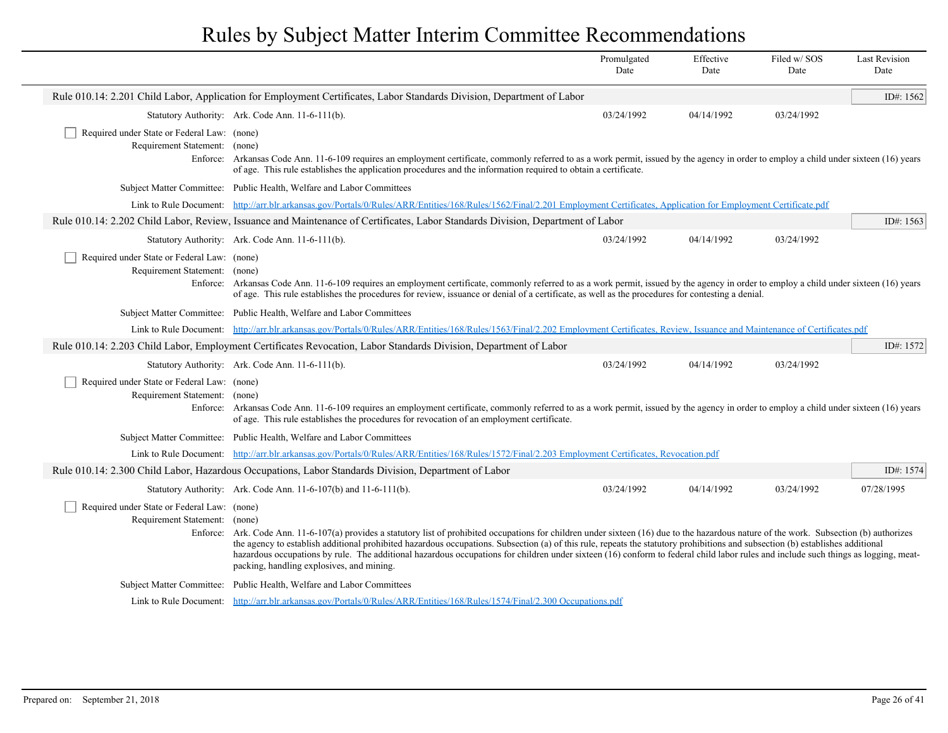|                                                                              |                                                                                                                                                                                                                                                                                                                                                                                                                                                                                                                                                                                                                 | Promulgated<br>Date | Effective<br>Date | Filed w/SOS<br>Date | <b>Last Revision</b><br>Date |
|------------------------------------------------------------------------------|-----------------------------------------------------------------------------------------------------------------------------------------------------------------------------------------------------------------------------------------------------------------------------------------------------------------------------------------------------------------------------------------------------------------------------------------------------------------------------------------------------------------------------------------------------------------------------------------------------------------|---------------------|-------------------|---------------------|------------------------------|
|                                                                              | Rule 010.14: 2.201 Child Labor, Application for Employment Certificates, Labor Standards Division, Department of Labor                                                                                                                                                                                                                                                                                                                                                                                                                                                                                          |                     |                   |                     | ID#: 1562                    |
|                                                                              | Statutory Authority: Ark. Code Ann. 11-6-111(b).                                                                                                                                                                                                                                                                                                                                                                                                                                                                                                                                                                | 03/24/1992          | 04/14/1992        | 03/24/1992          |                              |
| Required under State or Federal Law: (none)<br>Requirement Statement: (none) | Enforce: Arkansas Code Ann. 11-6-109 requires an employment certificate, commonly referred to as a work permit, issued by the agency in order to employ a child under sixteen (16) years<br>of age. This rule establishes the application procedures and the information required to obtain a certificate.                                                                                                                                                                                                                                                                                                      |                     |                   |                     |                              |
|                                                                              | Subject Matter Committee: Public Health, Welfare and Labor Committees                                                                                                                                                                                                                                                                                                                                                                                                                                                                                                                                           |                     |                   |                     |                              |
|                                                                              | Link to Rule Document: http://arr.blr.arkansas.gov/Portals/0/Rules/ARR/Entities/168/Rules/1562/Final/2.201 Employment Certificates, Application for Employment Certificate.pdf                                                                                                                                                                                                                                                                                                                                                                                                                                  |                     |                   |                     |                              |
|                                                                              | Rule 010.14: 2.202 Child Labor, Review, Issuance and Maintenance of Certificates, Labor Standards Division, Department of Labor                                                                                                                                                                                                                                                                                                                                                                                                                                                                                 |                     |                   |                     | ID#: 1563                    |
|                                                                              | Statutory Authority: Ark. Code Ann. 11-6-111(b).                                                                                                                                                                                                                                                                                                                                                                                                                                                                                                                                                                | 03/24/1992          | 04/14/1992        | 03/24/1992          |                              |
| Required under State or Federal Law: (none)<br>Requirement Statement:        | (none)<br>Enforce: Arkansas Code Ann. 11-6-109 requires an employment certificate, commonly referred to as a work permit, issued by the agency in order to employ a child under sixteen (16) years<br>of age. This rule establishes the procedures for review, issuance or denial of a certificate, as well as the procedures for contesting a denial.                                                                                                                                                                                                                                                          |                     |                   |                     |                              |
|                                                                              | Subject Matter Committee: Public Health, Welfare and Labor Committees                                                                                                                                                                                                                                                                                                                                                                                                                                                                                                                                           |                     |                   |                     |                              |
|                                                                              | Link to Rule Document: http://arr.blr.arkansas.gov/Portals/0/Rules/ARR/Entities/168/Rules/1563/Final/2.202 Employment Certificates, Review, Issuance and Maintenance of Certificates.pdf                                                                                                                                                                                                                                                                                                                                                                                                                        |                     |                   |                     |                              |
|                                                                              | Rule 010.14: 2.203 Child Labor, Employment Certificates Revocation, Labor Standards Division, Department of Labor                                                                                                                                                                                                                                                                                                                                                                                                                                                                                               |                     |                   |                     | ID#: 1572                    |
|                                                                              | Statutory Authority: Ark. Code Ann. 11-6-111(b).                                                                                                                                                                                                                                                                                                                                                                                                                                                                                                                                                                | 03/24/1992          | 04/14/1992        | 03/24/1992          |                              |
| Required under State or Federal Law: (none)<br>Requirement Statement: (none) | Enforce: Arkansas Code Ann. 11-6-109 requires an employment certificate, commonly referred to as a work permit, issued by the agency in order to employ a child under sixteen (16) years<br>of age. This rule establishes the procedures for revocation of an employment certificate.                                                                                                                                                                                                                                                                                                                           |                     |                   |                     |                              |
|                                                                              | Subject Matter Committee: Public Health, Welfare and Labor Committees                                                                                                                                                                                                                                                                                                                                                                                                                                                                                                                                           |                     |                   |                     |                              |
|                                                                              | Link to Rule Document: http://arr.blr.arkansas.gov/Portals/0/Rules/ARR/Entities/168/Rules/1572/Final/2.203 Employment Certificates, Revocation.pdf                                                                                                                                                                                                                                                                                                                                                                                                                                                              |                     |                   |                     |                              |
|                                                                              | Rule 010.14: 2.300 Child Labor, Hazardous Occupations, Labor Standards Division, Department of Labor                                                                                                                                                                                                                                                                                                                                                                                                                                                                                                            |                     |                   |                     | ID#: 1574                    |
|                                                                              | Statutory Authority: Ark. Code Ann. 11-6-107(b) and 11-6-111(b).                                                                                                                                                                                                                                                                                                                                                                                                                                                                                                                                                | 03/24/1992          | 04/14/1992        | 03/24/1992          | 07/28/1995                   |
| Required under State or Federal Law: (none)<br>Requirement Statement: (none) | Enforce: Ark. Code Ann. 11-6-107(a) provides a statutory list of prohibited occupations for children under sixteen (16) due to the hazardous nature of the work. Subsection (b) authorizes<br>the agency to establish additional prohibited hazardous occupations. Subsection (a) of this rule, repeats the statutory prohibitions and subsection (b) establishes additional<br>hazardous occupations by rule. The additional hazardous occupations for children under sixteen (16) conform to federal child labor rules and include such things as logging, meat-<br>packing, handling explosives, and mining. |                     |                   |                     |                              |
|                                                                              | Subject Matter Committee: Public Health, Welfare and Labor Committees                                                                                                                                                                                                                                                                                                                                                                                                                                                                                                                                           |                     |                   |                     |                              |
|                                                                              | Link to Rule Document: http://arr.blr.arkansas.gov/Portals/0/Rules/ARR/Entities/168/Rules/1574/Final/2.300 Occupations.pdf                                                                                                                                                                                                                                                                                                                                                                                                                                                                                      |                     |                   |                     |                              |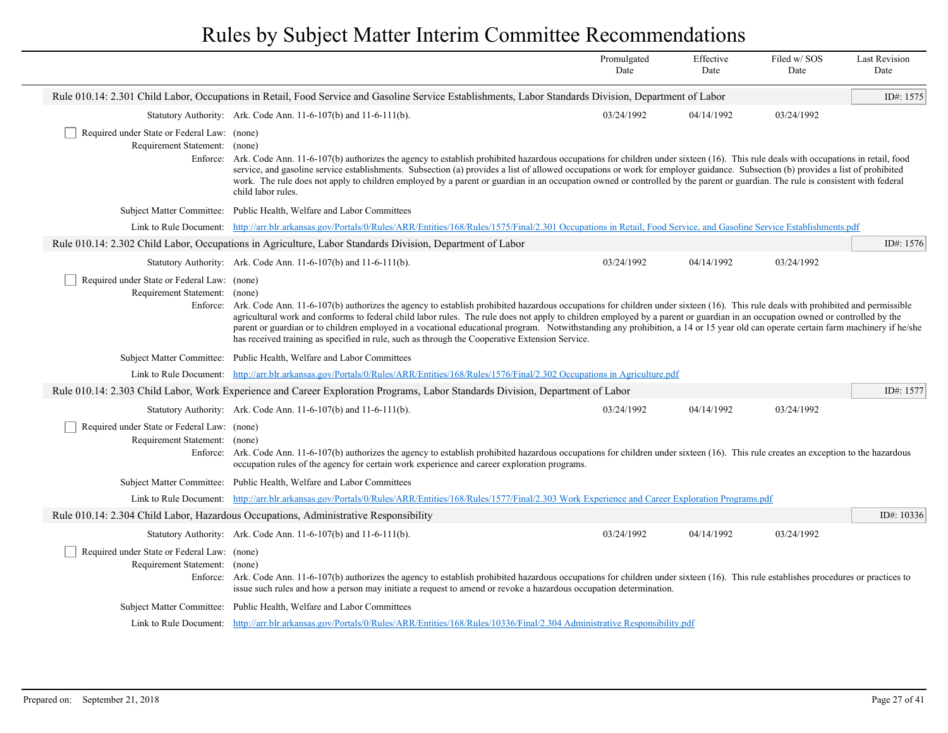|                                                                              |                                                                                                                                                                                                                                                                                                                                                                                                                                                                                                                                                                                                                                                                            | Promulgated<br>Date | Effective<br>Date | Filed w/SOS<br>Date | <b>Last Revision</b><br>Date |
|------------------------------------------------------------------------------|----------------------------------------------------------------------------------------------------------------------------------------------------------------------------------------------------------------------------------------------------------------------------------------------------------------------------------------------------------------------------------------------------------------------------------------------------------------------------------------------------------------------------------------------------------------------------------------------------------------------------------------------------------------------------|---------------------|-------------------|---------------------|------------------------------|
|                                                                              | Rule 010.14: 2.301 Child Labor, Occupations in Retail, Food Service and Gasoline Service Establishments, Labor Standards Division, Department of Labor                                                                                                                                                                                                                                                                                                                                                                                                                                                                                                                     |                     |                   |                     | ID#: 1575                    |
|                                                                              | Statutory Authority: Ark. Code Ann. 11-6-107(b) and 11-6-111(b).                                                                                                                                                                                                                                                                                                                                                                                                                                                                                                                                                                                                           | 03/24/1992          | 04/14/1992        | 03/24/1992          |                              |
| Required under State or Federal Law: (none)<br>Requirement Statement: (none) | Enforce: Ark. Code Ann. 11-6-107(b) authorizes the agency to establish prohibited hazardous occupations for children under sixteen (16). This rule deals with occupations in retail, food<br>service, and gasoline service establishments. Subsection (a) provides a list of allowed occupations or work for employer guidance. Subsection (b) provides a list of prohibited<br>work. The rule does not apply to children employed by a parent or guardian in an occupation owned or controlled by the parent or guardian. The rule is consistent with federal<br>child labor rules.                                                                                       |                     |                   |                     |                              |
|                                                                              | Subject Matter Committee: Public Health, Welfare and Labor Committees                                                                                                                                                                                                                                                                                                                                                                                                                                                                                                                                                                                                      |                     |                   |                     |                              |
|                                                                              | Link to Rule Document: http://arr.blr.arkansas.gov/Portals/0/Rules/ARR/Entities/168/Rules/1575/Final/2.301 Occupations in Retail, Food Service, and Gasoline Service Establishments.pdf                                                                                                                                                                                                                                                                                                                                                                                                                                                                                    |                     |                   |                     |                              |
|                                                                              | Rule 010.14: 2.302 Child Labor, Occupations in Agriculture, Labor Standards Division, Department of Labor                                                                                                                                                                                                                                                                                                                                                                                                                                                                                                                                                                  |                     |                   |                     | ID#: 1576                    |
|                                                                              | Statutory Authority: Ark. Code Ann. 11-6-107(b) and 11-6-111(b).                                                                                                                                                                                                                                                                                                                                                                                                                                                                                                                                                                                                           | 03/24/1992          | 04/14/1992        | 03/24/1992          |                              |
| Required under State or Federal Law: (none)<br>Requirement Statement:        | (none)<br>Enforce: Ark. Code Ann. 11-6-107(b) authorizes the agency to establish prohibited hazardous occupations for children under sixteen (16). This rule deals with prohibited and permissible<br>agricultural work and conforms to federal child labor rules. The rule does not apply to children employed by a parent or guardian in an occupation owned or controlled by the<br>parent or guardian or to children employed in a vocational educational program. Notwithstanding any prohibition, a 14 or 15 year old can operate certain farm machinery if he/she<br>has received training as specified in rule, such as through the Cooperative Extension Service. |                     |                   |                     |                              |
|                                                                              | Subject Matter Committee: Public Health, Welfare and Labor Committees                                                                                                                                                                                                                                                                                                                                                                                                                                                                                                                                                                                                      |                     |                   |                     |                              |
|                                                                              | Link to Rule Document: http://arr.blr.arkansas.gov/Portals/0/Rules/ARR/Entities/168/Rules/1576/Final/2.302 Occupations in Agriculture.pdf                                                                                                                                                                                                                                                                                                                                                                                                                                                                                                                                  |                     |                   |                     |                              |
|                                                                              | Rule 010.14: 2.303 Child Labor, Work Experience and Career Exploration Programs, Labor Standards Division, Department of Labor                                                                                                                                                                                                                                                                                                                                                                                                                                                                                                                                             |                     |                   |                     | ID#: 1577                    |
|                                                                              | Statutory Authority: Ark. Code Ann. 11-6-107(b) and 11-6-111(b).                                                                                                                                                                                                                                                                                                                                                                                                                                                                                                                                                                                                           | 03/24/1992          | 04/14/1992        | 03/24/1992          |                              |
| Required under State or Federal Law: (none)<br>Requirement Statement:        | (none)<br>Enforce: Ark. Code Ann. 11-6-107(b) authorizes the agency to establish prohibited hazardous occupations for children under sixteen (16). This rule creates an exception to the hazardous<br>occupation rules of the agency for certain work experience and career exploration programs.                                                                                                                                                                                                                                                                                                                                                                          |                     |                   |                     |                              |
|                                                                              | Subject Matter Committee: Public Health, Welfare and Labor Committees                                                                                                                                                                                                                                                                                                                                                                                                                                                                                                                                                                                                      |                     |                   |                     |                              |
|                                                                              | Link to Rule Document: http://arr.blr.arkansas.gov/Portals/0/Rules/ARR/Entities/168/Rules/1577/Final/2.303 Work Experience and Career Exploration Programs.pdf                                                                                                                                                                                                                                                                                                                                                                                                                                                                                                             |                     |                   |                     |                              |
|                                                                              | Rule 010.14: 2.304 Child Labor, Hazardous Occupations, Administrative Responsibility                                                                                                                                                                                                                                                                                                                                                                                                                                                                                                                                                                                       |                     |                   |                     | ID#: 10336                   |
|                                                                              | Statutory Authority: Ark. Code Ann. 11-6-107(b) and 11-6-111(b).                                                                                                                                                                                                                                                                                                                                                                                                                                                                                                                                                                                                           | 03/24/1992          | 04/14/1992        | 03/24/1992          |                              |
| Required under State or Federal Law: (none)<br>Requirement Statement: (none) | Enforce: Ark. Code Ann. 11-6-107(b) authorizes the agency to establish prohibited hazardous occupations for children under sixteen (16). This rule establishes procedures or practices to<br>issue such rules and how a person may initiate a request to amend or revoke a hazardous occupation determination.                                                                                                                                                                                                                                                                                                                                                             |                     |                   |                     |                              |
|                                                                              | Subject Matter Committee: Public Health, Welfare and Labor Committees                                                                                                                                                                                                                                                                                                                                                                                                                                                                                                                                                                                                      |                     |                   |                     |                              |
|                                                                              | Link to Rule Document: http://arr.blr.arkansas.gov/Portals/0/Rules/ARR/Entities/168/Rules/10336/Final/2.304 Administrative Responsibility.pdf                                                                                                                                                                                                                                                                                                                                                                                                                                                                                                                              |                     |                   |                     |                              |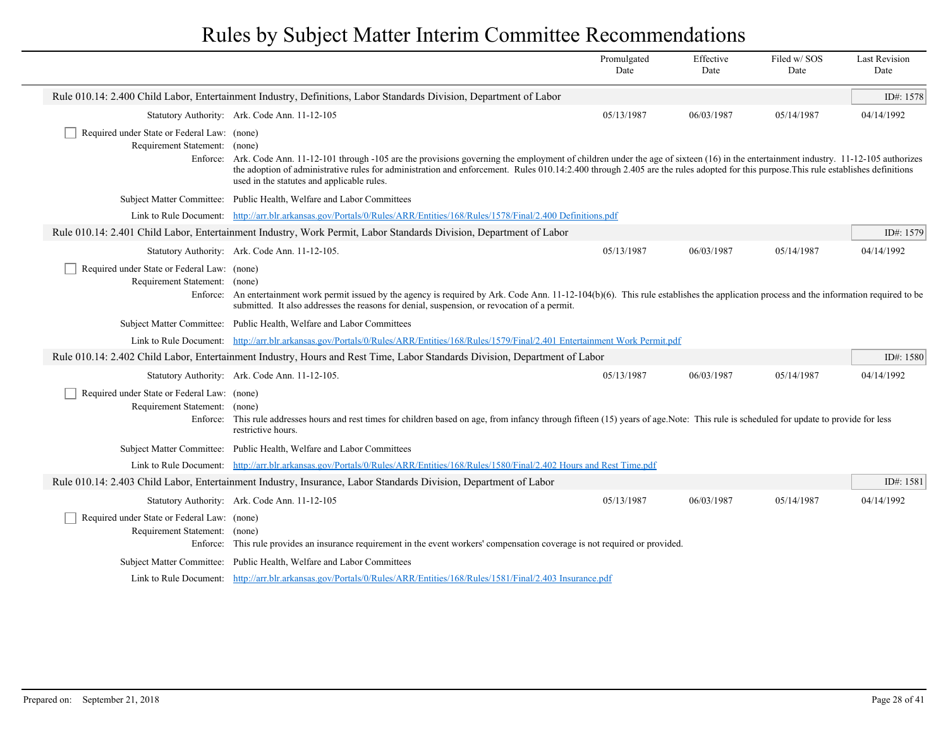|                                                                                          |                                                                                                                                                                                                                                                                                                                                                                                                                               | Promulgated<br>Date | Effective<br>Date | Filed w/SOS<br>Date | <b>Last Revision</b><br>Date |
|------------------------------------------------------------------------------------------|-------------------------------------------------------------------------------------------------------------------------------------------------------------------------------------------------------------------------------------------------------------------------------------------------------------------------------------------------------------------------------------------------------------------------------|---------------------|-------------------|---------------------|------------------------------|
|                                                                                          | Rule 010.14: 2.400 Child Labor, Entertainment Industry, Definitions, Labor Standards Division, Department of Labor                                                                                                                                                                                                                                                                                                            |                     |                   |                     | ID#: 1578                    |
|                                                                                          | Statutory Authority: Ark. Code Ann. 11-12-105                                                                                                                                                                                                                                                                                                                                                                                 | 05/13/1987          | 06/03/1987        | 05/14/1987          | 04/14/1992                   |
| Required under State or Federal Law: (none)<br>Requirement Statement: (none)             | Enforce: Ark. Code Ann. 11-12-101 through -105 are the provisions governing the employment of children under the age of sixteen (16) in the entertainment industry. 11-12-105 authorizes<br>the adoption of administrative rules for administration and enforcement. Rules 010.14:2.400 through 2.405 are the rules adopted for this purpose. This rule establishes definitions<br>used in the statutes and applicable rules. |                     |                   |                     |                              |
|                                                                                          | Subject Matter Committee: Public Health, Welfare and Labor Committees                                                                                                                                                                                                                                                                                                                                                         |                     |                   |                     |                              |
|                                                                                          | Link to Rule Document: http://arr.blr.arkansas.gov/Portals/0/Rules/ARR/Entities/168/Rules/1578/Final/2.400 Definitions.pdf                                                                                                                                                                                                                                                                                                    |                     |                   |                     |                              |
|                                                                                          | Rule 010.14: 2.401 Child Labor, Entertainment Industry, Work Permit, Labor Standards Division, Department of Labor                                                                                                                                                                                                                                                                                                            |                     |                   |                     | ID#: 1579                    |
|                                                                                          | Statutory Authority: Ark. Code Ann. 11-12-105.                                                                                                                                                                                                                                                                                                                                                                                | 05/13/1987          | 06/03/1987        | 05/14/1987          | 04/14/1992                   |
| Required under State or Federal Law: (none)<br>Requirement Statement: (none)             | Enforce: An entertainment work permit issued by the agency is required by Ark. Code Ann. 11-12-104(b)(6). This rule establishes the application process and the information required to be<br>submitted. It also addresses the reasons for denial, suspension, or revocation of a permit.                                                                                                                                     |                     |                   |                     |                              |
|                                                                                          | Subject Matter Committee: Public Health, Welfare and Labor Committees                                                                                                                                                                                                                                                                                                                                                         |                     |                   |                     |                              |
|                                                                                          | Link to Rule Document: http://arr.blr.arkansas.gov/Portals/0/Rules/ARR/Entities/168/Rules/1579/Final/2.401 Entertainment Work Permit.pdf                                                                                                                                                                                                                                                                                      |                     |                   |                     |                              |
|                                                                                          | Rule 010.14: 2.402 Child Labor, Entertainment Industry, Hours and Rest Time, Labor Standards Division, Department of Labor                                                                                                                                                                                                                                                                                                    |                     |                   |                     | ID#: 1580                    |
|                                                                                          | Statutory Authority: Ark. Code Ann. 11-12-105.                                                                                                                                                                                                                                                                                                                                                                                | 05/13/1987          | 06/03/1987        | 05/14/1987          | 04/14/1992                   |
| Required under State or Federal Law: (none)<br>Requirement Statement: (none)<br>Enforce: | This rule addresses hours and rest times for children based on age, from infancy through fifteen (15) years of age. Note: This rule is scheduled for update to provide for less<br>restrictive hours.                                                                                                                                                                                                                         |                     |                   |                     |                              |
|                                                                                          | Subject Matter Committee: Public Health, Welfare and Labor Committees                                                                                                                                                                                                                                                                                                                                                         |                     |                   |                     |                              |
|                                                                                          | Link to Rule Document: http://arr.blr.arkansas.gov/Portals/0/Rules/ARR/Entities/168/Rules/1580/Final/2.402 Hours and Rest Time.pdf                                                                                                                                                                                                                                                                                            |                     |                   |                     |                              |
|                                                                                          | Rule 010.14: 2.403 Child Labor, Entertainment Industry, Insurance, Labor Standards Division, Department of Labor                                                                                                                                                                                                                                                                                                              |                     |                   |                     | ID#: 1581                    |
|                                                                                          | Statutory Authority: Ark. Code Ann. 11-12-105                                                                                                                                                                                                                                                                                                                                                                                 | 05/13/1987          | 06/03/1987        | 05/14/1987          | 04/14/1992                   |
| Required under State or Federal Law: (none)<br>Requirement Statement: (none)<br>Enforce: | This rule provides an insurance requirement in the event workers' compensation coverage is not required or provided.                                                                                                                                                                                                                                                                                                          |                     |                   |                     |                              |
|                                                                                          | Subject Matter Committee: Public Health, Welfare and Labor Committees                                                                                                                                                                                                                                                                                                                                                         |                     |                   |                     |                              |
|                                                                                          | Link to Rule Document: http://arr.blr.arkansas.gov/Portals/0/Rules/ARR/Entities/168/Rules/1581/Final/2.403 Insurance.pdf                                                                                                                                                                                                                                                                                                      |                     |                   |                     |                              |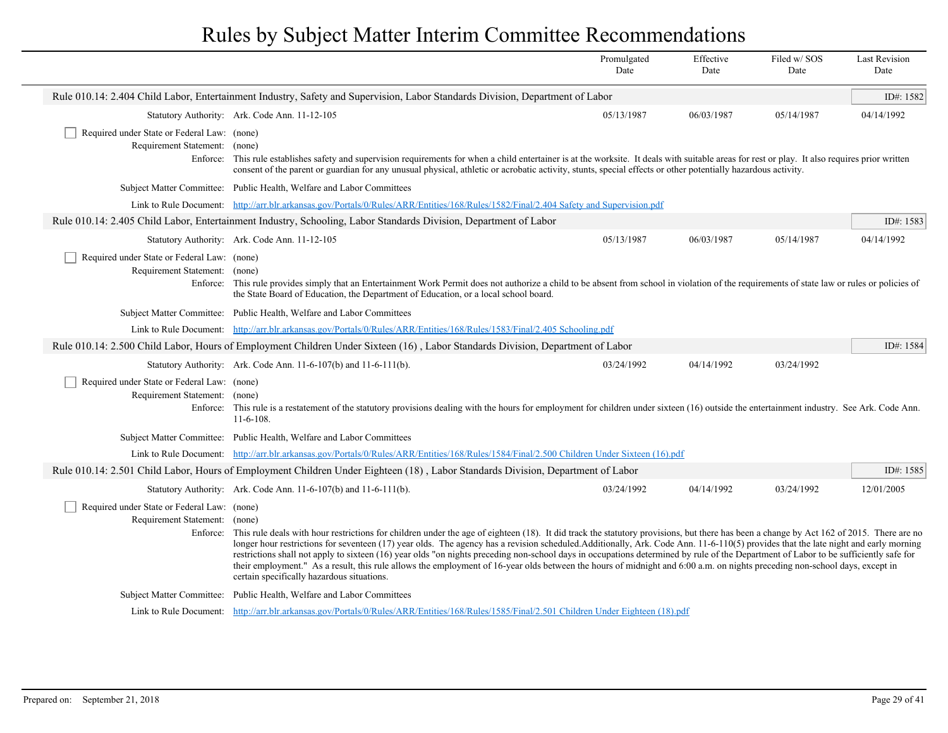|                                                                                          |                                                                                                                                                                                                                                                                                                                                                                                                                                                                                                                                                                                                                                                                                                                                                                                                   | Promulgated<br>Date | Effective<br>Date | Filed w/SOS<br>Date | <b>Last Revision</b><br>Date |  |
|------------------------------------------------------------------------------------------|---------------------------------------------------------------------------------------------------------------------------------------------------------------------------------------------------------------------------------------------------------------------------------------------------------------------------------------------------------------------------------------------------------------------------------------------------------------------------------------------------------------------------------------------------------------------------------------------------------------------------------------------------------------------------------------------------------------------------------------------------------------------------------------------------|---------------------|-------------------|---------------------|------------------------------|--|
|                                                                                          | Rule 010.14: 2.404 Child Labor, Entertainment Industry, Safety and Supervision, Labor Standards Division, Department of Labor                                                                                                                                                                                                                                                                                                                                                                                                                                                                                                                                                                                                                                                                     |                     |                   |                     | ID#: 1582                    |  |
|                                                                                          | Statutory Authority: Ark. Code Ann. 11-12-105                                                                                                                                                                                                                                                                                                                                                                                                                                                                                                                                                                                                                                                                                                                                                     | 05/13/1987          | 06/03/1987        | 05/14/1987          | 04/14/1992                   |  |
| Required under State or Federal Law: (none)<br>Requirement Statement: (none)             | Enforce: This rule establishes safety and supervision requirements for when a child entertainer is at the worksite. It deals with suitable areas for rest or play. It also requires prior written<br>consent of the parent or guardian for any unusual physical, athletic or acrobatic activity, stunts, special effects or other potentially hazardous activity.                                                                                                                                                                                                                                                                                                                                                                                                                                 |                     |                   |                     |                              |  |
|                                                                                          | Subject Matter Committee: Public Health, Welfare and Labor Committees                                                                                                                                                                                                                                                                                                                                                                                                                                                                                                                                                                                                                                                                                                                             |                     |                   |                     |                              |  |
|                                                                                          | Link to Rule Document: http://arr.blr.arkansas.gov/Portals/0/Rules/ARR/Entities/168/Rules/1582/Final/2.404 Safety and Supervision.pdf                                                                                                                                                                                                                                                                                                                                                                                                                                                                                                                                                                                                                                                             |                     |                   |                     |                              |  |
|                                                                                          | Rule 010.14: 2.405 Child Labor, Entertainment Industry, Schooling, Labor Standards Division, Department of Labor                                                                                                                                                                                                                                                                                                                                                                                                                                                                                                                                                                                                                                                                                  |                     |                   |                     | ID#: 1583                    |  |
|                                                                                          | Statutory Authority: Ark. Code Ann. 11-12-105                                                                                                                                                                                                                                                                                                                                                                                                                                                                                                                                                                                                                                                                                                                                                     | 05/13/1987          | 06/03/1987        | 05/14/1987          | 04/14/1992                   |  |
| Required under State or Federal Law: (none)<br>Requirement Statement: (none)             | Enforce: This rule provides simply that an Entertainment Work Permit does not authorize a child to be absent from school in violation of the requirements of state law or rules or policies of<br>the State Board of Education, the Department of Education, or a local school board.                                                                                                                                                                                                                                                                                                                                                                                                                                                                                                             |                     |                   |                     |                              |  |
|                                                                                          | Subject Matter Committee: Public Health, Welfare and Labor Committees                                                                                                                                                                                                                                                                                                                                                                                                                                                                                                                                                                                                                                                                                                                             |                     |                   |                     |                              |  |
|                                                                                          | Link to Rule Document: http://arr.blr.arkansas.gov/Portals/0/Rules/ARR/Entities/168/Rules/1583/Final/2.405 Schooling.pdf                                                                                                                                                                                                                                                                                                                                                                                                                                                                                                                                                                                                                                                                          |                     |                   |                     |                              |  |
|                                                                                          | Rule 010.14: 2.500 Child Labor, Hours of Employment Children Under Sixteen (16), Labor Standards Division, Department of Labor                                                                                                                                                                                                                                                                                                                                                                                                                                                                                                                                                                                                                                                                    |                     |                   |                     | ID#: 1584                    |  |
|                                                                                          | Statutory Authority: Ark. Code Ann. 11-6-107(b) and 11-6-111(b).                                                                                                                                                                                                                                                                                                                                                                                                                                                                                                                                                                                                                                                                                                                                  | 03/24/1992          | 04/14/1992        | 03/24/1992          |                              |  |
| Required under State or Federal Law: (none)<br>Requirement Statement: (none)             | Enforce: This rule is a restatement of the statutory provisions dealing with the hours for employment for children under sixteen (16) outside the entertainment industry. See Ark. Code Ann.<br>$11-6-108$ .                                                                                                                                                                                                                                                                                                                                                                                                                                                                                                                                                                                      |                     |                   |                     |                              |  |
|                                                                                          | Subject Matter Committee: Public Health, Welfare and Labor Committees                                                                                                                                                                                                                                                                                                                                                                                                                                                                                                                                                                                                                                                                                                                             |                     |                   |                     |                              |  |
|                                                                                          | Link to Rule Document: http://arr.blr.arkansas.gov/Portals/0/Rules/ARR/Entities/168/Rules/1584/Final/2.500 Children Under Sixteen (16).pdf                                                                                                                                                                                                                                                                                                                                                                                                                                                                                                                                                                                                                                                        |                     |                   |                     |                              |  |
|                                                                                          | Rule 010.14: 2.501 Child Labor, Hours of Employment Children Under Eighteen (18), Labor Standards Division, Department of Labor                                                                                                                                                                                                                                                                                                                                                                                                                                                                                                                                                                                                                                                                   |                     |                   |                     | ID#: 1585                    |  |
|                                                                                          | Statutory Authority: Ark. Code Ann. 11-6-107(b) and 11-6-111(b).                                                                                                                                                                                                                                                                                                                                                                                                                                                                                                                                                                                                                                                                                                                                  | 03/24/1992          | 04/14/1992        | 03/24/1992          | 12/01/2005                   |  |
| Required under State or Federal Law: (none)<br>Requirement Statement: (none)<br>Enforce: | This rule deals with hour restrictions for children under the age of eighteen (18). It did track the statutory provisions, but there has been a change by Act 162 of 2015. There are no<br>longer hour restrictions for seventeen (17) year olds. The agency has a revision scheduled.Additionally, Ark. Code Ann. 11-6-110(5) provides that the late night and early morning<br>restrictions shall not apply to sixteen (16) year olds "on nights preceding non-school days in occupations determined by rule of the Department of Labor to be sufficiently safe for<br>their employment." As a result, this rule allows the employment of 16-year olds between the hours of midnight and 6:00 a.m. on nights preceding non-school days, except in<br>certain specifically hazardous situations. |                     |                   |                     |                              |  |
|                                                                                          |                                                                                                                                                                                                                                                                                                                                                                                                                                                                                                                                                                                                                                                                                                                                                                                                   |                     |                   |                     |                              |  |
|                                                                                          | Subject Matter Committee: Public Health, Welfare and Labor Committees                                                                                                                                                                                                                                                                                                                                                                                                                                                                                                                                                                                                                                                                                                                             |                     |                   |                     |                              |  |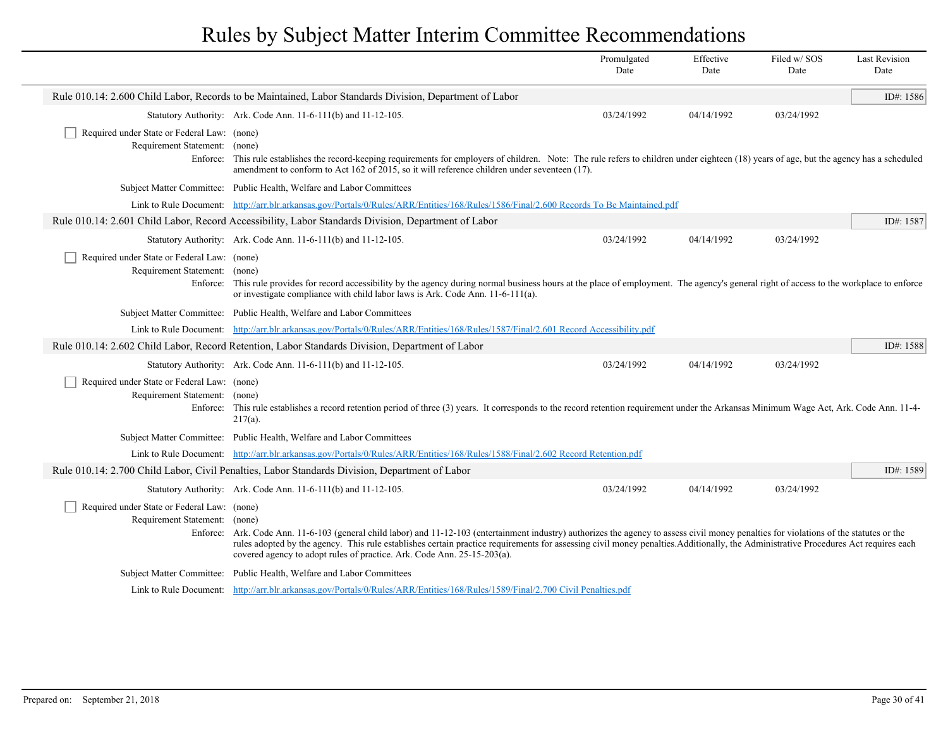|                                                                                          |                                                                                                                                                                                                                                                                                                                                                                                                                                                             | Promulgated<br>Date | Effective<br>Date | Filed w/SOS<br>Date | <b>Last Revision</b><br>Date |
|------------------------------------------------------------------------------------------|-------------------------------------------------------------------------------------------------------------------------------------------------------------------------------------------------------------------------------------------------------------------------------------------------------------------------------------------------------------------------------------------------------------------------------------------------------------|---------------------|-------------------|---------------------|------------------------------|
|                                                                                          | Rule 010.14: 2.600 Child Labor, Records to be Maintained, Labor Standards Division, Department of Labor                                                                                                                                                                                                                                                                                                                                                     |                     |                   |                     | ID#: 1586                    |
|                                                                                          | Statutory Authority: Ark. Code Ann. 11-6-111(b) and 11-12-105.                                                                                                                                                                                                                                                                                                                                                                                              | 03/24/1992          | 04/14/1992        | 03/24/1992          |                              |
| Required under State or Federal Law: (none)<br>Requirement Statement: (none)<br>Enforce: | This rule establishes the record-keeping requirements for employers of children. Note: The rule refers to children under eighteen (18) years of age, but the agency has a scheduled<br>amendment to conform to Act 162 of 2015, so it will reference children under seventeen (17).                                                                                                                                                                         |                     |                   |                     |                              |
|                                                                                          | Subject Matter Committee: Public Health, Welfare and Labor Committees                                                                                                                                                                                                                                                                                                                                                                                       |                     |                   |                     |                              |
| Link to Rule Document:                                                                   | http://arr.blr.arkansas.gov/Portals/0/Rules/ARR/Entities/168/Rules/1586/Final/2.600 Records To Be Maintained.pdf                                                                                                                                                                                                                                                                                                                                            |                     |                   |                     |                              |
|                                                                                          | Rule 010.14: 2.601 Child Labor, Record Accessibility, Labor Standards Division, Department of Labor                                                                                                                                                                                                                                                                                                                                                         |                     |                   |                     | ID#: 1587                    |
|                                                                                          | Statutory Authority: Ark. Code Ann. 11-6-111(b) and 11-12-105.                                                                                                                                                                                                                                                                                                                                                                                              | 03/24/1992          | 04/14/1992        | 03/24/1992          |                              |
| Required under State or Federal Law: (none)<br>Requirement Statement: (none)             | Enforce: This rule provides for record accessibility by the agency during normal business hours at the place of employment. The agency's general right of access to the workplace to enforce<br>or investigate compliance with child labor laws is Ark. Code Ann. 11-6-111(a).                                                                                                                                                                              |                     |                   |                     |                              |
|                                                                                          | Subject Matter Committee: Public Health, Welfare and Labor Committees                                                                                                                                                                                                                                                                                                                                                                                       |                     |                   |                     |                              |
| Link to Rule Document:                                                                   | http://arr.blr.arkansas.gov/Portals/0/Rules/ARR/Entities/168/Rules/1587/Final/2.601 Record Accessibility.pdf                                                                                                                                                                                                                                                                                                                                                |                     |                   |                     |                              |
|                                                                                          | Rule 010.14: 2.602 Child Labor, Record Retention, Labor Standards Division, Department of Labor                                                                                                                                                                                                                                                                                                                                                             |                     |                   |                     | ID#: 1588                    |
|                                                                                          | Statutory Authority: Ark. Code Ann. 11-6-111(b) and 11-12-105.                                                                                                                                                                                                                                                                                                                                                                                              | 03/24/1992          | 04/14/1992        | 03/24/1992          |                              |
| Required under State or Federal Law: (none)<br>Requirement Statement: (none)             | Enforce: This rule establishes a record retention period of three (3) years. It corresponds to the record retention requirement under the Arkansas Minimum Wage Act, Ark. Code Ann. 11-4-<br>$217(a)$ .                                                                                                                                                                                                                                                     |                     |                   |                     |                              |
|                                                                                          | Subject Matter Committee: Public Health, Welfare and Labor Committees                                                                                                                                                                                                                                                                                                                                                                                       |                     |                   |                     |                              |
|                                                                                          | Link to Rule Document: http://arr.blr.arkansas.gov/Portals/0/Rules/ARR/Entities/168/Rules/1588/Final/2.602 Record Retention.pdf                                                                                                                                                                                                                                                                                                                             |                     |                   |                     |                              |
|                                                                                          | Rule 010.14: 2.700 Child Labor, Civil Penalties, Labor Standards Division, Department of Labor                                                                                                                                                                                                                                                                                                                                                              |                     |                   |                     | ID#: 1589                    |
|                                                                                          | Statutory Authority: Ark. Code Ann. 11-6-111(b) and 11-12-105.                                                                                                                                                                                                                                                                                                                                                                                              | 03/24/1992          | 04/14/1992        | 03/24/1992          |                              |
| Required under State or Federal Law: (none)<br>Requirement Statement: (none)             | Enforce: Ark. Code Ann. 11-6-103 (general child labor) and 11-12-103 (entertainment industry) authorizes the agency to assess civil money penalties for violations of the statutes or the<br>rules adopted by the agency. This rule establishes certain practice requirements for assessing civil money penalties. Additionally, the Administrative Procedures Act requires each<br>covered agency to adopt rules of practice. Ark. Code Ann. 25-15-203(a). |                     |                   |                     |                              |
|                                                                                          | Subject Matter Committee: Public Health, Welfare and Labor Committees                                                                                                                                                                                                                                                                                                                                                                                       |                     |                   |                     |                              |
|                                                                                          | Link to Rule Document: http://arr.blr.arkansas.gov/Portals/0/Rules/ARR/Entities/168/Rules/1589/Final/2.700 Civil Penalties.pdf                                                                                                                                                                                                                                                                                                                              |                     |                   |                     |                              |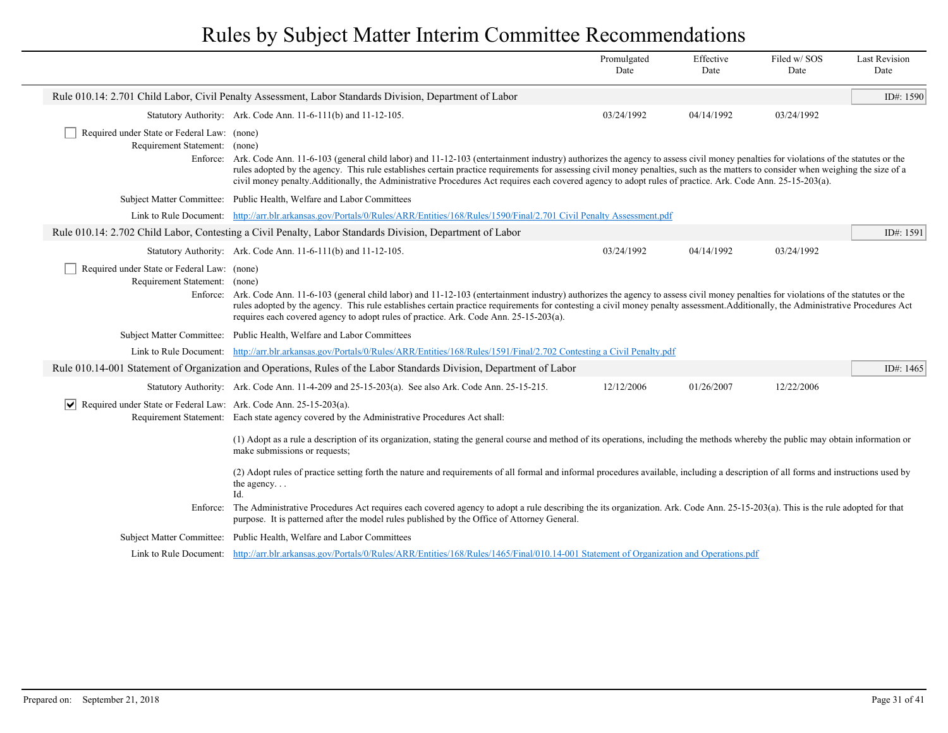|                                                                                  |                                                                                                                                                                                                                                                                                                                                                                                                                                                                                                                                                  | Promulgated<br>Date | Effective<br>Date | Filed w/SOS<br>Date | <b>Last Revision</b><br>Date |
|----------------------------------------------------------------------------------|--------------------------------------------------------------------------------------------------------------------------------------------------------------------------------------------------------------------------------------------------------------------------------------------------------------------------------------------------------------------------------------------------------------------------------------------------------------------------------------------------------------------------------------------------|---------------------|-------------------|---------------------|------------------------------|
|                                                                                  | Rule 010.14: 2.701 Child Labor, Civil Penalty Assessment, Labor Standards Division, Department of Labor                                                                                                                                                                                                                                                                                                                                                                                                                                          |                     |                   |                     | ID#: 1590                    |
|                                                                                  | Statutory Authority: Ark. Code Ann. 11-6-111(b) and 11-12-105.                                                                                                                                                                                                                                                                                                                                                                                                                                                                                   | 03/24/1992          | 04/14/1992        | 03/24/1992          |                              |
| Required under State or Federal Law: (none)<br>Requirement Statement: (none)     | Enforce: Ark. Code Ann. 11-6-103 (general child labor) and 11-12-103 (entertainment industry) authorizes the agency to assess civil money penalties for violations of the statutes or the<br>rules adopted by the agency. This rule establishes certain practice requirements for assessing civil money penalties, such as the matters to consider when weighing the size of a<br>civil money penalty.Additionally, the Administrative Procedures Act requires each covered agency to adopt rules of practice. Ark. Code Ann. 25-15-203(a).      |                     |                   |                     |                              |
|                                                                                  | Subject Matter Committee: Public Health, Welfare and Labor Committees                                                                                                                                                                                                                                                                                                                                                                                                                                                                            |                     |                   |                     |                              |
|                                                                                  | Link to Rule Document: http://arr.blr.arkansas.gov/Portals/0/Rules/ARR/Entities/168/Rules/1590/Final/2.701 Civil Penalty Assessment.pdf                                                                                                                                                                                                                                                                                                                                                                                                          |                     |                   |                     |                              |
|                                                                                  | Rule 010.14: 2.702 Child Labor, Contesting a Civil Penalty, Labor Standards Division, Department of Labor                                                                                                                                                                                                                                                                                                                                                                                                                                        |                     |                   |                     | ID#: 1591                    |
|                                                                                  | Statutory Authority: Ark. Code Ann. 11-6-111(b) and 11-12-105.                                                                                                                                                                                                                                                                                                                                                                                                                                                                                   | 03/24/1992          | 04/14/1992        | 03/24/1992          |                              |
| Requirement Statement: (none)                                                    | Enforce: Ark. Code Ann. 11-6-103 (general child labor) and 11-12-103 (entertainment industry) authorizes the agency to assess civil money penalties for violations of the statutes or the<br>rules adopted by the agency. This rule establishes certain practice requirements for contesting a civil money penalty assessment. Additionally, the Administrative Procedures Act<br>requires each covered agency to adopt rules of practice. Ark. Code Ann. 25-15-203(a).<br>Subject Matter Committee: Public Health, Welfare and Labor Committees |                     |                   |                     |                              |
|                                                                                  | Link to Rule Document: http://arr.blr.arkansas.gov/Portals/0/Rules/ARR/Entities/168/Rules/1591/Final/2.702 Contesting a Civil Penalty.pdf                                                                                                                                                                                                                                                                                                                                                                                                        |                     |                   |                     |                              |
|                                                                                  | Rule 010.14-001 Statement of Organization and Operations, Rules of the Labor Standards Division, Department of Labor                                                                                                                                                                                                                                                                                                                                                                                                                             |                     |                   |                     | ID#: $1465$                  |
|                                                                                  | Statutory Authority: Ark. Code Ann. 11-4-209 and 25-15-203(a). See also Ark. Code Ann. 25-15-215.                                                                                                                                                                                                                                                                                                                                                                                                                                                | 12/12/2006          | 01/26/2007        | 12/22/2006          |                              |
| $ \mathbf{v} $ Required under State or Federal Law: Ark. Code Ann. 25-15-203(a). | Requirement Statement: Each state agency covered by the Administrative Procedures Act shall:<br>(1) Adopt as a rule a description of its organization, stating the general course and method of its operations, including the methods whereby the public may obtain information or<br>make submissions or requests;                                                                                                                                                                                                                              |                     |                   |                     |                              |
|                                                                                  | (2) Adopt rules of practice setting forth the nature and requirements of all formal and informal procedures available, including a description of all forms and instructions used by<br>the agency<br>$Id$ .                                                                                                                                                                                                                                                                                                                                     |                     |                   |                     |                              |
|                                                                                  | Enforce: The Administrative Procedures Act requires each covered agency to adopt a rule describing the its organization. Ark. Code Ann. 25-15-203(a). This is the rule adopted for that<br>purpose. It is patterned after the model rules published by the Office of Attorney General.                                                                                                                                                                                                                                                           |                     |                   |                     |                              |
|                                                                                  | Subject Matter Committee: Public Health, Welfare and Labor Committees                                                                                                                                                                                                                                                                                                                                                                                                                                                                            |                     |                   |                     |                              |
|                                                                                  | Link to Rule Document: http://arr.blr.arkansas.gov/Portals/0/Rules/ARR/Entities/168/Rules/1465/Final/010.14-001 Statement of Organization and Operations.pdf                                                                                                                                                                                                                                                                                                                                                                                     |                     |                   |                     |                              |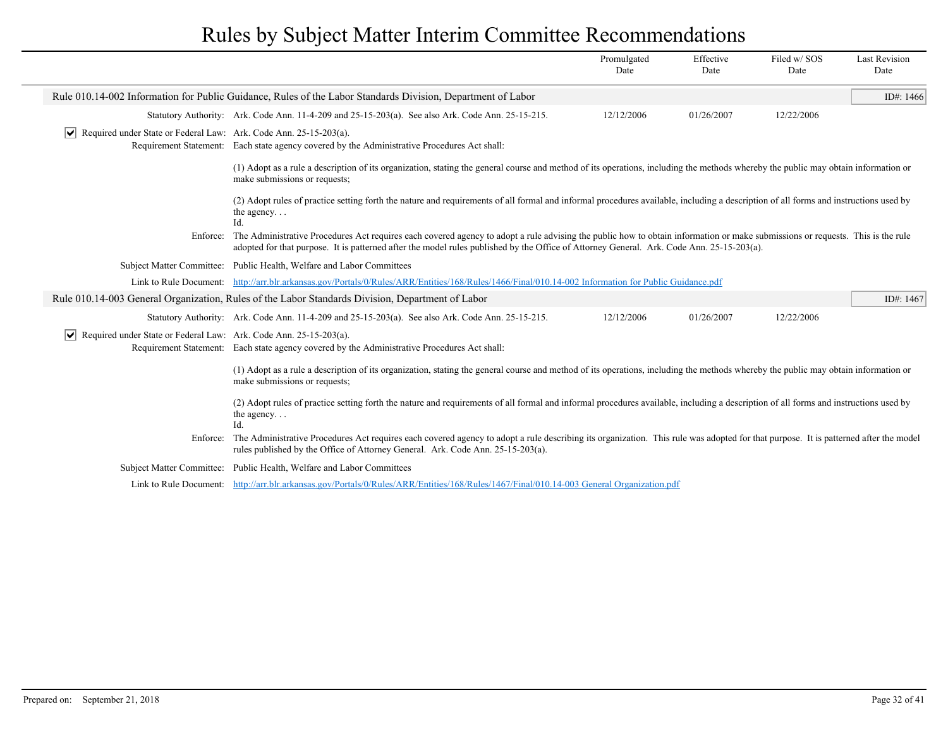|                                                                                  |                                                                                                                                                                                                                                                                                                                             | Promulgated<br>Date | Effective<br>Date | Filed w/SOS<br>Date | <b>Last Revision</b><br>Date |
|----------------------------------------------------------------------------------|-----------------------------------------------------------------------------------------------------------------------------------------------------------------------------------------------------------------------------------------------------------------------------------------------------------------------------|---------------------|-------------------|---------------------|------------------------------|
|                                                                                  | Rule 010.14-002 Information for Public Guidance, Rules of the Labor Standards Division, Department of Labor                                                                                                                                                                                                                 |                     |                   |                     | ID#: 1466                    |
|                                                                                  | Statutory Authority: Ark. Code Ann. 11-4-209 and 25-15-203(a). See also Ark. Code Ann. 25-15-215.                                                                                                                                                                                                                           | 12/12/2006          | 01/26/2007        | 12/22/2006          |                              |
| $ \mathbf{v} $ Required under State or Federal Law: Ark. Code Ann. 25-15-203(a). | Requirement Statement: Each state agency covered by the Administrative Procedures Act shall:                                                                                                                                                                                                                                |                     |                   |                     |                              |
|                                                                                  | (1) Adopt as a rule a description of its organization, stating the general course and method of its operations, including the methods whereby the public may obtain information or<br>make submissions or requests;                                                                                                         |                     |                   |                     |                              |
|                                                                                  | (2) Adopt rules of practice setting forth the nature and requirements of all formal and informal procedures available, including a description of all forms and instructions used by<br>the agency<br>Id.                                                                                                                   |                     |                   |                     |                              |
| Enforce:                                                                         | The Administrative Procedures Act requires each covered agency to adopt a rule advising the public how to obtain information or make submissions or requests. This is the rule<br>adopted for that purpose. It is patterned after the model rules published by the Office of Attorney General. Ark. Code Ann. 25-15-203(a). |                     |                   |                     |                              |
|                                                                                  | Subject Matter Committee: Public Health, Welfare and Labor Committees                                                                                                                                                                                                                                                       |                     |                   |                     |                              |
|                                                                                  | Link to Rule Document: http://arr.blr.arkansas.gov/Portals/0/Rules/ARR/Entities/168/Rules/1466/Final/010.14-002 Information for Public Guidance.pdf                                                                                                                                                                         |                     |                   |                     |                              |
|                                                                                  | Rule 010.14-003 General Organization, Rules of the Labor Standards Division, Department of Labor                                                                                                                                                                                                                            |                     |                   |                     | ID#: 1467                    |
|                                                                                  | Statutory Authority: Ark. Code Ann. 11-4-209 and 25-15-203(a). See also Ark. Code Ann. 25-15-215.                                                                                                                                                                                                                           | 12/12/2006          | 01/26/2007        | 12/22/2006          |                              |
| $ \mathbf{v} $ Required under State or Federal Law: Ark. Code Ann. 25-15-203(a). | Requirement Statement: Each state agency covered by the Administrative Procedures Act shall:                                                                                                                                                                                                                                |                     |                   |                     |                              |
|                                                                                  | (1) Adopt as a rule a description of its organization, stating the general course and method of its operations, including the methods whereby the public may obtain information or<br>make submissions or requests;                                                                                                         |                     |                   |                     |                              |
|                                                                                  | (2) Adopt rules of practice setting forth the nature and requirements of all formal and informal procedures available, including a description of all forms and instructions used by<br>the agency<br>Id.                                                                                                                   |                     |                   |                     |                              |
| Enforce:                                                                         | The Administrative Procedures Act requires each covered agency to adopt a rule describing its organization. This rule was adopted for that purpose. It is patterned after the model<br>rules published by the Office of Attorney General. Ark. Code Ann. 25-15-203(a).                                                      |                     |                   |                     |                              |
| <b>Subject Matter Committee:</b>                                                 | Public Health, Welfare and Labor Committees                                                                                                                                                                                                                                                                                 |                     |                   |                     |                              |
|                                                                                  | Link to Rule Document: http://arr.blr.arkansas.gov/Portals/0/Rules/ARR/Entities/168/Rules/1467/Final/010.14-003 General Organization.pdf                                                                                                                                                                                    |                     |                   |                     |                              |
|                                                                                  |                                                                                                                                                                                                                                                                                                                             |                     |                   |                     |                              |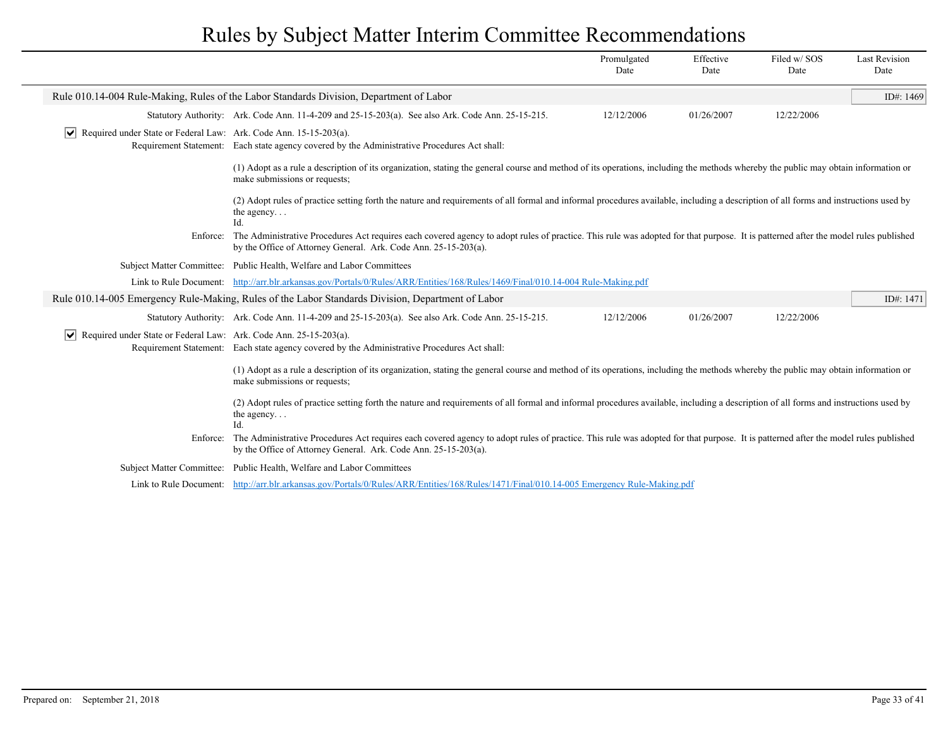|                                                                                  |                                                                                                                                                                                                                                                       | Promulgated<br>Date | Effective<br>Date | Filed w/SOS<br>Date | <b>Last Revision</b><br>Date |
|----------------------------------------------------------------------------------|-------------------------------------------------------------------------------------------------------------------------------------------------------------------------------------------------------------------------------------------------------|---------------------|-------------------|---------------------|------------------------------|
|                                                                                  | Rule 010.14-004 Rule-Making, Rules of the Labor Standards Division, Department of Labor                                                                                                                                                               |                     |                   |                     | ID#: 1469                    |
|                                                                                  | Statutory Authority: Ark. Code Ann. 11-4-209 and 25-15-203(a). See also Ark. Code Ann. 25-15-215.                                                                                                                                                     | 12/12/2006          | 01/26/2007        | 12/22/2006          |                              |
| $ \mathbf{v} $ Required under State or Federal Law: Ark. Code Ann. 15-15-203(a). | Requirement Statement: Each state agency covered by the Administrative Procedures Act shall:                                                                                                                                                          |                     |                   |                     |                              |
|                                                                                  | (1) Adopt as a rule a description of its organization, stating the general course and method of its operations, including the methods whereby the public may obtain information or<br>make submissions or requests;                                   |                     |                   |                     |                              |
|                                                                                  | (2) Adopt rules of practice setting forth the nature and requirements of all formal and informal procedures available, including a description of all forms and instructions used by<br>the agency<br>Id.                                             |                     |                   |                     |                              |
| Enforce:                                                                         | The Administrative Procedures Act requires each covered agency to adopt rules of practice. This rule was adopted for that purpose. It is patterned after the model rules published<br>by the Office of Attorney General. Ark. Code Ann. 25-15-203(a). |                     |                   |                     |                              |
|                                                                                  | Subject Matter Committee: Public Health, Welfare and Labor Committees                                                                                                                                                                                 |                     |                   |                     |                              |
|                                                                                  | Link to Rule Document: http://arr.blr.arkansas.gov/Portals/0/Rules/ARR/Entities/168/Rules/1469/Final/010.14-004 Rule-Making.pdf                                                                                                                       |                     |                   |                     |                              |
|                                                                                  | Rule 010.14-005 Emergency Rule-Making, Rules of the Labor Standards Division, Department of Labor                                                                                                                                                     |                     |                   |                     | ID#: 1471                    |
|                                                                                  | Statutory Authority: Ark. Code Ann. 11-4-209 and 25-15-203(a). See also Ark. Code Ann. 25-15-215.                                                                                                                                                     | 12/12/2006          | 01/26/2007        | 12/22/2006          |                              |
| $ \mathbf{v} $ Required under State or Federal Law: Ark. Code Ann. 25-15-203(a). | Requirement Statement: Each state agency covered by the Administrative Procedures Act shall:                                                                                                                                                          |                     |                   |                     |                              |
|                                                                                  | (1) Adopt as a rule a description of its organization, stating the general course and method of its operations, including the methods whereby the public may obtain information or<br>make submissions or requests;                                   |                     |                   |                     |                              |
|                                                                                  | (2) Adopt rules of practice setting forth the nature and requirements of all formal and informal procedures available, including a description of all forms and instructions used by<br>the agency<br>Id.                                             |                     |                   |                     |                              |
| Enforce:                                                                         | The Administrative Procedures Act requires each covered agency to adopt rules of practice. This rule was adopted for that purpose. It is patterned after the model rules published<br>by the Office of Attorney General. Ark. Code Ann. 25-15-203(a). |                     |                   |                     |                              |
|                                                                                  | Subject Matter Committee: Public Health, Welfare and Labor Committees                                                                                                                                                                                 |                     |                   |                     |                              |
|                                                                                  | Link to Rule Document: http://arr.blr.arkansas.gov/Portals/0/Rules/ARR/Entities/168/Rules/1471/Final/010.14-005 Emergency Rule-Making.pdf                                                                                                             |                     |                   |                     |                              |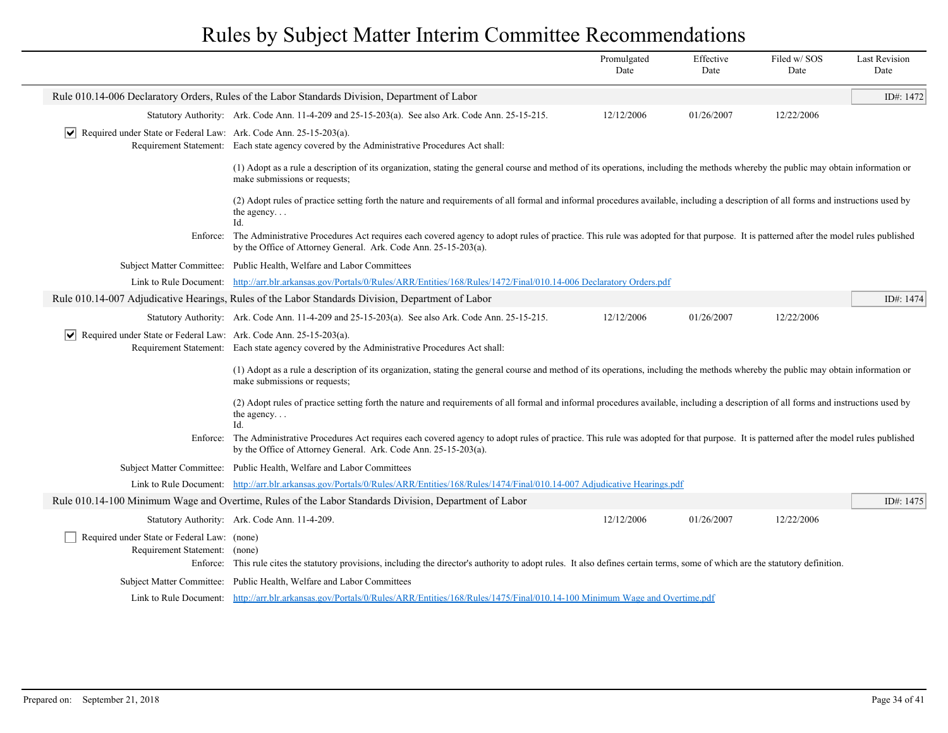|                                                                                  |                                                                                                                                                                                                                                                       | Promulgated<br>Date | Effective<br>Date | Filed w/SOS<br>Date | <b>Last Revision</b><br>Date |
|----------------------------------------------------------------------------------|-------------------------------------------------------------------------------------------------------------------------------------------------------------------------------------------------------------------------------------------------------|---------------------|-------------------|---------------------|------------------------------|
|                                                                                  | Rule 010.14-006 Declaratory Orders, Rules of the Labor Standards Division, Department of Labor                                                                                                                                                        |                     |                   |                     | ID#: 1472                    |
|                                                                                  | Statutory Authority: Ark. Code Ann. 11-4-209 and 25-15-203(a). See also Ark. Code Ann. 25-15-215.                                                                                                                                                     | 12/12/2006          | 01/26/2007        | 12/22/2006          |                              |
| Required under State or Federal Law: Ark. Code Ann. 25-15-203(a).<br>$ \vee $    | Requirement Statement: Each state agency covered by the Administrative Procedures Act shall:                                                                                                                                                          |                     |                   |                     |                              |
|                                                                                  | (1) Adopt as a rule a description of its organization, stating the general course and method of its operations, including the methods whereby the public may obtain information or<br>make submissions or requests;                                   |                     |                   |                     |                              |
|                                                                                  | (2) Adopt rules of practice setting forth the nature and requirements of all formal and informal procedures available, including a description of all forms and instructions used by<br>the agency<br>Id.                                             |                     |                   |                     |                              |
| Enforce:                                                                         | The Administrative Procedures Act requires each covered agency to adopt rules of practice. This rule was adopted for that purpose. It is patterned after the model rules published<br>by the Office of Attorney General. Ark. Code Ann. 25-15-203(a). |                     |                   |                     |                              |
|                                                                                  | Subject Matter Committee: Public Health, Welfare and Labor Committees                                                                                                                                                                                 |                     |                   |                     |                              |
|                                                                                  | Link to Rule Document: http://arr.blr.arkansas.gov/Portals/0/Rules/ARR/Entities/168/Rules/1472/Final/010.14-006 Declaratory Orders.pdf                                                                                                                |                     |                   |                     |                              |
|                                                                                  | Rule 010.14-007 Adjudicative Hearings, Rules of the Labor Standards Division, Department of Labor                                                                                                                                                     |                     |                   |                     | ID#: 1474                    |
|                                                                                  | Statutory Authority: Ark. Code Ann. 11-4-209 and 25-15-203(a). See also Ark. Code Ann. 25-15-215.                                                                                                                                                     | 12/12/2006          | 01/26/2007        | 12/22/2006          |                              |
| $ \mathbf{v} $ Required under State or Federal Law: Ark. Code Ann. 25-15-203(a). |                                                                                                                                                                                                                                                       |                     |                   |                     |                              |
|                                                                                  | Requirement Statement: Each state agency covered by the Administrative Procedures Act shall:                                                                                                                                                          |                     |                   |                     |                              |
|                                                                                  | (1) Adopt as a rule a description of its organization, stating the general course and method of its operations, including the methods whereby the public may obtain information or<br>make submissions or requests;                                   |                     |                   |                     |                              |
|                                                                                  | (2) Adopt rules of practice setting forth the nature and requirements of all formal and informal procedures available, including a description of all forms and instructions used by<br>the agency<br>Id                                              |                     |                   |                     |                              |
| Enforce:                                                                         | The Administrative Procedures Act requires each covered agency to adopt rules of practice. This rule was adopted for that purpose. It is patterned after the model rules published<br>by the Office of Attorney General. Ark. Code Ann. 25-15-203(a). |                     |                   |                     |                              |
|                                                                                  | Subject Matter Committee: Public Health, Welfare and Labor Committees                                                                                                                                                                                 |                     |                   |                     |                              |
|                                                                                  | Link to Rule Document: http://arr.blr.arkansas.gov/Portals/0/Rules/ARR/Entities/168/Rules/1474/Final/010.14-007 Adjudicative Hearings.pdf                                                                                                             |                     |                   |                     |                              |
|                                                                                  | Rule 010.14-100 Minimum Wage and Overtime, Rules of the Labor Standards Division, Department of Labor                                                                                                                                                 |                     |                   |                     | ID#: 1475                    |
|                                                                                  | Statutory Authority: Ark. Code Ann. 11-4-209.                                                                                                                                                                                                         | 12/12/2006          | 01/26/2007        | 12/22/2006          |                              |
| Required under State or Federal Law: (none)<br>Requirement Statement: (none)     | Enforce: This rule cites the statutory provisions, including the director's authority to adopt rules. It also defines certain terms, some of which are the statutory definition.                                                                      |                     |                   |                     |                              |
|                                                                                  | Subject Matter Committee: Public Health, Welfare and Labor Committees                                                                                                                                                                                 |                     |                   |                     |                              |
|                                                                                  | Link to Rule Document: http://arr.blr.arkansas.gov/Portals/0/Rules/ARR/Entities/168/Rules/1475/Final/010.14-100 Minimum Wage and Overtime.pdf                                                                                                         |                     |                   |                     |                              |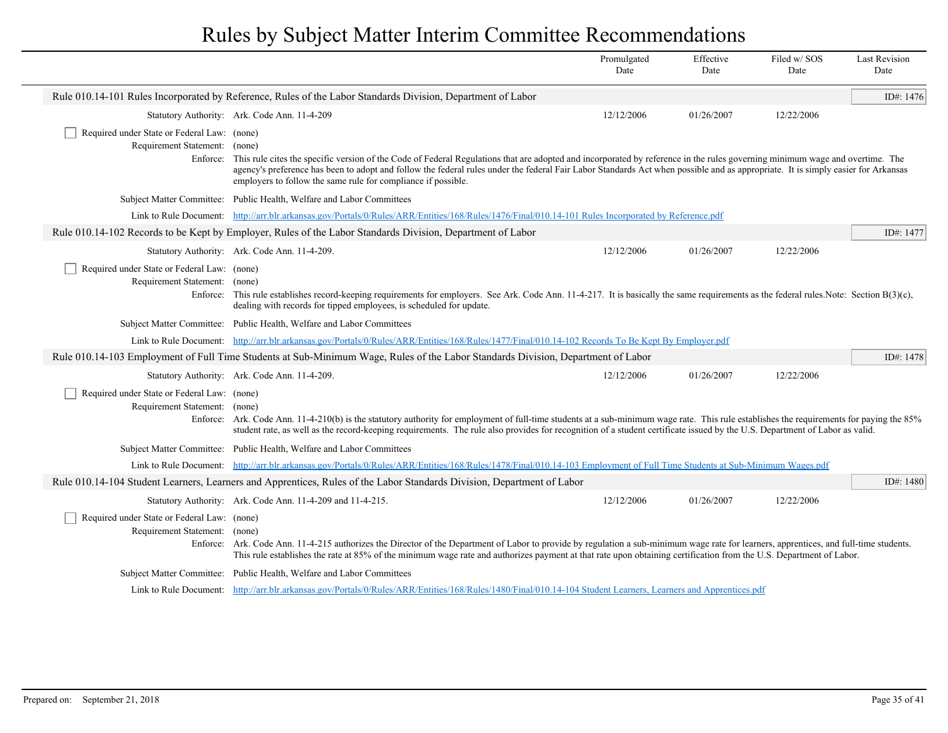|                                                                                   |                                                                                                                                                                                                                                                                                                                                                                         | Promulgated<br>Date                                                                                                                                                                                                                                                                                                                                              | Effective<br>Date | Filed w/SOS<br>Date | <b>Last Revision</b><br>Date |  |  |  |  |
|-----------------------------------------------------------------------------------|-------------------------------------------------------------------------------------------------------------------------------------------------------------------------------------------------------------------------------------------------------------------------------------------------------------------------------------------------------------------------|------------------------------------------------------------------------------------------------------------------------------------------------------------------------------------------------------------------------------------------------------------------------------------------------------------------------------------------------------------------|-------------------|---------------------|------------------------------|--|--|--|--|
|                                                                                   | Rule 010.14-101 Rules Incorporated by Reference, Rules of the Labor Standards Division, Department of Labor                                                                                                                                                                                                                                                             |                                                                                                                                                                                                                                                                                                                                                                  |                   |                     | ID#: 1476                    |  |  |  |  |
|                                                                                   | Statutory Authority: Ark. Code Ann. 11-4-209                                                                                                                                                                                                                                                                                                                            | 12/12/2006                                                                                                                                                                                                                                                                                                                                                       | 01/26/2007        | 12/22/2006          |                              |  |  |  |  |
| Required under State or Federal Law: (none)<br>Requirement Statement:<br>Enforce: | (none)<br>employers to follow the same rule for compliance if possible.                                                                                                                                                                                                                                                                                                 | This rule cites the specific version of the Code of Federal Regulations that are adopted and incorporated by reference in the rules governing minimum wage and overtime. The<br>agency's preference has been to adopt and follow the federal rules under the federal Fair Labor Standards Act when possible and as appropriate. It is simply easier for Arkansas |                   |                     |                              |  |  |  |  |
|                                                                                   | Subject Matter Committee: Public Health, Welfare and Labor Committees                                                                                                                                                                                                                                                                                                   |                                                                                                                                                                                                                                                                                                                                                                  |                   |                     |                              |  |  |  |  |
|                                                                                   | Link to Rule Document: http://arr.blr.arkansas.gov/Portals/0/Rules/ARR/Entities/168/Rules/1476/Final/010.14-101 Rules Incorporated by Reference.pdf                                                                                                                                                                                                                     |                                                                                                                                                                                                                                                                                                                                                                  |                   |                     |                              |  |  |  |  |
|                                                                                   | Rule 010.14-102 Records to be Kept by Employer, Rules of the Labor Standards Division, Department of Labor                                                                                                                                                                                                                                                              |                                                                                                                                                                                                                                                                                                                                                                  |                   |                     | ID#: 1477                    |  |  |  |  |
|                                                                                   | Statutory Authority: Ark. Code Ann. 11-4-209.                                                                                                                                                                                                                                                                                                                           | 12/12/2006                                                                                                                                                                                                                                                                                                                                                       | 01/26/2007        | 12/22/2006          |                              |  |  |  |  |
| Required under State or Federal Law: (none)<br>Requirement Statement:             | (none)<br>Enforce: This rule establishes record-keeping requirements for employers. See Ark. Code Ann. 11-4-217. It is basically the same requirements as the federal rules. Note: Section $B(3)(c)$ ,<br>dealing with records for tipped employees, is scheduled for update.                                                                                           |                                                                                                                                                                                                                                                                                                                                                                  |                   |                     |                              |  |  |  |  |
|                                                                                   | Subject Matter Committee: Public Health, Welfare and Labor Committees                                                                                                                                                                                                                                                                                                   |                                                                                                                                                                                                                                                                                                                                                                  |                   |                     |                              |  |  |  |  |
|                                                                                   | Link to Rule Document: http://arr.blr.arkansas.gov/Portals/0/Rules/ARR/Entities/168/Rules/1477/Final/010.14-102 Records To Be Kept By Employer.pdf                                                                                                                                                                                                                      |                                                                                                                                                                                                                                                                                                                                                                  |                   |                     |                              |  |  |  |  |
|                                                                                   | Rule 010.14-103 Employment of Full Time Students at Sub-Minimum Wage, Rules of the Labor Standards Division, Department of Labor                                                                                                                                                                                                                                        |                                                                                                                                                                                                                                                                                                                                                                  |                   |                     | ID#: 1478                    |  |  |  |  |
|                                                                                   | Statutory Authority: Ark. Code Ann. 11-4-209.                                                                                                                                                                                                                                                                                                                           | 12/12/2006                                                                                                                                                                                                                                                                                                                                                       | 01/26/2007        | 12/22/2006          |                              |  |  |  |  |
| Required under State or Federal Law: (none)<br>Requirement Statement: (none)      | Enforce: Ark. Code Ann. 11-4-210(b) is the statutory authority for employment of full-time students at a sub-minimum wage rate. This rule establishes the requirements for paying the 85%<br>student rate, as well as the record-keeping requirements. The rule also provides for recognition of a student certificate issued by the U.S. Department of Labor as valid. |                                                                                                                                                                                                                                                                                                                                                                  |                   |                     |                              |  |  |  |  |
|                                                                                   | Subject Matter Committee: Public Health, Welfare and Labor Committees                                                                                                                                                                                                                                                                                                   |                                                                                                                                                                                                                                                                                                                                                                  |                   |                     |                              |  |  |  |  |
|                                                                                   | Link to Rule Document: http://arr.blr.arkansas.gov/Portals/0/Rules/ARR/Entities/168/Rules/1478/Final/010.14-103 Employment of Full Time Students at Sub-Minimum Wages.pdf                                                                                                                                                                                               |                                                                                                                                                                                                                                                                                                                                                                  |                   |                     |                              |  |  |  |  |
|                                                                                   | Rule 010.14-104 Student Learners, Learners and Apprentices, Rules of the Labor Standards Division, Department of Labor                                                                                                                                                                                                                                                  |                                                                                                                                                                                                                                                                                                                                                                  |                   |                     | ID#: 1480                    |  |  |  |  |
|                                                                                   | Statutory Authority: Ark. Code Ann. 11-4-209 and 11-4-215.                                                                                                                                                                                                                                                                                                              | 12/12/2006                                                                                                                                                                                                                                                                                                                                                       | 01/26/2007        | 12/22/2006          |                              |  |  |  |  |
| Required under State or Federal Law: (none)<br>Requirement Statement: (none)      | Enforce: Ark. Code Ann. 11-4-215 authorizes the Director of the Department of Labor to provide by regulation a sub-minimum wage rate for learners, apprentices, and full-time students.<br>This rule establishes the rate at 85% of the minimum wage rate and authorizes payment at that rate upon obtaining certification from the U.S. Department of Labor.           |                                                                                                                                                                                                                                                                                                                                                                  |                   |                     |                              |  |  |  |  |
|                                                                                   | Subject Matter Committee: Public Health, Welfare and Labor Committees                                                                                                                                                                                                                                                                                                   |                                                                                                                                                                                                                                                                                                                                                                  |                   |                     |                              |  |  |  |  |
|                                                                                   | Link to Rule Document: http://arr.blr.arkansas.gov/Portals/0/Rules/ARR/Entities/168/Rules/1480/Final/010.14-104 Student Learners, Learners and Apprentices.pdf                                                                                                                                                                                                          |                                                                                                                                                                                                                                                                                                                                                                  |                   |                     |                              |  |  |  |  |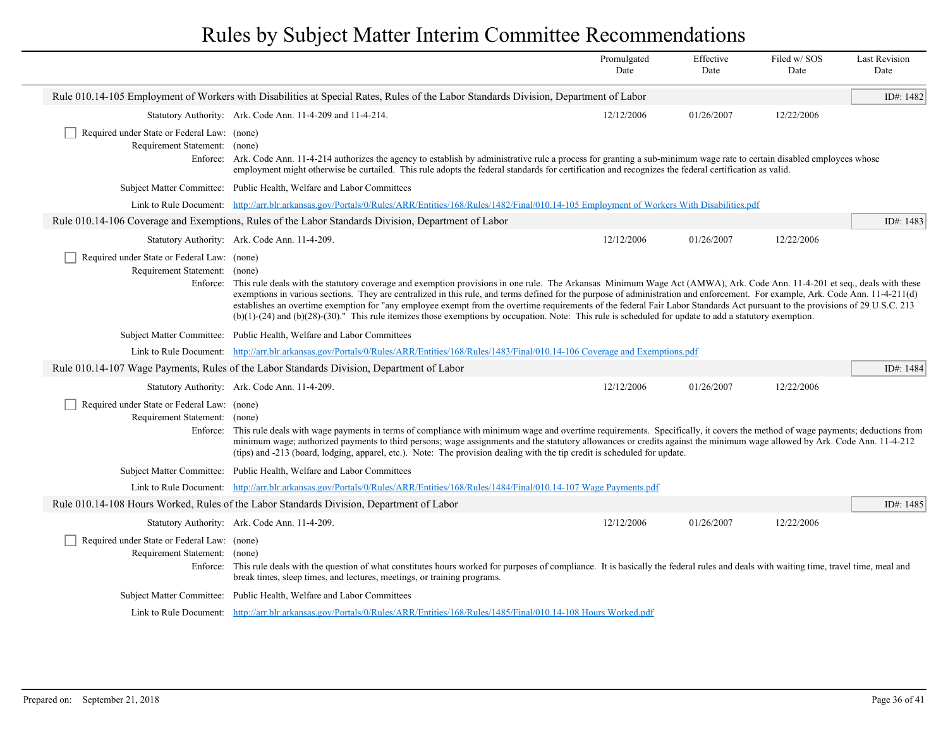|                                                                              |                                                                                                                                                                                                                                                                                                                                                                                                                                                                                                                                                                                                                                                                                                                        | Promulgated<br>Date | Effective<br>Date | Filed w/SOS<br>Date | <b>Last Revision</b><br>Date |
|------------------------------------------------------------------------------|------------------------------------------------------------------------------------------------------------------------------------------------------------------------------------------------------------------------------------------------------------------------------------------------------------------------------------------------------------------------------------------------------------------------------------------------------------------------------------------------------------------------------------------------------------------------------------------------------------------------------------------------------------------------------------------------------------------------|---------------------|-------------------|---------------------|------------------------------|
|                                                                              | Rule 010.14-105 Employment of Workers with Disabilities at Special Rates, Rules of the Labor Standards Division, Department of Labor                                                                                                                                                                                                                                                                                                                                                                                                                                                                                                                                                                                   |                     |                   |                     | ID#: 1482                    |
|                                                                              | Statutory Authority: Ark. Code Ann. 11-4-209 and 11-4-214.                                                                                                                                                                                                                                                                                                                                                                                                                                                                                                                                                                                                                                                             | 12/12/2006          | 01/26/2007        | 12/22/2006          |                              |
| Required under State or Federal Law: (none)<br>Requirement Statement: (none) | Enforce: Ark. Code Ann. 11-4-214 authorizes the agency to establish by administrative rule a process for granting a sub-minimum wage rate to certain disabled employees whose<br>employment might otherwise be curtailed. This rule adopts the federal standards for certification and recognizes the federal certification as valid.                                                                                                                                                                                                                                                                                                                                                                                  |                     |                   |                     |                              |
|                                                                              | Subject Matter Committee: Public Health, Welfare and Labor Committees                                                                                                                                                                                                                                                                                                                                                                                                                                                                                                                                                                                                                                                  |                     |                   |                     |                              |
|                                                                              | Link to Rule Document: http://arr.blr.arkansas.gov/Portals/0/Rules/ARR/Entities/168/Rules/1482/Final/010.14-105 Employment of Workers With Disabilities.pdf                                                                                                                                                                                                                                                                                                                                                                                                                                                                                                                                                            |                     |                   |                     |                              |
|                                                                              | Rule 010.14-106 Coverage and Exemptions, Rules of the Labor Standards Division, Department of Labor                                                                                                                                                                                                                                                                                                                                                                                                                                                                                                                                                                                                                    |                     |                   |                     | ID#: 1483                    |
|                                                                              | Statutory Authority: Ark. Code Ann. 11-4-209.                                                                                                                                                                                                                                                                                                                                                                                                                                                                                                                                                                                                                                                                          | 12/12/2006          | 01/26/2007        | 12/22/2006          |                              |
| Required under State or Federal Law: (none)<br>Requirement Statement: (none) | Enforce: This rule deals with the statutory coverage and exemption provisions in one rule. The Arkansas Minimum Wage Act (AMWA), Ark. Code Ann. 11-4-201 et seq., deals with these<br>exemptions in various sections. They are centralized in this rule, and terms defined for the purpose of administration and enforcement. For example, Ark. Code Ann. 11-4-211(d)<br>establishes an overtime exemption for "any employee exempt from the overtime requirements of the federal Fair Labor Standards Act pursuant to the provisions of 29 U.S.C. 213<br>$(b)(1)-(24)$ and $(b)(28)-(30)$ ." This rule itemizes those exemptions by occupation. Note: This rule is scheduled for update to add a statutory exemption. |                     |                   |                     |                              |
|                                                                              | Subject Matter Committee: Public Health, Welfare and Labor Committees                                                                                                                                                                                                                                                                                                                                                                                                                                                                                                                                                                                                                                                  |                     |                   |                     |                              |
|                                                                              | Link to Rule Document: http://arr.blr.arkansas.gov/Portals/0/Rules/ARR/Entities/168/Rules/1483/Final/010.14-106 Coverage and Exemptions.pdf                                                                                                                                                                                                                                                                                                                                                                                                                                                                                                                                                                            |                     |                   |                     |                              |
|                                                                              | Rule 010.14-107 Wage Payments, Rules of the Labor Standards Division, Department of Labor                                                                                                                                                                                                                                                                                                                                                                                                                                                                                                                                                                                                                              |                     |                   |                     | ID#: 1484                    |
|                                                                              | Statutory Authority: Ark. Code Ann. 11-4-209.                                                                                                                                                                                                                                                                                                                                                                                                                                                                                                                                                                                                                                                                          | 12/12/2006          | 01/26/2007        | 12/22/2006          |                              |
| Required under State or Federal Law: (none)<br>Requirement Statement: (none) | Enforce: This rule deals with wage payments in terms of compliance with minimum wage and overtime requirements. Specifically, it covers the method of wage payments; deductions from<br>minimum wage; authorized payments to third persons; wage assignments and the statutory allowances or credits against the minimum wage allowed by Ark. Code Ann. 11-4-212<br>(tips) and -213 (board, lodging, apparel, etc.). Note: The provision dealing with the tip credit is scheduled for update.                                                                                                                                                                                                                          |                     |                   |                     |                              |
|                                                                              | Subject Matter Committee: Public Health, Welfare and Labor Committees                                                                                                                                                                                                                                                                                                                                                                                                                                                                                                                                                                                                                                                  |                     |                   |                     |                              |
|                                                                              | Link to Rule Document: http://arr.blr.arkansas.gov/Portals/0/Rules/ARR/Entities/168/Rules/1484/Final/010.14-107 Wage Payments.pdf                                                                                                                                                                                                                                                                                                                                                                                                                                                                                                                                                                                      |                     |                   |                     |                              |
|                                                                              | Rule 010.14-108 Hours Worked, Rules of the Labor Standards Division, Department of Labor                                                                                                                                                                                                                                                                                                                                                                                                                                                                                                                                                                                                                               |                     |                   |                     | ID#: 1485                    |
|                                                                              | Statutory Authority: Ark. Code Ann. 11-4-209.                                                                                                                                                                                                                                                                                                                                                                                                                                                                                                                                                                                                                                                                          | 12/12/2006          | 01/26/2007        | 12/22/2006          |                              |
| Required under State or Federal Law: (none)<br>Requirement Statement: (none) | Enforce: This rule deals with the question of what constitutes hours worked for purposes of compliance. It is basically the federal rules and deals with waiting time, travel time, meal and<br>break times, sleep times, and lectures, meetings, or training programs.                                                                                                                                                                                                                                                                                                                                                                                                                                                |                     |                   |                     |                              |
|                                                                              | Subject Matter Committee: Public Health, Welfare and Labor Committees                                                                                                                                                                                                                                                                                                                                                                                                                                                                                                                                                                                                                                                  |                     |                   |                     |                              |
|                                                                              | Link to Rule Document: http://arr.blr.arkansas.gov/Portals/0/Rules/ARR/Entities/168/Rules/1485/Final/010.14-108 Hours Worked.pdf                                                                                                                                                                                                                                                                                                                                                                                                                                                                                                                                                                                       |                     |                   |                     |                              |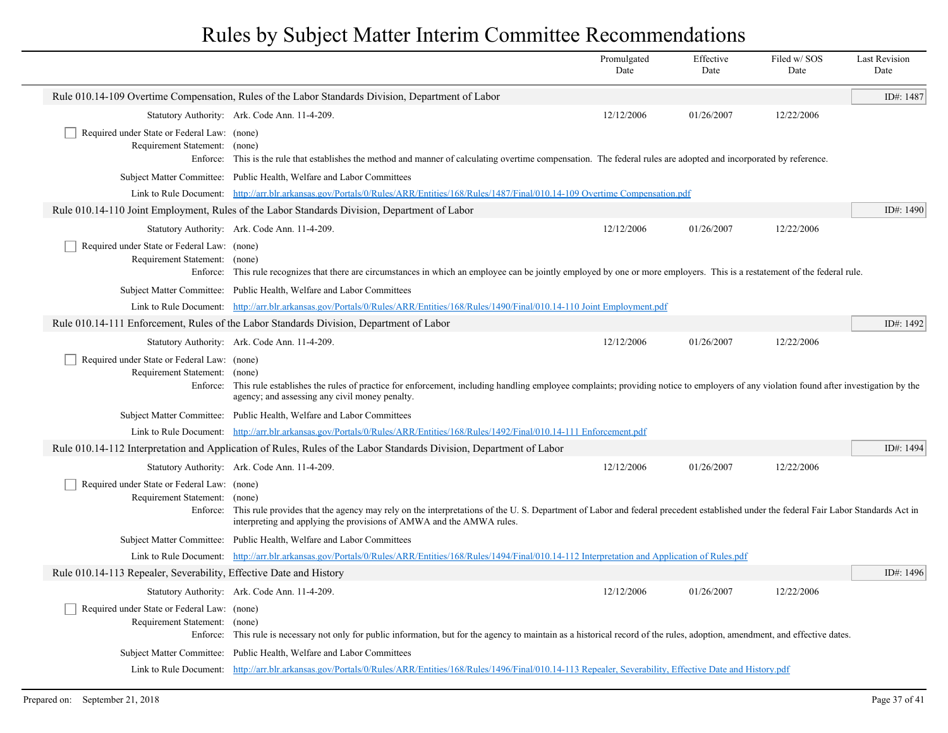|                                                                              |                                                                                                                                                                                                                                                                               | Promulgated<br>Date | Effective<br>Date | Filed w/SOS<br>Date | <b>Last Revision</b><br>Date |
|------------------------------------------------------------------------------|-------------------------------------------------------------------------------------------------------------------------------------------------------------------------------------------------------------------------------------------------------------------------------|---------------------|-------------------|---------------------|------------------------------|
|                                                                              | Rule 010.14-109 Overtime Compensation, Rules of the Labor Standards Division, Department of Labor                                                                                                                                                                             |                     |                   |                     | ID#: 1487                    |
|                                                                              | Statutory Authority: Ark. Code Ann. 11-4-209.                                                                                                                                                                                                                                 | 12/12/2006          | 01/26/2007        | 12/22/2006          |                              |
| Required under State or Federal Law: (none)<br>Requirement Statement: (none) | Enforce: This is the rule that establishes the method and manner of calculating overtime compensation. The federal rules are adopted and incorporated by reference.                                                                                                           |                     |                   |                     |                              |
|                                                                              | Subject Matter Committee: Public Health, Welfare and Labor Committees                                                                                                                                                                                                         |                     |                   |                     |                              |
|                                                                              | Link to Rule Document: http://arr.blr.arkansas.gov/Portals/0/Rules/ARR/Entities/168/Rules/1487/Final/010.14-109 Overtime Compensation.pdf                                                                                                                                     |                     |                   |                     |                              |
|                                                                              | Rule 010.14-110 Joint Employment, Rules of the Labor Standards Division, Department of Labor                                                                                                                                                                                  |                     |                   |                     | ID#: 1490                    |
|                                                                              | Statutory Authority: Ark. Code Ann. 11-4-209.                                                                                                                                                                                                                                 | 12/12/2006          | 01/26/2007        | 12/22/2006          |                              |
| Required under State or Federal Law: (none)<br>Requirement Statement:        | (none)<br>Enforce: This rule recognizes that there are circumstances in which an employee can be jointly employed by one or more employers. This is a restatement of the federal rule.                                                                                        |                     |                   |                     |                              |
|                                                                              | Subject Matter Committee: Public Health, Welfare and Labor Committees                                                                                                                                                                                                         |                     |                   |                     |                              |
|                                                                              | Link to Rule Document: http://arr.blr.arkansas.gov/Portals/0/Rules/ARR/Entities/168/Rules/1490/Final/010.14-110 Joint Employment.pdf                                                                                                                                          |                     |                   |                     |                              |
|                                                                              | Rule 010.14-111 Enforcement, Rules of the Labor Standards Division, Department of Labor                                                                                                                                                                                       |                     |                   |                     | ID#: 1492                    |
|                                                                              | Statutory Authority: Ark. Code Ann. 11-4-209.                                                                                                                                                                                                                                 | 12/12/2006          | 01/26/2007        | 12/22/2006          |                              |
| Required under State or Federal Law: (none)<br>Requirement Statement: (none) | Enforce: This rule establishes the rules of practice for enforcement, including handling employee complaints; providing notice to employers of any violation found after investigation by the<br>agency; and assessing any civil money penalty.                               |                     |                   |                     |                              |
|                                                                              | Subject Matter Committee: Public Health, Welfare and Labor Committees                                                                                                                                                                                                         |                     |                   |                     |                              |
|                                                                              | Link to Rule Document: http://arr.blr.arkansas.gov/Portals/0/Rules/ARR/Entities/168/Rules/1492/Final/010.14-111 Enforcement.pdf                                                                                                                                               |                     |                   |                     |                              |
|                                                                              | Rule 010.14-112 Interpretation and Application of Rules, Rules of the Labor Standards Division, Department of Labor                                                                                                                                                           |                     |                   |                     | ID#: 1494                    |
|                                                                              | Statutory Authority: Ark. Code Ann. 11-4-209.                                                                                                                                                                                                                                 | 12/12/2006          | 01/26/2007        | 12/22/2006          |                              |
| Required under State or Federal Law: (none)<br>Requirement Statement:        | (none)<br>Enforce: This rule provides that the agency may rely on the interpretations of the U.S. Department of Labor and federal precedent established under the federal Fair Labor Standards Act in<br>interpreting and applying the provisions of AMWA and the AMWA rules. |                     |                   |                     |                              |
|                                                                              | Subject Matter Committee: Public Health, Welfare and Labor Committees                                                                                                                                                                                                         |                     |                   |                     |                              |
|                                                                              | Link to Rule Document: http://arr.blr.arkansas.gov/Portals/0/Rules/ARR/Entities/168/Rules/1494/Final/010.14-112 Interpretation and Application of Rules.pdf                                                                                                                   |                     |                   |                     |                              |
| Rule 010.14-113 Repealer, Severability, Effective Date and History           |                                                                                                                                                                                                                                                                               |                     |                   |                     | ID#: 1496                    |
|                                                                              | Statutory Authority: Ark. Code Ann. 11-4-209.                                                                                                                                                                                                                                 | 12/12/2006          | 01/26/2007        | 12/22/2006          |                              |
| Required under State or Federal Law: (none)<br>Requirement Statement: (none) | Enforce: This rule is necessary not only for public information, but for the agency to maintain as a historical record of the rules, adoption, amendment, and effective dates.                                                                                                |                     |                   |                     |                              |
|                                                                              | Subject Matter Committee: Public Health, Welfare and Labor Committees                                                                                                                                                                                                         |                     |                   |                     |                              |
|                                                                              | Link to Rule Document: http://arr.blr.arkansas.gov/Portals/0/Rules/ARR/Entities/168/Rules/1496/Final/010.14-113 Repealer, Severability, Effective Date and History.pdf                                                                                                        |                     |                   |                     |                              |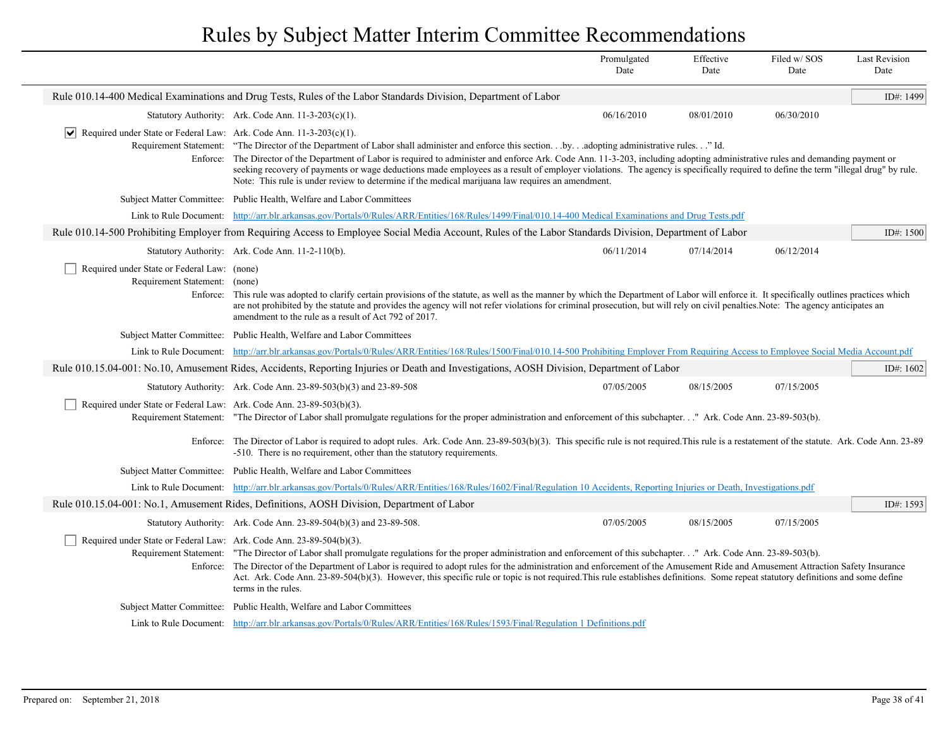|                                                                                 |                                                                                                                                                                                                                                                                                                                                                                                                                                                                                                                                                                                                                            | Promulgated<br>Date | Effective<br>Date | Filed w/SOS<br>Date | <b>Last Revision</b><br>Date |
|---------------------------------------------------------------------------------|----------------------------------------------------------------------------------------------------------------------------------------------------------------------------------------------------------------------------------------------------------------------------------------------------------------------------------------------------------------------------------------------------------------------------------------------------------------------------------------------------------------------------------------------------------------------------------------------------------------------------|---------------------|-------------------|---------------------|------------------------------|
|                                                                                 | Rule 010.14-400 Medical Examinations and Drug Tests, Rules of the Labor Standards Division, Department of Labor                                                                                                                                                                                                                                                                                                                                                                                                                                                                                                            |                     |                   |                     | ID#: 1499                    |
|                                                                                 | Statutory Authority: Ark. Code Ann. 11-3-203(c)(1).                                                                                                                                                                                                                                                                                                                                                                                                                                                                                                                                                                        | 06/16/2010          | 08/01/2010        | 06/30/2010          |                              |
| Required under State or Federal Law: Ark. Code Ann. 11-3-203(c)(1).<br>$ \vee $ | Requirement Statement: "The Director of the Department of Labor shall administer and enforce this sectionbyadopting administrative rules" Id.<br>Enforce: The Director of the Department of Labor is required to administer and enforce Ark. Code Ann. 11-3-203, including adopting administrative rules and demanding payment or<br>seeking recovery of payments or wage deductions made employees as a result of employer violations. The agency is specifically required to define the term "illegal drug" by rule.<br>Note: This rule is under review to determine if the medical marijuana law requires an amendment. |                     |                   |                     |                              |
|                                                                                 | Subject Matter Committee: Public Health, Welfare and Labor Committees                                                                                                                                                                                                                                                                                                                                                                                                                                                                                                                                                      |                     |                   |                     |                              |
|                                                                                 | Link to Rule Document: http://arr.blr.arkansas.gov/Portals/0/Rules/ARR/Entities/168/Rules/1499/Final/010.14-400 Medical Examinations and Drug Tests.pdf                                                                                                                                                                                                                                                                                                                                                                                                                                                                    |                     |                   |                     |                              |
|                                                                                 | Rule 010.14-500 Prohibiting Employer from Requiring Access to Employee Social Media Account, Rules of the Labor Standards Division, Department of Labor                                                                                                                                                                                                                                                                                                                                                                                                                                                                    |                     |                   |                     | ID#: $1500$                  |
|                                                                                 | Statutory Authority: Ark. Code Ann. 11-2-110(b).                                                                                                                                                                                                                                                                                                                                                                                                                                                                                                                                                                           | 06/11/2014          | 07/14/2014        | 06/12/2014          |                              |
| Required under State or Federal Law: (none)<br>Requirement Statement: (none)    | Enforce: This rule was adopted to clarify certain provisions of the statute, as well as the manner by which the Department of Labor will enforce it. It specifically outlines practices which<br>are not prohibited by the statute and provides the agency will not refer violations for criminal prosecution, but will rely on civil penalties. Note: The agency anticipates an<br>amendment to the rule as a result of Act 792 of 2017.                                                                                                                                                                                  |                     |                   |                     |                              |
|                                                                                 | Subject Matter Committee: Public Health, Welfare and Labor Committees                                                                                                                                                                                                                                                                                                                                                                                                                                                                                                                                                      |                     |                   |                     |                              |
|                                                                                 | Link to Rule Document: http://arr.blr.arkansas.gov/Portals/0/Rules/ARR/Entities/168/Rules/1500/Final/010.14-500 Prohibiting Employer From Requiring Access to Employee Social Media Account.pdf                                                                                                                                                                                                                                                                                                                                                                                                                            |                     |                   |                     |                              |
|                                                                                 | ID#: 1602<br>Rule 010.15.04-001: No.10, Amusement Rides, Accidents, Reporting Injuries or Death and Investigations, AOSH Division, Department of Labor                                                                                                                                                                                                                                                                                                                                                                                                                                                                     |                     |                   |                     |                              |
|                                                                                 | Statutory Authority: Ark. Code Ann. 23-89-503(b)(3) and 23-89-508                                                                                                                                                                                                                                                                                                                                                                                                                                                                                                                                                          | 07/05/2005          | 08/15/2005        | 07/15/2005          |                              |
| Required under State or Federal Law: Ark. Code Ann. 23-89-503(b)(3).            | Requirement Statement: "The Director of Labor shall promulgate regulations for the proper administration and enforcement of this subchapter" Ark. Code Ann. 23-89-503(b).                                                                                                                                                                                                                                                                                                                                                                                                                                                  |                     |                   |                     |                              |
|                                                                                 | Enforce: The Director of Labor is required to adopt rules. Ark. Code Ann. 23-89-503(b)(3). This specific rule is not required. This rule is a restatement of the statute. Ark. Code Ann. 23-89<br>-510. There is no requirement, other than the statutory requirements.                                                                                                                                                                                                                                                                                                                                                    |                     |                   |                     |                              |
|                                                                                 | Subject Matter Committee: Public Health, Welfare and Labor Committees                                                                                                                                                                                                                                                                                                                                                                                                                                                                                                                                                      |                     |                   |                     |                              |
|                                                                                 | Link to Rule Document: http://arr.blr.arkansas.gov/Portals/0/Rules/ARR/Entities/168/Rules/1602/Final/Regulation 10 Accidents, Reporting Injuries or Death, Investigations.pdf                                                                                                                                                                                                                                                                                                                                                                                                                                              |                     |                   |                     |                              |
|                                                                                 | Rule 010.15.04-001: No.1, Amusement Rides, Definitions, AOSH Division, Department of Labor                                                                                                                                                                                                                                                                                                                                                                                                                                                                                                                                 |                     |                   |                     | ID#: 1593                    |
|                                                                                 | Statutory Authority: Ark. Code Ann. 23-89-504(b)(3) and 23-89-508.                                                                                                                                                                                                                                                                                                                                                                                                                                                                                                                                                         | 07/05/2005          | 08/15/2005        | 07/15/2005          |                              |
| Required under State or Federal Law: Ark. Code Ann. 23-89-504(b)(3).            | Requirement Statement: "The Director of Labor shall promulgate regulations for the proper administration and enforcement of this subchapter." Ark. Code Ann. 23-89-503(b).<br>Enforce: The Director of the Department of Labor is required to adopt rules for the administration and enforcement of the Amusement Ride and Amusement Attraction Safety Insurance<br>Act. Ark. Code Ann. 23-89-504(b)(3). However, this specific rule or topic is not required. This rule establishes definitions. Some repeat statutory definitions and some define<br>terms in the rules.                                                 |                     |                   |                     |                              |
|                                                                                 | Subject Matter Committee: Public Health, Welfare and Labor Committees                                                                                                                                                                                                                                                                                                                                                                                                                                                                                                                                                      |                     |                   |                     |                              |
|                                                                                 | Link to Rule Document: http://arr.blr.arkansas.gov/Portals/0/Rules/ARR/Entities/168/Rules/1593/Final/Regulation 1 Definitions.pdf                                                                                                                                                                                                                                                                                                                                                                                                                                                                                          |                     |                   |                     |                              |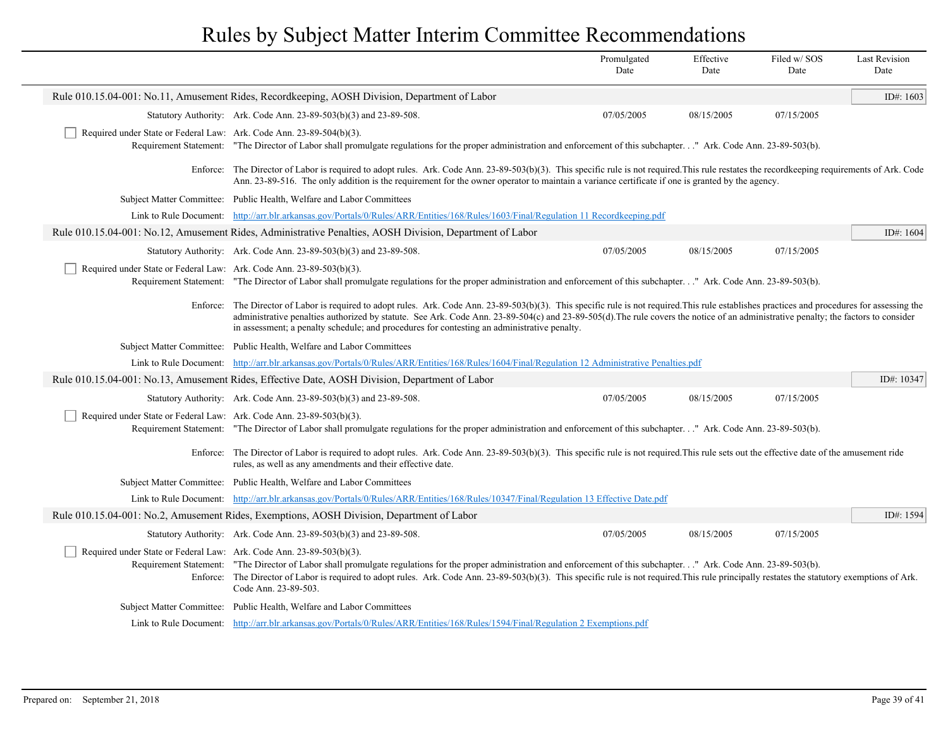|                                                                                                                                                                                                                                                                                                                                                                                                                                                                              |                                                                                                                                                                                                                                                                                                                                                                                                                                                                                      | Promulgated<br>Date | Effective<br>Date | Filed w/SOS<br>Date | <b>Last Revision</b><br>Date |
|------------------------------------------------------------------------------------------------------------------------------------------------------------------------------------------------------------------------------------------------------------------------------------------------------------------------------------------------------------------------------------------------------------------------------------------------------------------------------|--------------------------------------------------------------------------------------------------------------------------------------------------------------------------------------------------------------------------------------------------------------------------------------------------------------------------------------------------------------------------------------------------------------------------------------------------------------------------------------|---------------------|-------------------|---------------------|------------------------------|
| Rule 010.15.04-001: No.11, Amusement Rides, Recordkeeping, AOSH Division, Department of Labor                                                                                                                                                                                                                                                                                                                                                                                |                                                                                                                                                                                                                                                                                                                                                                                                                                                                                      |                     |                   |                     |                              |
|                                                                                                                                                                                                                                                                                                                                                                                                                                                                              | Statutory Authority: Ark. Code Ann. 23-89-503(b)(3) and 23-89-508.                                                                                                                                                                                                                                                                                                                                                                                                                   | 07/05/2005          | 08/15/2005        | 07/15/2005          |                              |
| Required under State or Federal Law: Ark. Code Ann. 23-89-504(b)(3).                                                                                                                                                                                                                                                                                                                                                                                                         | Requirement Statement: "The Director of Labor shall promulgate regulations for the proper administration and enforcement of this subchapter." Ark. Code Ann. 23-89-503(b).                                                                                                                                                                                                                                                                                                           |                     |                   |                     |                              |
|                                                                                                                                                                                                                                                                                                                                                                                                                                                                              | Enforce: The Director of Labor is required to adopt rules. Ark. Code Ann. 23-89-503(b)(3). This specific rule is not required. This rule restates the recordkeeping requirements of Ark. Code<br>Ann. 23-89-516. The only addition is the requirement for the owner operator to maintain a variance certificate if one is granted by the agency.                                                                                                                                     |                     |                   |                     |                              |
|                                                                                                                                                                                                                                                                                                                                                                                                                                                                              | Subject Matter Committee: Public Health, Welfare and Labor Committees                                                                                                                                                                                                                                                                                                                                                                                                                |                     |                   |                     |                              |
|                                                                                                                                                                                                                                                                                                                                                                                                                                                                              | Link to Rule Document: http://arr.blr.arkansas.gov/Portals/0/Rules/ARR/Entities/168/Rules/1603/Final/Regulation 11 Recordkeeping.pdf                                                                                                                                                                                                                                                                                                                                                 |                     |                   |                     |                              |
|                                                                                                                                                                                                                                                                                                                                                                                                                                                                              | Rule 010.15.04-001: No.12, Amusement Rides, Administrative Penalties, AOSH Division, Department of Labor                                                                                                                                                                                                                                                                                                                                                                             |                     |                   |                     | ID#: 1604                    |
|                                                                                                                                                                                                                                                                                                                                                                                                                                                                              | Statutory Authority: Ark. Code Ann. 23-89-503(b)(3) and 23-89-508.                                                                                                                                                                                                                                                                                                                                                                                                                   | 07/05/2005          | 08/15/2005        | 07/15/2005          |                              |
| Required under State or Federal Law: Ark. Code Ann. 23-89-503(b)(3).                                                                                                                                                                                                                                                                                                                                                                                                         | Requirement Statement: "The Director of Labor shall promulgate regulations for the proper administration and enforcement of this subchapter" Ark. Code Ann. 23-89-503(b).                                                                                                                                                                                                                                                                                                            |                     |                   |                     |                              |
|                                                                                                                                                                                                                                                                                                                                                                                                                                                                              | Enforce: The Director of Labor is required to adopt rules. Ark. Code Ann. 23-89-503(b)(3). This specific rule is not required. This rule establishes practices and procedures for assessing the<br>administrative penalties authorized by statute. See Ark. Code Ann. 23-89-504(c) and 23-89-505(d). The rule covers the notice of an administrative penalty; the factors to consider<br>in assessment; a penalty schedule; and procedures for contesting an administrative penalty. |                     |                   |                     |                              |
|                                                                                                                                                                                                                                                                                                                                                                                                                                                                              | Subject Matter Committee: Public Health, Welfare and Labor Committees                                                                                                                                                                                                                                                                                                                                                                                                                |                     |                   |                     |                              |
|                                                                                                                                                                                                                                                                                                                                                                                                                                                                              | Link to Rule Document: http://arr.blr.arkansas.gov/Portals/0/Rules/ARR/Entities/168/Rules/1604/Final/Regulation 12 Administrative Penalties.pdf                                                                                                                                                                                                                                                                                                                                      |                     |                   |                     |                              |
| Rule 010.15.04-001: No.13, Amusement Rides, Effective Date, AOSH Division, Department of Labor                                                                                                                                                                                                                                                                                                                                                                               |                                                                                                                                                                                                                                                                                                                                                                                                                                                                                      |                     |                   |                     | ID#: 10347                   |
|                                                                                                                                                                                                                                                                                                                                                                                                                                                                              | Statutory Authority: Ark. Code Ann. 23-89-503(b)(3) and 23-89-508.                                                                                                                                                                                                                                                                                                                                                                                                                   | 07/05/2005          | 08/15/2005        | 07/15/2005          |                              |
|                                                                                                                                                                                                                                                                                                                                                                                                                                                                              | Required under State or Federal Law: Ark. Code Ann. 23-89-503(b)(3).<br>Requirement Statement: "The Director of Labor shall promulgate regulations for the proper administration and enforcement of this subchapter." Ark. Code Ann. 23-89-503(b).                                                                                                                                                                                                                                   |                     |                   |                     |                              |
| Enforce: The Director of Labor is required to adopt rules. Ark. Code Ann. 23-89-503(b)(3). This specific rule is not required. This rule sets out the effective date of the amusement ride<br>rules, as well as any amendments and their effective date.                                                                                                                                                                                                                     |                                                                                                                                                                                                                                                                                                                                                                                                                                                                                      |                     |                   |                     |                              |
|                                                                                                                                                                                                                                                                                                                                                                                                                                                                              | Subject Matter Committee: Public Health, Welfare and Labor Committees                                                                                                                                                                                                                                                                                                                                                                                                                |                     |                   |                     |                              |
|                                                                                                                                                                                                                                                                                                                                                                                                                                                                              | Link to Rule Document: http://arr.blr.arkansas.gov/Portals/0/Rules/ARR/Entities/168/Rules/10347/Final/Regulation 13 Effective Date.pdf                                                                                                                                                                                                                                                                                                                                               |                     |                   |                     |                              |
|                                                                                                                                                                                                                                                                                                                                                                                                                                                                              | Rule 010.15.04-001: No.2, Amusement Rides, Exemptions, AOSH Division, Department of Labor                                                                                                                                                                                                                                                                                                                                                                                            |                     |                   |                     | ID#: $1594$                  |
|                                                                                                                                                                                                                                                                                                                                                                                                                                                                              | Statutory Authority: Ark. Code Ann. 23-89-503(b)(3) and 23-89-508.                                                                                                                                                                                                                                                                                                                                                                                                                   | 07/05/2005          | 08/15/2005        | 07/15/2005          |                              |
| Required under State or Federal Law: Ark. Code Ann. 23-89-503(b)(3).<br>Requirement Statement: "The Director of Labor shall promulgate regulations for the proper administration and enforcement of this subchapter." Ark. Code Ann. 23-89-503(b).<br>Enforce: The Director of Labor is required to adopt rules. Ark. Code Ann. 23-89-503(b)(3). This specific rule is not required. This rule principally restates the statutory exemptions of Ark.<br>Code Ann. 23-89-503. |                                                                                                                                                                                                                                                                                                                                                                                                                                                                                      |                     |                   |                     |                              |
|                                                                                                                                                                                                                                                                                                                                                                                                                                                                              | Subject Matter Committee: Public Health, Welfare and Labor Committees                                                                                                                                                                                                                                                                                                                                                                                                                |                     |                   |                     |                              |
|                                                                                                                                                                                                                                                                                                                                                                                                                                                                              | Link to Rule Document: http://arr.blr.arkansas.gov/Portals/0/Rules/ARR/Entities/168/Rules/1594/Final/Regulation 2 Exemptions.pdf                                                                                                                                                                                                                                                                                                                                                     |                     |                   |                     |                              |
|                                                                                                                                                                                                                                                                                                                                                                                                                                                                              |                                                                                                                                                                                                                                                                                                                                                                                                                                                                                      |                     |                   |                     |                              |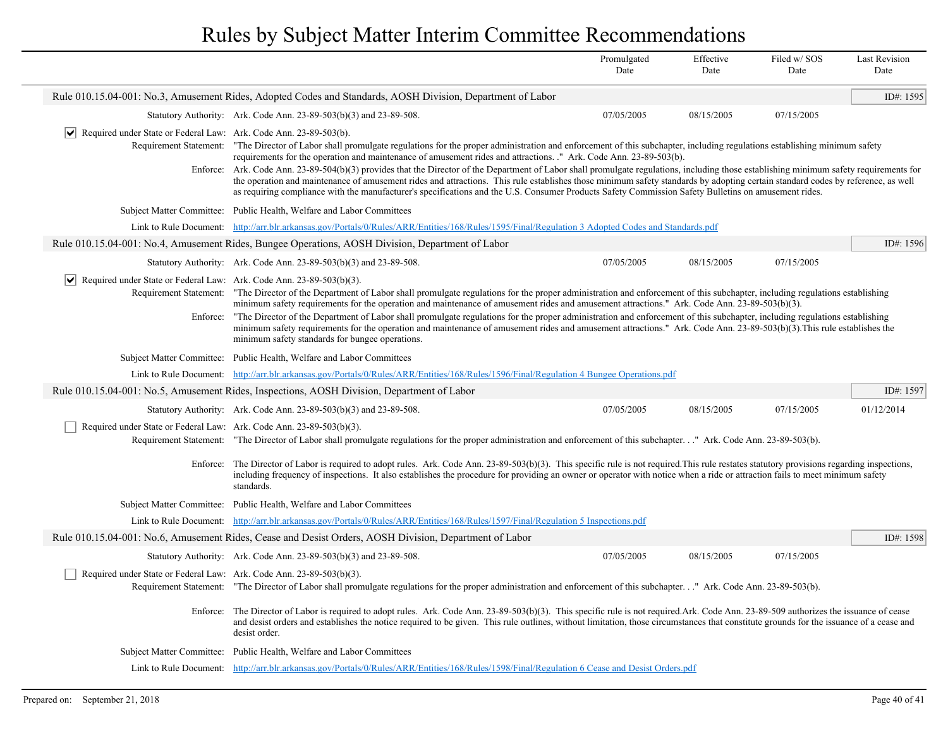|                                                                                                                         |                                                                                                                                                                                                                                                                                                                                                                                                                                                                                                                                                                                                                                                                                                                                                                                                                                                                                                                                                   | Promulgated<br>Date | Effective<br>Date | Filed w/SOS<br>Date | <b>Last Revision</b><br>Date |  |
|-------------------------------------------------------------------------------------------------------------------------|---------------------------------------------------------------------------------------------------------------------------------------------------------------------------------------------------------------------------------------------------------------------------------------------------------------------------------------------------------------------------------------------------------------------------------------------------------------------------------------------------------------------------------------------------------------------------------------------------------------------------------------------------------------------------------------------------------------------------------------------------------------------------------------------------------------------------------------------------------------------------------------------------------------------------------------------------|---------------------|-------------------|---------------------|------------------------------|--|
| Rule 010.15.04-001: No.3, Amusement Rides, Adopted Codes and Standards, AOSH Division, Department of Labor<br>ID#: 1595 |                                                                                                                                                                                                                                                                                                                                                                                                                                                                                                                                                                                                                                                                                                                                                                                                                                                                                                                                                   |                     |                   |                     |                              |  |
|                                                                                                                         | Statutory Authority: Ark. Code Ann. 23-89-503(b)(3) and 23-89-508.                                                                                                                                                                                                                                                                                                                                                                                                                                                                                                                                                                                                                                                                                                                                                                                                                                                                                | 07/05/2005          | 08/15/2005        | 07/15/2005          |                              |  |
|                                                                                                                         | $ \mathbf{v} $ Required under State or Federal Law: Ark. Code Ann. 23-89-503(b).<br>Requirement Statement: "The Director of Labor shall promulgate regulations for the proper administration and enforcement of this subchapter, including regulations establishing minimum safety<br>requirements for the operation and maintenance of amusement rides and attractions. " Ark. Code Ann. 23-89-503(b).<br>Ark. Code Ann. 23-89-504(b)(3) provides that the Director of the Department of Labor shall promulgate regulations, including those establishing minimum safety requirements for<br>Enforce:<br>the operation and maintenance of amusement rides and attractions. This rule establishes those minimum safety standards by adopting certain standard codes by reference, as well<br>as requiring compliance with the manufacturer's specifications and the U.S. Consumer Products Safety Commission Safety Bulletins on amusement rides. |                     |                   |                     |                              |  |
|                                                                                                                         | Subject Matter Committee: Public Health, Welfare and Labor Committees                                                                                                                                                                                                                                                                                                                                                                                                                                                                                                                                                                                                                                                                                                                                                                                                                                                                             |                     |                   |                     |                              |  |
| Link to Rule Document:                                                                                                  | http://arr.blr.arkansas.gov/Portals/0/Rules/ARR/Entities/168/Rules/1595/Final/Regulation 3 Adopted Codes and Standards.pdf                                                                                                                                                                                                                                                                                                                                                                                                                                                                                                                                                                                                                                                                                                                                                                                                                        |                     |                   |                     |                              |  |
|                                                                                                                         | Rule 010.15.04-001: No.4, Amusement Rides, Bungee Operations, AOSH Division, Department of Labor                                                                                                                                                                                                                                                                                                                                                                                                                                                                                                                                                                                                                                                                                                                                                                                                                                                  |                     |                   |                     | ID#: 1596                    |  |
|                                                                                                                         | Statutory Authority: Ark. Code Ann. 23-89-503(b)(3) and 23-89-508.                                                                                                                                                                                                                                                                                                                                                                                                                                                                                                                                                                                                                                                                                                                                                                                                                                                                                | 07/05/2005          | 08/15/2005        | 07/15/2005          |                              |  |
| Enforce:                                                                                                                | $\vert \blacktriangleright \vert$ Required under State or Federal Law: Ark. Code Ann. 23-89-503(b)(3).<br>Requirement Statement: "The Director of the Department of Labor shall promulgate regulations for the proper administration and enforcement of this subchapter, including regulations establishing<br>minimum safety requirements for the operation and maintenance of amusement rides and amusement attractions." Ark. Code Ann. 23-89-503(b)(3).<br>"The Director of the Department of Labor shall promulgate regulations for the proper administration and enforcement of this subchapter, including regulations establishing<br>minimum safety requirements for the operation and maintenance of amusement rides and amusement attractions." Ark. Code Ann. 23-89-503(b)(3). This rule establishes the<br>minimum safety standards for bungee operations.                                                                            |                     |                   |                     |                              |  |
|                                                                                                                         | Subject Matter Committee: Public Health, Welfare and Labor Committees                                                                                                                                                                                                                                                                                                                                                                                                                                                                                                                                                                                                                                                                                                                                                                                                                                                                             |                     |                   |                     |                              |  |
|                                                                                                                         | Link to Rule Document: http://arr.blr.arkansas.gov/Portals/0/Rules/ARR/Entities/168/Rules/1596/Final/Regulation 4 Bungee Operations.pdf                                                                                                                                                                                                                                                                                                                                                                                                                                                                                                                                                                                                                                                                                                                                                                                                           |                     |                   |                     |                              |  |
|                                                                                                                         | Rule 010.15.04-001: No.5, Amusement Rides, Inspections, AOSH Division, Department of Labor                                                                                                                                                                                                                                                                                                                                                                                                                                                                                                                                                                                                                                                                                                                                                                                                                                                        |                     |                   |                     | ID#: $1597$                  |  |
|                                                                                                                         | Statutory Authority: Ark. Code Ann. 23-89-503(b)(3) and 23-89-508.                                                                                                                                                                                                                                                                                                                                                                                                                                                                                                                                                                                                                                                                                                                                                                                                                                                                                | 07/05/2005          | 08/15/2005        | 07/15/2005          | 01/12/2014                   |  |
| Required under State or Federal Law: Ark. Code Ann. 23-89-503(b)(3).                                                    | Requirement Statement: "The Director of Labor shall promulgate regulations for the proper administration and enforcement of this subchapter" Ark. Code Ann. 23-89-503(b).                                                                                                                                                                                                                                                                                                                                                                                                                                                                                                                                                                                                                                                                                                                                                                         |                     |                   |                     |                              |  |
| Enforce:                                                                                                                | The Director of Labor is required to adopt rules. Ark. Code Ann. 23-89-503(b)(3). This specific rule is not required. This rule restates statutory provisions regarding inspections,<br>including frequency of inspections. It also establishes the procedure for providing an owner or operator with notice when a ride or attraction fails to meet minimum safety<br>standards.                                                                                                                                                                                                                                                                                                                                                                                                                                                                                                                                                                 |                     |                   |                     |                              |  |
|                                                                                                                         | Subject Matter Committee: Public Health, Welfare and Labor Committees                                                                                                                                                                                                                                                                                                                                                                                                                                                                                                                                                                                                                                                                                                                                                                                                                                                                             |                     |                   |                     |                              |  |
|                                                                                                                         | Link to Rule Document: http://arr.blr.arkansas.gov/Portals/0/Rules/ARR/Entities/168/Rules/1597/Final/Regulation 5 Inspections.pdf                                                                                                                                                                                                                                                                                                                                                                                                                                                                                                                                                                                                                                                                                                                                                                                                                 |                     |                   |                     |                              |  |
|                                                                                                                         | Rule 010.15.04-001: No.6, Amusement Rides, Cease and Desist Orders, AOSH Division, Department of Labor                                                                                                                                                                                                                                                                                                                                                                                                                                                                                                                                                                                                                                                                                                                                                                                                                                            |                     |                   |                     | ID#: $1598$                  |  |
|                                                                                                                         | Statutory Authority: Ark. Code Ann. 23-89-503(b)(3) and 23-89-508.                                                                                                                                                                                                                                                                                                                                                                                                                                                                                                                                                                                                                                                                                                                                                                                                                                                                                | 07/05/2005          | 08/15/2005        | 07/15/2005          |                              |  |
| Required under State or Federal Law: Ark. Code Ann. 23-89-503(b)(3).                                                    |                                                                                                                                                                                                                                                                                                                                                                                                                                                                                                                                                                                                                                                                                                                                                                                                                                                                                                                                                   |                     |                   |                     |                              |  |
|                                                                                                                         | Requirement Statement: "The Director of Labor shall promulgate regulations for the proper administration and enforcement of this subchapter" Ark. Code Ann. 23-89-503(b).                                                                                                                                                                                                                                                                                                                                                                                                                                                                                                                                                                                                                                                                                                                                                                         |                     |                   |                     |                              |  |
|                                                                                                                         | Enforce: The Director of Labor is required to adopt rules. Ark. Code Ann. 23-89-503(b)(3). This specific rule is not required. Ark. Code Ann. 23-89-509 authorizes the issuance of cease<br>and desist orders and establishes the notice required to be given. This rule outlines, without limitation, those circumstances that constitute grounds for the issuance of a cease and<br>desist order.                                                                                                                                                                                                                                                                                                                                                                                                                                                                                                                                               |                     |                   |                     |                              |  |
|                                                                                                                         | Subject Matter Committee: Public Health, Welfare and Labor Committees                                                                                                                                                                                                                                                                                                                                                                                                                                                                                                                                                                                                                                                                                                                                                                                                                                                                             |                     |                   |                     |                              |  |
|                                                                                                                         | Link to Rule Document: http://arr.blr.arkansas.gov/Portals/0/Rules/ARR/Entities/168/Rules/1598/Final/Regulation 6 Cease and Desist Orders.pdf                                                                                                                                                                                                                                                                                                                                                                                                                                                                                                                                                                                                                                                                                                                                                                                                     |                     |                   |                     |                              |  |